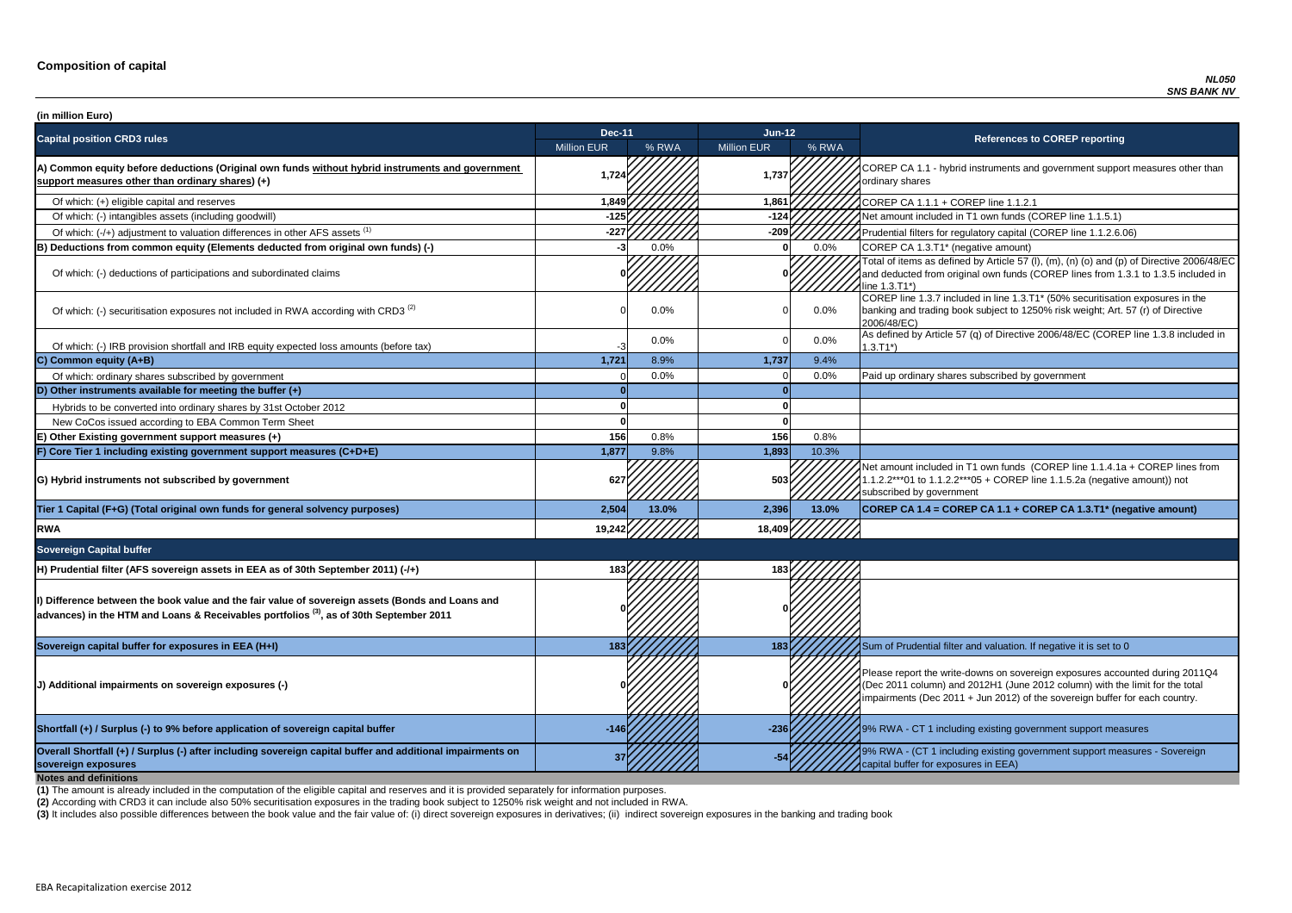**P CA 1.1 - hybrid instruments and government support measures other than** ry shares

of which: filters for regulatory capital (COREP line 1.1.2.6.06)

of items as defined by Article 57 (I),  $(m)$ ,  $(n)$  (o) and  $(p)$  of Directive 2006/48/EC educted from original own funds (COREP lines from 1.3.1 to 1.3.5 included in  $3.71^*$ 

 $\overline{C}$  line 1.3.7 included in line 1.3.T1\* (50% securitisation exposures in the ig and trading book subject to 1250% risk weight; Art. 57 (r) of Directive  $8/EC$ )

of which: IRB provided and IRB equity expective and IRB equity expected in the IRB equity expected in the URB equity Article 57 (q) of Directive 2006/48/EC (COREP line 1.3.8 included in

nount included in T1 own funds (COREP line 1.1.4.1a + COREP lines from  $2***01$  to 1.1.2.2\*\*\*05 + COREP line 1.1.5.2a (negative amount)) not ibed by government

**sovereign exposures <sup>37</sup> -54** 9% RWA - (CT 1 including existing government support measures - Sovereign buffer for exposures in EEA)

| (in million Euro)                                                                                                                                                                                    |                    |       |                    |         |                                                                                                                                                                                   |
|------------------------------------------------------------------------------------------------------------------------------------------------------------------------------------------------------|--------------------|-------|--------------------|---------|-----------------------------------------------------------------------------------------------------------------------------------------------------------------------------------|
| <b>Capital position CRD3 rules</b>                                                                                                                                                                   | <b>Dec-11</b>      |       | $Jun-12$           |         | <b>References to COREP reporting</b>                                                                                                                                              |
|                                                                                                                                                                                                      | <b>Million EUR</b> | % RWA | <b>Million EUR</b> | % RWA   |                                                                                                                                                                                   |
| A) Common equity before deductions (Original own funds without hybrid instruments and government<br>support measures other than ordinary shares) (+)                                                 | 1,724              |       | 1,737              |         | COREP CA 1.1 - hybrid instruments and government suppo<br>ordinary shares                                                                                                         |
| Of which: (+) eligible capital and reserves                                                                                                                                                          | 1,849              |       | 1,861              |         | COREP CA 1.1.1 + COREP line 1.1.2.1                                                                                                                                               |
| Of which: (-) intangibles assets (including goodwill)                                                                                                                                                | -125               |       | -124               |         | Net amount included in T1 own funds (COREP line 1.1.5.1)                                                                                                                          |
| Of which: (-/+) adjustment to valuation differences in other AFS assets <sup>(1)</sup>                                                                                                               | $-227$             |       | $-209$             |         | Prudential filters for regulatory capital (COREP line 1.1.2.6.                                                                                                                    |
| B) Deductions from common equity (Elements deducted from original own funds) (-)                                                                                                                     |                    | 0.0%  |                    | 0.0%    | COREP CA 1.3.T1* (negative amount)                                                                                                                                                |
| Of which: (-) deductions of participations and subordinated claims                                                                                                                                   |                    |       |                    |         | Total of items as defined by Article 57 (I), (m), (n) (o) and (p<br>and deducted from original own funds (COREP lines from 1<br>line 1.3.T1*)                                     |
| Of which: (-) securitisation exposures not included in RWA according with CRD3 <sup>(2)</sup>                                                                                                        |                    | 0.0%  |                    | $0.0\%$ | COREP line 1.3.7 included in line 1.3.T1* (50% securitisation<br>banking and trading book subject to 1250% risk weight; Art.<br>2006/48/EC)                                       |
| Of which: (-) IRB provision shortfall and IRB equity expected loss amounts (before tax)                                                                                                              | $-3$               | 0.0%  |                    | $0.0\%$ | As defined by Article 57 (q) of Directive 2006/48/EC (CORE<br>$1.3.T1*)$                                                                                                          |
| C) Common equity (A+B)                                                                                                                                                                               | 1,721              | 8.9%  | 1,737              | 9.4%    |                                                                                                                                                                                   |
| Of which: ordinary shares subscribed by government                                                                                                                                                   |                    | 0.0%  |                    | 0.0%    | Paid up ordinary shares subscribed by government                                                                                                                                  |
| D) Other instruments available for meeting the buffer $(+)$                                                                                                                                          |                    |       |                    |         |                                                                                                                                                                                   |
| Hybrids to be converted into ordinary shares by 31st October 2012                                                                                                                                    |                    |       |                    |         |                                                                                                                                                                                   |
| New CoCos issued according to EBA Common Term Sheet                                                                                                                                                  |                    |       |                    |         |                                                                                                                                                                                   |
| E) Other Existing government support measures (+)                                                                                                                                                    | 156                | 0.8%  | 156                | 0.8%    |                                                                                                                                                                                   |
| F) Core Tier 1 including existing government support measures (C+D+E)                                                                                                                                | 1,877              | 9.8%  | 1,893              | 10.3%   |                                                                                                                                                                                   |
| G) Hybrid instruments not subscribed by government                                                                                                                                                   | 627 h              |       | 503                |         | Net amount included in T1 own funds (COREP line 1.1.4.1a<br>1.1.2.2***01 to 1.1.2.2***05 + COREP line 1.1.5.2a (negativ<br>subscribed by government                               |
| Tier 1 Capital (F+G) (Total original own funds for general solvency purposes)                                                                                                                        | 2,504              | 13.0% | 2,396              | 13.0%   | COREP CA 1.4 = COREP CA 1.1 + COREP CA 1.3.T1* (ne                                                                                                                                |
| <b>RWA</b>                                                                                                                                                                                           | 19,242             |       | 18,409             |         |                                                                                                                                                                                   |
| <b>Sovereign Capital buffer</b>                                                                                                                                                                      |                    |       |                    |         |                                                                                                                                                                                   |
| H) Prudential filter (AFS sovereign assets in EEA as of 30th September 2011) (-/+)                                                                                                                   |                    |       |                    |         |                                                                                                                                                                                   |
| I) Difference between the book value and the fair value of sovereign assets (Bonds and Loans and<br>$ $ advances) in the HTM and Loans & Receivables portfolios $^{(3)}$ , as of 30th September 2011 |                    |       |                    |         |                                                                                                                                                                                   |
| Sovereign capital buffer for exposures in EEA (H+I)                                                                                                                                                  | 183                |       | 183                |         | Sum of Prudential filter and valuation. If negative it is set to                                                                                                                  |
| J) Additional impairments on sovereign exposures (-)                                                                                                                                                 |                    |       |                    |         | Please report the write-downs on sovereign exposures acco<br>(Dec 2011 column) and 2012H1 (June 2012 column) with th<br>impairments (Dec 2011 + Jun 2012) of the sovereign buffer |
| Shortfall (+) / Surplus (-) to 9% before application of sovereign capital buffer                                                                                                                     | $-146$             |       | $-236$             |         | 9% RWA - CT 1 including existing government support mea                                                                                                                           |
| Overall Shortfall (+) / Surplus (-) after including sovereign capital buffer and additional impairments on<br>sovereign exposures<br><b>Notes and definitions</b>                                    |                    |       |                    |         | 9% RWA - (CT 1 including existing government support mea<br>capital buffer for exposures in EEA)                                                                                  |

**Tier 1 Capital (F+G) (Total original own funds for general solvency purposes) 2,504 13.0% 2,396 13.0% COREP CA 1.4 = COREP CA 1.1 + COREP CA 1.3.T1\* (negative amount)**

report the write-downs on sovereign exposures accounted during 2011Q4 (011 column) and 2012H1 (June 2012 column) with the limit for the total ments (Dec 2011 + Jun 2012) of the sovereign buffer for each country.

**A** - CT 1 including existing government support measures

**(2)** According with CRD3 it can include also 50% securitisation exposures in the trading book subject to 1250% risk weight and not included in RWA.

(3) It includes also possible differences between the book value and the fair value of: (i) direct sovereign exposures in derivatives; (ii) indirect sovereign exposures in the banking and trading book

**(1)** The amount is already included in the computation of the eligible capital and reserves and it is provided separately for information purposes.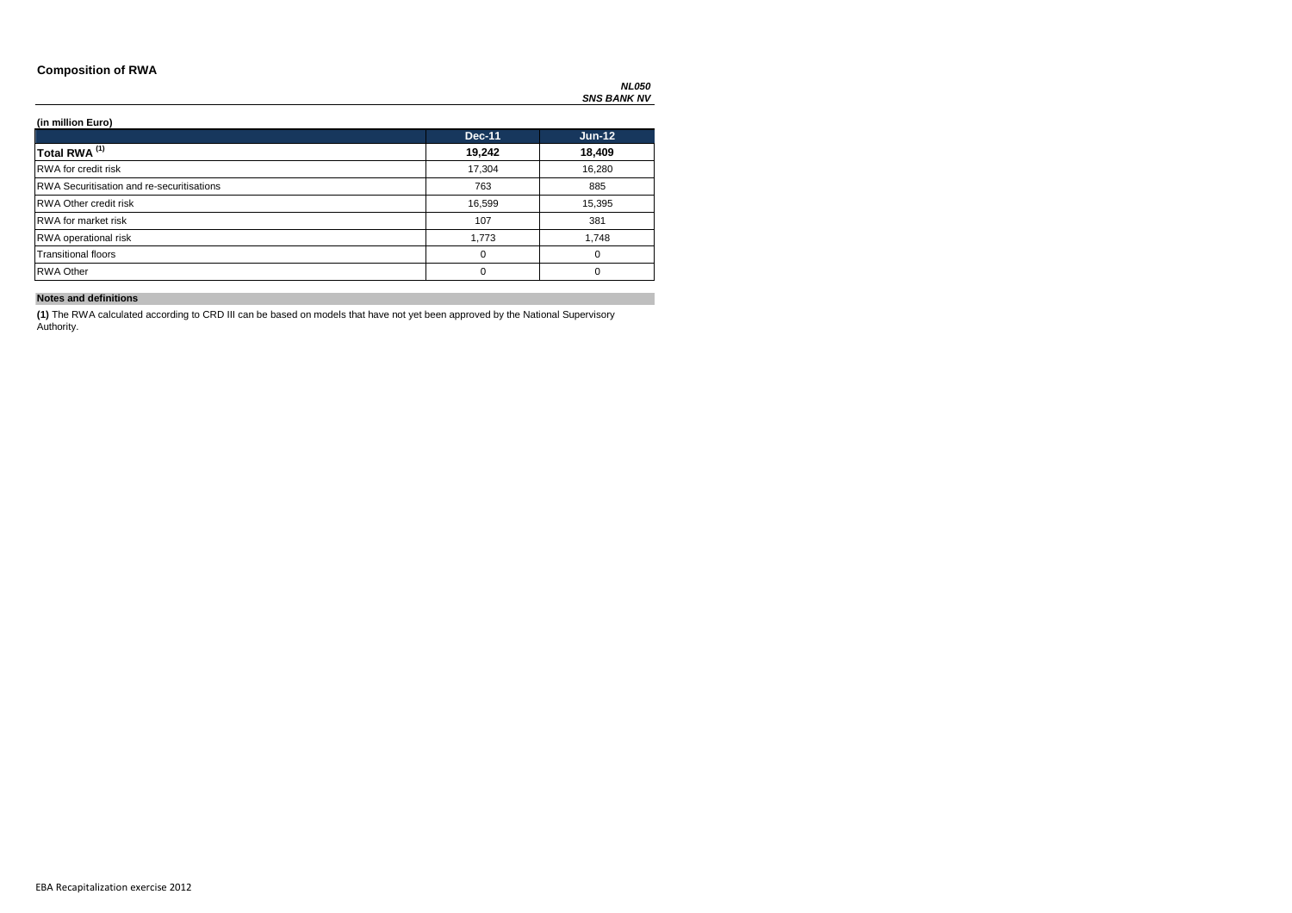### **Composition of RWA**

### **(in million Euro)**

|                                                  | <b>Dec-11</b> | $Jun-12$ |
|--------------------------------------------------|---------------|----------|
| Total RWA <sup>(1)</sup>                         | 19,242        | 18,409   |
| <b>RWA</b> for credit risk                       | 17,304        | 16,280   |
| <b>RWA Securitisation and re-securitisations</b> | 763           | 885      |
| <b>RWA Other credit risk</b>                     | 16,599        | 15,395   |
| <b>RWA</b> for market risk                       | 107           | 381      |
| <b>RWA</b> operational risk                      | 1,773         | 1,748    |
| <b>Transitional floors</b>                       | 0             | $\Omega$ |
| <b>RWA Other</b>                                 | U             | $\Omega$ |

### **Notes and definitions**

**(1)** The RWA calculated according to CRD III can be based on models that have not yet been approved by the National Supervisory Authority.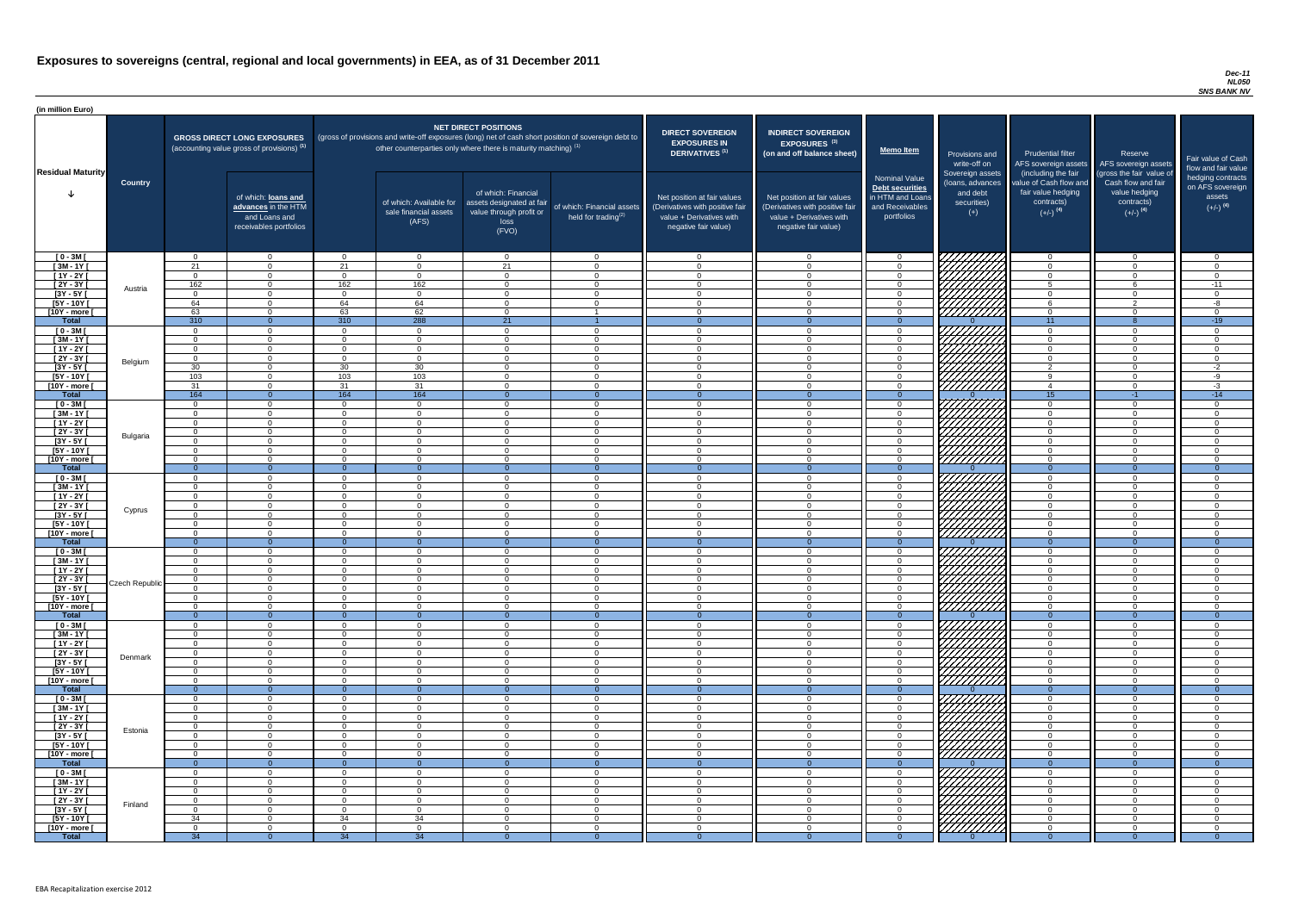#### *Dec-11 NL050 SNS BANK NV*

| (in million Euro)             |                 |                      |                                                                                             |                            |                                                                            |                                                                                              |                                                                                                     |                                                                                                                    |                                                                                                                    |                                                                                       |                                                                                                                      |                                                                                                             |                                                                                                         |                                                                           |
|-------------------------------|-----------------|----------------------|---------------------------------------------------------------------------------------------|----------------------------|----------------------------------------------------------------------------|----------------------------------------------------------------------------------------------|-----------------------------------------------------------------------------------------------------|--------------------------------------------------------------------------------------------------------------------|--------------------------------------------------------------------------------------------------------------------|---------------------------------------------------------------------------------------|----------------------------------------------------------------------------------------------------------------------|-------------------------------------------------------------------------------------------------------------|---------------------------------------------------------------------------------------------------------|---------------------------------------------------------------------------|
| <b>Residual Maturity</b>      |                 |                      | <b>GROSS DIRECT LONG EXPOSURES</b><br>(accounting value gross of provisions) <sup>(1)</sup> |                            | other counterparties only where there is maturity matching) <sup>(1)</sup> | <b>NET DIRECT POSITIONS</b>                                                                  | (gross of provisions and write-off exposures (long) net of cash short position of sovereign debt to | <b>DIRECT SOVEREIGN</b><br><b>EXPOSURES IN</b><br>DERIVATIVES <sup>(1)</sup>                                       | <b>INDIRECT SOVEREIGN</b><br>EXPOSURES <sup>(3)</sup><br>(on and off balance sheet)                                | <b>Memo Item</b>                                                                      | Provisions and<br>write-off on                                                                                       | Prudential filter<br>AFS sovereign assets                                                                   | Reserve<br>AFS sovereign assets                                                                         | Fair value of Cash<br>flow and fair value                                 |
|                               | <b>Country</b>  |                      | of which: loans and<br>advances in the HTM<br>and Loans and<br>receivables portfolios       |                            | of which: Available for<br>sale financial assets<br>(AFS)                  | of which: Financial<br>assets designated at fair<br>value through profit or<br>loss<br>(FVO) | of which: Financial assets<br>held for trading $(2)$                                                | Net position at fair values<br>(Derivatives with positive fair<br>value + Derivatives with<br>negative fair value) | Net position at fair values<br>(Derivatives with positive fair<br>value + Derivatives with<br>negative fair value) | Nominal Value<br>Debt securities<br>in HTM and Loans<br>and Receivables<br>portfolios | Sovereign assets<br>(loans, advances<br>and debt<br>securities)<br>$(+)$                                             | (including the fair<br>value of Cash flow and<br>fair value hedging<br>contracts)<br>$(+/-)$ <sup>(4)</sup> | (gross the fair value of<br>Cash flow and fair<br>value hedging<br>contracts)<br>$(+/-)$ <sup>(4)</sup> | hedging contracts<br>on AFS sovereign<br>assets<br>$(+/-)$ <sup>(4)</sup> |
| $[0 - 3M]$                    |                 | $\Omega$             | $\Omega$                                                                                    | $\cap$                     | $\Omega$                                                                   | $\cap$                                                                                       | $\overline{0}$                                                                                      | $\overline{0}$                                                                                                     | $\overline{0}$                                                                                                     | $\Omega$                                                                              | 177777777                                                                                                            | $\Omega$                                                                                                    | $\overline{0}$                                                                                          | $\overline{0}$                                                            |
| $[3M - 1Y]$<br>$[1Y - 2Y]$    |                 | 21<br>$\overline{0}$ | $\Omega$<br>$\Omega$                                                                        | 21<br>$\Omega$             | $\Omega$<br>$\Omega$                                                       | 21<br>$\Omega$                                                                               | $\overline{0}$<br>$\overline{0}$                                                                    | $\overline{0}$<br>$\overline{0}$                                                                                   | $\Omega$<br>$\Omega$                                                                                               |                                                                                       |                                                                                                                      | $\Omega$<br>$\Omega$                                                                                        | $\Omega$<br>$\Omega$                                                                                    | $\overline{0}$<br>$\overline{0}$                                          |
| $[2Y - 3Y]$                   |                 | 162                  | $\Omega$                                                                                    | 162                        | 162                                                                        | $\Omega$                                                                                     | $\overline{0}$                                                                                      | $\overline{0}$                                                                                                     | $\Omega$                                                                                                           | $\Omega$                                                                              |                                                                                                                      | $5\overline{5}$                                                                                             | -6                                                                                                      | $-11$                                                                     |
| $[3Y - 5Y]$                   | Austria         | $\overline{0}$       | $\Omega$                                                                                    | $\Omega$                   | $\Omega$                                                                   | $\Omega$                                                                                     | $\overline{0}$                                                                                      | $\overline{0}$                                                                                                     | $\Omega$                                                                                                           | $\Omega$                                                                              | CHANGER STATERO                                                                                                      | $\Omega$                                                                                                    | $\Omega$                                                                                                | $\overline{0}$                                                            |
| [5Y - 10Y [                   |                 | 64                   | $\Omega$                                                                                    | 64                         | 64                                                                         | $\Omega$                                                                                     | $\Omega$                                                                                            | $\overline{0}$                                                                                                     | $\overline{0}$                                                                                                     | $\Omega$                                                                              |                                                                                                                      | 6                                                                                                           | $\overline{2}$                                                                                          | $-8$                                                                      |
| [10Y - more [                 |                 | 63                   | $\Omega$                                                                                    | 63                         | 62                                                                         | $\Omega$                                                                                     |                                                                                                     | $\Omega$                                                                                                           | $\Omega$                                                                                                           | $\cap$                                                                                | 77777777                                                                                                             | $\Omega$                                                                                                    | $\Omega$                                                                                                | $\overline{0}$                                                            |
| <b>Total</b><br>$[0 - 3M]$    |                 | 310<br>$\Omega$      | $\Omega$<br>$\Omega$                                                                        | 310<br>_റ                  | 288<br>$\Omega$                                                            | 21<br>$\Omega$                                                                               | $\overline{0}$                                                                                      | $\Omega$                                                                                                           | $\overline{0}$                                                                                                     | $\Omega$                                                                              |                                                                                                                      | 11<br>$\Omega$                                                                                              | $\Omega$                                                                                                | $-19$                                                                     |
| $[3M - 1Y]$                   |                 | $\Omega$             | $\Omega$                                                                                    | $\Omega$                   | $\Omega$                                                                   | $\Omega$                                                                                     | $\overline{0}$                                                                                      | $\overline{0}$                                                                                                     | $\overline{0}$                                                                                                     | $\Omega$                                                                              |                                                                                                                      | $\Omega$                                                                                                    | $\Omega$                                                                                                | $\overline{0}$<br>$\overline{0}$                                          |
| $[1Y - 2Y]$                   |                 | $\overline{0}$       | $\overline{0}$                                                                              | $\Omega$                   | $\overline{0}$                                                             | $\Omega$                                                                                     | $\overline{0}$                                                                                      | $\overline{0}$                                                                                                     | $\overline{0}$                                                                                                     | $\Omega$                                                                              |                                                                                                                      | $\overline{0}$                                                                                              | $\overline{0}$                                                                                          | $\overline{0}$                                                            |
| $[2Y - 3Y]$                   | Belgium         | $\Omega$             | $\Omega$                                                                                    | $\Omega$                   | $\Omega$                                                                   | $\Omega$                                                                                     | $\overline{0}$                                                                                      | $\overline{0}$                                                                                                     | $\overline{0}$                                                                                                     | $\cap$                                                                                |                                                                                                                      | $\Omega$                                                                                                    | $\Omega$                                                                                                | $\overline{0}$                                                            |
| $[3Y - 5Y]$                   |                 | 30                   | $\Omega$                                                                                    | 30                         | 30                                                                         | $\Omega$                                                                                     | $\overline{0}$                                                                                      | $\Omega$                                                                                                           | $\Omega$                                                                                                           | $\Omega$                                                                              |                                                                                                                      | $\mathcal{D}$                                                                                               | $\Omega$                                                                                                | $-2$                                                                      |
| $[5Y - 10Y]$<br>[10Y - more [ |                 | 103<br>31            | $\Omega$<br>$\Omega$                                                                        | 103<br>31                  | 103<br>31                                                                  | $\Omega$<br>$\Omega$                                                                         | $\Omega$<br>$\Omega$                                                                                | $\Omega$<br>- റ                                                                                                    | $\Omega$<br>$\Omega$                                                                                               | $\cap$                                                                                | .Wiiiiiii                                                                                                            | $\Omega$<br>$\overline{4}$                                                                                  | $\Omega$<br>$\Omega$                                                                                    | -9<br>$-3$                                                                |
| <b>Total</b>                  |                 | 164                  | $\overline{0}$                                                                              | 164                        | 164                                                                        | $\Omega$                                                                                     | $\Omega$                                                                                            | - 0                                                                                                                | $\Omega$                                                                                                           | $\Omega$                                                                              |                                                                                                                      | 15                                                                                                          | $-1$                                                                                                    | $-14$                                                                     |
| $[0 - 3M]$                    |                 | $\Omega$             | $\Omega$                                                                                    | $\Omega$                   | $\Omega$                                                                   | $\Omega$                                                                                     | $\Omega$                                                                                            | - റ                                                                                                                | $\Omega$                                                                                                           | $\cap$                                                                                |                                                                                                                      | $\Omega$                                                                                                    | $\Omega$                                                                                                | $\overline{0}$                                                            |
| $[3M - 1Y]$                   |                 | $\Omega$             | $\Omega$                                                                                    | - റ                        | $\Omega$                                                                   | $\Omega$                                                                                     | $\Omega$                                                                                            | $\Omega$                                                                                                           | $\Omega$                                                                                                           |                                                                                       | <i>ЧННН</i>                                                                                                          | $\Omega$                                                                                                    | $\Omega$                                                                                                | $\overline{0}$                                                            |
| $[1Y - 2Y]$                   |                 | $\Omega$             | $\cap$<br>$\cap$                                                                            | $\Omega$                   | $\Omega$<br>$\Omega$                                                       | $\Omega$<br>$\cap$                                                                           | $\Omega$<br>$\Omega$                                                                                | - റ<br>$\Omega$                                                                                                    | $\Omega$                                                                                                           | $\Omega$                                                                              |                                                                                                                      | $\cap$<br>$\Omega$                                                                                          | $\Omega$<br>$\Omega$                                                                                    | $\overline{0}$                                                            |
| [2Y - 3Y [<br><u>[3Y - 5Y</u> | <b>Bulgaria</b> | $\Omega$             |                                                                                             | $\Omega$                   |                                                                            |                                                                                              |                                                                                                     |                                                                                                                    | $\Omega$                                                                                                           |                                                                                       | <i>VAHA</i> A                                                                                                        |                                                                                                             |                                                                                                         | $\overline{0}$                                                            |
| $[5Y - 10Y]$                  |                 | $\Omega$             | $\cap$                                                                                      | $\Omega$                   | $\Omega$                                                                   | $\Omega$                                                                                     | $\Omega$                                                                                            | $\Omega$                                                                                                           | $\Omega$                                                                                                           |                                                                                       |                                                                                                                      | $\Omega$                                                                                                    | $\overline{0}$                                                                                          | $\Omega$                                                                  |
| [10Y - more [                 |                 | $\Omega$             | $\Omega$                                                                                    | $\Omega$                   | $\Omega$                                                                   | $\Omega$                                                                                     | $\overline{0}$                                                                                      | $\Omega$                                                                                                           | $\Omega$                                                                                                           | $\Omega$                                                                              | HHHH                                                                                                                 | $\Omega$                                                                                                    | $\overline{0}$                                                                                          | $\overline{0}$                                                            |
| <b>Total</b>                  |                 | - 0                  | $\overline{0}$                                                                              | $\Omega$                   | - 0                                                                        | $\Omega$                                                                                     | $\Omega$                                                                                            | $\Omega$                                                                                                           | $\Omega$                                                                                                           | $\Omega$                                                                              |                                                                                                                      | $\Omega$                                                                                                    | $\Omega$                                                                                                | $\Omega$                                                                  |
| $[0 - 3M]$<br>$[3M - 1Y]$     |                 | $\Omega$<br>$\Omega$ | $\cap$<br>$\Omega$                                                                          | $\Omega$<br>$\Omega$       | $\Omega$<br>$\Omega$                                                       | $\Omega$<br>$\Omega$                                                                         | $\overline{0}$<br>$\overline{0}$                                                                    | $\Omega$<br>$\Omega$                                                                                               | $\Omega$<br>$\Omega$                                                                                               | $\Omega$                                                                              | 77                                                                                                                   | $\Omega$<br>$\Omega$                                                                                        | $\Omega$<br>$\overline{0}$                                                                              | $\overline{0}$<br>$\overline{0}$                                          |
| $[1Y - 2Y]$                   |                 | $\Omega$             | $\cap$                                                                                      | $\Omega$                   | $\Omega$                                                                   | $\Omega$                                                                                     | $\overline{0}$                                                                                      | $\Omega$                                                                                                           | $\Omega$                                                                                                           |                                                                                       | , 17777                                                                                                              | $\Omega$                                                                                                    | $\Omega$                                                                                                | $\overline{0}$                                                            |
| $[2Y - 3Y]$                   | Cyprus          | $\overline{0}$       | $\Omega$                                                                                    | $\Omega$                   | $\Omega$                                                                   | 0                                                                                            | $\overline{0}$                                                                                      | $\Omega$                                                                                                           | $\Omega$                                                                                                           |                                                                                       | 777777777                                                                                                            | $\Omega$                                                                                                    | $\overline{0}$                                                                                          | $\overline{0}$                                                            |
| $[3Y - 5Y]$                   |                 | 0                    | $\Omega$                                                                                    | $\Omega$                   | - 0                                                                        | 0                                                                                            | $\Omega$                                                                                            | $\Omega$                                                                                                           | $\Omega$                                                                                                           |                                                                                       | 7777777                                                                                                              | $\Omega$                                                                                                    | $\Omega$                                                                                                | $\overline{0}$                                                            |
| [5Y - 10Y]                    |                 | - 0<br>- റ           | $\Omega$<br>$\Omega$                                                                        | $\Omega$<br>$\Omega$       | $\Omega$<br>$\Omega$                                                       | $\Omega$<br>$\Omega$                                                                         | $\Omega$<br>$\Omega$                                                                                | $\overline{0}$<br>$\Omega$                                                                                         | $\Omega$<br>$\Omega$                                                                                               | $\Omega$<br>$\cap$                                                                    | 77777777<br>77777777                                                                                                 | $\Omega$<br>$\Omega$                                                                                        | $\Omega$<br>$\Omega$                                                                                    | $\overline{0}$<br>$\Omega$                                                |
| [10Y - more [<br><b>Total</b> |                 | - റ                  | $\Omega$                                                                                    |                            |                                                                            |                                                                                              |                                                                                                     |                                                                                                                    |                                                                                                                    |                                                                                       |                                                                                                                      | $\Omega$                                                                                                    |                                                                                                         |                                                                           |
| $[0 - 3M]$                    |                 | $\Omega$             | $\Omega$                                                                                    | $\Omega$                   | $\Omega$                                                                   | $\Omega$                                                                                     | $\overline{0}$                                                                                      | - റ                                                                                                                | $\Omega$                                                                                                           | $\Omega$                                                                              |                                                                                                                      | $\Omega$                                                                                                    | $\overline{0}$                                                                                          | $\overline{0}$                                                            |
| $\sqrt{3M-1Y}$                |                 | $\overline{0}$       | $\overline{0}$                                                                              | $\Omega$                   | $\Omega$                                                                   | $\Omega$                                                                                     | $\overline{0}$                                                                                      | $\overline{0}$                                                                                                     | $\Omega$                                                                                                           | $\Omega$                                                                              |                                                                                                                      | $\overline{0}$                                                                                              | $\overline{0}$                                                                                          | $\overline{0}$                                                            |
| $[1Y - 2Y]$                   |                 | $\overline{0}$       | $\Omega$                                                                                    | $\overline{0}$             | $\Omega$                                                                   | $\Omega$                                                                                     | $\overline{0}$                                                                                      | $\overline{0}$                                                                                                     | $\overline{0}$                                                                                                     | $\overline{0}$                                                                        |                                                                                                                      | $\overline{0}$                                                                                              | $\overline{0}$                                                                                          | $\overline{0}$                                                            |
| [2Y - 3Y [<br>$[3Y - 5Y]$     | Czech Republic  | $\Omega$<br>$\Omega$ | $\Omega$<br>$\overline{0}$                                                                  | $\Omega$<br>$\overline{0}$ | $\overline{0}$<br>$\Omega$                                                 | $\Omega$<br>$\overline{0}$                                                                   | $\overline{0}$<br>$\overline{0}$                                                                    | $\overline{0}$<br>$\overline{0}$                                                                                   | $\overline{0}$<br>$\overline{0}$                                                                                   | $\Omega$<br>$\overline{0}$                                                            |                                                                                                                      | $\overline{0}$<br>$\overline{0}$                                                                            | $\overline{0}$<br>$\overline{0}$                                                                        | $\overline{0}$<br>$\overline{0}$                                          |
| $[5Y - 10Y]$                  |                 | - റ                  | $\Omega$                                                                                    | $\Omega$                   | $\Omega$                                                                   | $\Omega$                                                                                     | $\overline{0}$                                                                                      | $\overline{0}$                                                                                                     | $\Omega$                                                                                                           | $\Omega$                                                                              |                                                                                                                      | $\Omega$                                                                                                    | $\overline{0}$                                                                                          | $\overline{0}$                                                            |
| [10Y - more [                 |                 | $\Omega$             | $\Omega$                                                                                    | $\Omega$                   | $\Omega$                                                                   | $\Omega$                                                                                     | $\Omega$                                                                                            | $\Omega$                                                                                                           | $\Omega$                                                                                                           | $\cap$                                                                                | ///////////                                                                                                          | $\Omega$                                                                                                    | $\Omega$                                                                                                | $\Omega$                                                                  |
| <b>Total</b>                  |                 | $\Omega$             | $\overline{0}$                                                                              | $\Omega$                   | $\Omega$                                                                   |                                                                                              | $\Omega$                                                                                            | $\Omega$                                                                                                           | $\Omega$                                                                                                           | $\Omega$                                                                              |                                                                                                                      | $\overline{0}$                                                                                              | $\Omega$                                                                                                | $\overline{0}$                                                            |
| $[0 - 3M]$<br>$\sqrt{3M-11}$  |                 | $\Omega$<br>$\Omega$ | $\Omega$<br>$\Omega$                                                                        | $\Omega$<br>$\Omega$       | $\Omega$<br>$\Omega$                                                       | $\Omega$<br>$\Omega$                                                                         | $\overline{0}$<br>$\Omega$                                                                          | - റ<br>$\Omega$                                                                                                    | $\Omega$<br>$\Omega$                                                                                               | $\Omega$<br>$\Omega$                                                                  |                                                                                                                      | $\Omega$<br>$\Omega$                                                                                        | $\Omega$<br>$\Omega$                                                                                    | $\Omega$<br>$\overline{0}$                                                |
| $[1Y - 2Y]$                   |                 | $\Omega$             | $\Omega$                                                                                    | $\Omega$                   | $\Omega$                                                                   | $\Omega$                                                                                     | $\overline{0}$                                                                                      | $\overline{0}$                                                                                                     | $\overline{0}$                                                                                                     | $\cap$                                                                                |                                                                                                                      | $\Omega$                                                                                                    | $\Omega$                                                                                                | $\overline{0}$                                                            |
| $[2Y - 3Y]$                   | Denmark         | $\Omega$             | $\Omega$                                                                                    | $\Omega$                   | $\Omega$                                                                   | $\Omega$                                                                                     | $\Omega$                                                                                            | $\Omega$                                                                                                           | $\Omega$                                                                                                           | $\cap$                                                                                | Ш.Н.                                                                                                                 | $\Omega$                                                                                                    | $\Omega$                                                                                                | $\overline{0}$                                                            |
| $[3Y - 5Y]$                   |                 | $\Omega$             | $\Omega$<br>$\Omega$                                                                        | $\Omega$                   | $\Omega$<br>$\Omega$                                                       | $\Omega$                                                                                     | $\Omega$                                                                                            | $\Omega$<br>$\Omega$                                                                                               | $\Omega$<br>$\Omega$                                                                                               | $\cap$<br>$\Omega$                                                                    |                                                                                                                      | $\Omega$<br>$\Omega$                                                                                        | $\Omega$                                                                                                | $\overline{0}$                                                            |
| $[5Y - 10Y]$<br>[10Y - more [ |                 | $\Omega$<br>$\Omega$ | - റ                                                                                         | $\Omega$<br>$\Omega$       | $\Omega$                                                                   | $\Omega$<br>$\Omega$                                                                         | $\Omega$<br>$\Omega$                                                                                | $\Omega$                                                                                                           | $\Omega$                                                                                                           | $\Omega$                                                                              | HHHH                                                                                                                 | $\Omega$                                                                                                    | $\overline{0}$<br>$\overline{0}$                                                                        | $\overline{0}$<br>$\overline{0}$                                          |
| <b>Total</b>                  |                 | $\cap$               | $\overline{0}$                                                                              | $\Omega$                   | $\Omega$                                                                   | $\Omega$                                                                                     | $\Omega$                                                                                            | $\Omega$                                                                                                           | $\Omega$                                                                                                           | $\Omega$                                                                              |                                                                                                                      | $\Omega$                                                                                                    | $\Omega$                                                                                                | $\overline{0}$                                                            |
| $[0 - 3M]$                    |                 | $\Omega$             | $\Omega$                                                                                    | $\Omega$                   | $\Omega$                                                                   | $\Omega$                                                                                     | $\Omega$                                                                                            | $\overline{0}$                                                                                                     | $\Omega$                                                                                                           | $\Omega$                                                                              | ⊬                                                                                                                    | $\Omega$                                                                                                    | $\Omega$                                                                                                | $\Omega$                                                                  |
| $[3M - 1Y]$                   |                 | $\Omega$             | $\cap$<br>$\cap$                                                                            | $\Omega$                   | $\Omega$                                                                   | $\Omega$<br>$\cap$                                                                           | $\Omega$                                                                                            | $\Omega$<br>$\cap$                                                                                                 | $\Omega$                                                                                                           |                                                                                       | 177                                                                                                                  | $\Omega$<br>$\Omega$                                                                                        | $\Omega$                                                                                                | $\Omega$                                                                  |
| $[1Y - 2Y]$<br>$[2Y - 3Y]$    |                 | $\Omega$<br>$\Omega$ |                                                                                             | $\Omega$<br>$\Omega$       | $\Omega$<br>$\Omega$                                                       | $\Omega$                                                                                     | $\Omega$<br>$\Omega$                                                                                | $\Omega$                                                                                                           | $\Omega$<br>$\Omega$                                                                                               |                                                                                       | 77777777                                                                                                             | $\Omega$                                                                                                    | $\Omega$<br>$\Omega$                                                                                    | $\overline{0}$<br>$\overline{0}$                                          |
| $[3Y - 5Y]$                   | Estonia         | -0                   |                                                                                             | $\Omega$                   | $\Omega$                                                                   | ∩                                                                                            | $\Omega$                                                                                            | - റ                                                                                                                | $\Omega$                                                                                                           |                                                                                       | <u>VIIIIIII</u>                                                                                                      | $\Omega$                                                                                                    | $\Omega$                                                                                                | $\Omega$                                                                  |
| [5Y - 10Y]                    |                 | - 0                  | $\cap$                                                                                      | $\Omega$                   | - 0                                                                        | $\Omega$                                                                                     | $\Omega$                                                                                            | $\Omega$                                                                                                           | $\Omega$                                                                                                           |                                                                                       | レンプ                                                                                                                  | $\Omega$                                                                                                    | $\Omega$                                                                                                | $\Omega$                                                                  |
| [10Y - more [                 |                 | - 0                  | $\cap$                                                                                      | $\Omega$                   | $\Omega$                                                                   | $\Omega$                                                                                     | $\Omega$                                                                                            | $\Omega$                                                                                                           | $\Omega$                                                                                                           |                                                                                       | VIIIIIII                                                                                                             | $\Omega$                                                                                                    | $\Omega$                                                                                                | $\Omega$                                                                  |
| <b>Total</b><br>$[0 - 3M]$    |                 | $\Omega$             | $\Omega$<br>$\cap$                                                                          | $\Omega$                   | - C<br>$\Omega$                                                            | ∩                                                                                            | $\Omega$<br>$\Omega$                                                                                | $\Omega$                                                                                                           | $\Omega$                                                                                                           | $\cap$                                                                                | VIIIIIII                                                                                                             | $\Omega$<br>$\Omega$                                                                                        | $\Omega$<br>$\Omega$                                                                                    | $\Omega$<br>$\Omega$                                                      |
| $[3M - 1Y]$                   |                 | $\overline{0}$       | $\overline{0}$                                                                              | $\Omega$                   | $\overline{0}$                                                             | $\overline{0}$                                                                               | $\overline{0}$                                                                                      | $\overline{0}$                                                                                                     | $\overline{0}$                                                                                                     | $\overline{0}$                                                                        |                                                                                                                      | $\overline{0}$                                                                                              | $\overline{0}$                                                                                          | $\overline{0}$                                                            |
| $[1Y - 2Y]$                   |                 | $\overline{0}$       | $\overline{0}$                                                                              | $\Omega$                   | $\overline{0}$                                                             | $\overline{0}$                                                                               | $\overline{0}$                                                                                      | $\overline{0}$                                                                                                     | $\overline{0}$                                                                                                     | $\overline{0}$                                                                        |                                                                                                                      | $\overline{0}$                                                                                              | $\overline{0}$                                                                                          | $\overline{0}$                                                            |
| $[2Y - 3Y]$                   | Finland         | $\Omega$             | $\overline{0}$                                                                              | $\overline{0}$             | $\overline{0}$                                                             | $\overline{0}$                                                                               | $\overline{0}$                                                                                      | $\overline{0}$                                                                                                     | $\overline{0}$                                                                                                     | $\overline{0}$                                                                        | <b>College College College College College College College College College College College College College Colle</b> | $\overline{0}$                                                                                              | $\overline{0}$                                                                                          | $\overline{0}$                                                            |
| $[3Y - 5Y]$<br>$[5Y - 10Y]$   |                 | $\overline{0}$<br>34 | $\overline{0}$<br>$\Omega$                                                                  | $\overline{0}$<br>34       | $\overline{0}$<br>34                                                       | $\overline{0}$<br>$\overline{0}$                                                             | $\overline{0}$                                                                                      | $\overline{0}$                                                                                                     | $\overline{0}$                                                                                                     | $\overline{0}$<br>$\Omega$                                                            |                                                                                                                      | $\overline{0}$                                                                                              | $\overline{0}$<br>$\overline{0}$                                                                        | $\overline{0}$                                                            |
| [10Y - more [                 |                 | - റ                  | $\Omega$                                                                                    | $\Omega$                   | $\Omega$                                                                   | $\Omega$                                                                                     | $\overline{0}$<br>$\overline{0}$                                                                    | $\overline{0}$<br>$\Omega$                                                                                         | $\overline{0}$<br>$\Omega$                                                                                         | $\Omega$                                                                              |                                                                                                                      | $\overline{0}$<br>$\Omega$                                                                                  | $\Omega$                                                                                                | $\overline{0}$<br>$\Omega$                                                |
| <b>Total</b>                  |                 | 34                   | $\overline{0}$                                                                              | 34                         | 34                                                                         |                                                                                              | $\Omega$                                                                                            |                                                                                                                    |                                                                                                                    |                                                                                       |                                                                                                                      |                                                                                                             |                                                                                                         | $\overline{0}$                                                            |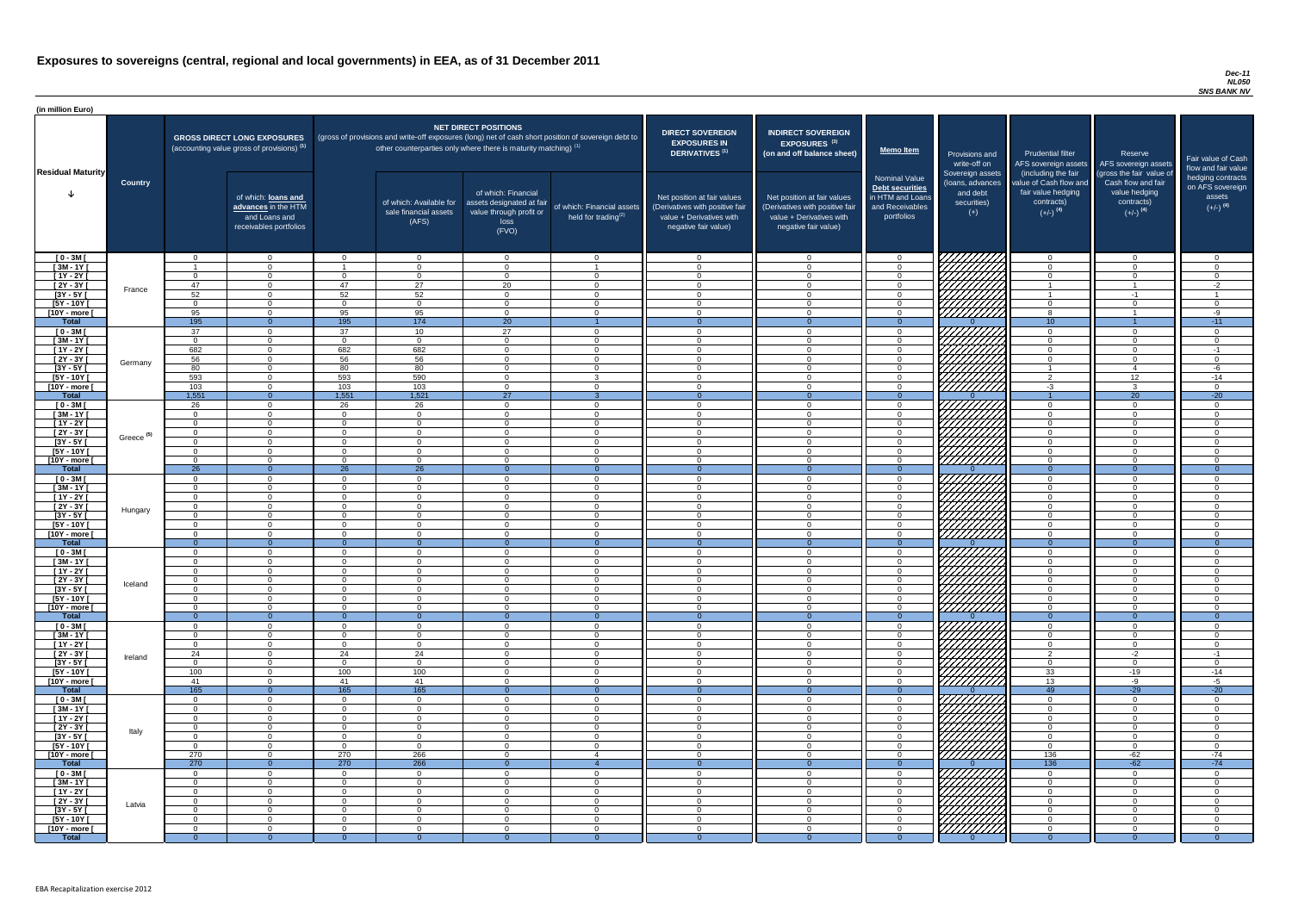#### *Dec-11 NL050 SNS BANK NV*

| (in million Euro)             |                       |                      |                                                                                             |                            |                                                                            |                                                                                              |                                                                                                     |                                                                                                                    |                                                                                                                    |                                                                                              |                                                                          |                                                                                                             |                                                                                                         |                                                                           |
|-------------------------------|-----------------------|----------------------|---------------------------------------------------------------------------------------------|----------------------------|----------------------------------------------------------------------------|----------------------------------------------------------------------------------------------|-----------------------------------------------------------------------------------------------------|--------------------------------------------------------------------------------------------------------------------|--------------------------------------------------------------------------------------------------------------------|----------------------------------------------------------------------------------------------|--------------------------------------------------------------------------|-------------------------------------------------------------------------------------------------------------|---------------------------------------------------------------------------------------------------------|---------------------------------------------------------------------------|
| <b>Residual Maturity</b>      |                       |                      | <b>GROSS DIRECT LONG EXPOSURES</b><br>(accounting value gross of provisions) <sup>(1)</sup> |                            | other counterparties only where there is maturity matching) <sup>(1)</sup> | <b>NET DIRECT POSITIONS</b>                                                                  | (gross of provisions and write-off exposures (long) net of cash short position of sovereign debt to | <b>DIRECT SOVEREIGN</b><br><b>EXPOSURES IN</b><br><b>DERIVATIVES (1)</b>                                           | <b>INDIRECT SOVEREIGN</b><br>EXPOSURES <sup>(3)</sup><br>(on and off balance sheet)                                | Memo Item                                                                                    | Provisions and<br>write-off on                                           | <b>Prudential filter</b><br>AFS sovereign assets                                                            | Reserve<br>AFS sovereign assets                                                                         | Fair value of Cash<br>flow and fair value                                 |
|                               | <b>Country</b>        |                      | of which: loans and<br>advances in the HTM<br>and Loans and<br>receivables portfolios       |                            | of which: Available for<br>sale financial assets<br>(AFS)                  | of which: Financial<br>assets designated at fair<br>value through profit or<br>loss<br>(FVO) | of which: Financial assets<br>held for trading $(2)$                                                | Net position at fair values<br>(Derivatives with positive fair<br>value + Derivatives with<br>negative fair value) | Net position at fair values<br>(Derivatives with positive fair<br>value + Derivatives with<br>negative fair value) | <b>Nominal Value</b><br>Debt securities<br>in HTM and Loans<br>and Receivables<br>portfolios | Sovereign assets<br>(loans, advances<br>and debt<br>securities)<br>$(+)$ | (including the fair<br>value of Cash flow and<br>fair value hedging<br>contracts)<br>$(+/-)$ <sup>(4)</sup> | (gross the fair value of<br>Cash flow and fair<br>value hedging<br>contracts)<br>$(+/-)$ <sup>(4)</sup> | hedging contracts<br>on AFS sovereign<br>assets<br>$(+/-)$ <sup>(4)</sup> |
| $[0 - 3M]$                    |                       | $\overline{0}$       | $\Omega$                                                                                    | $\Omega$                   | $\Omega$                                                                   | $\Omega$                                                                                     | $\Omega$                                                                                            | $\Omega$                                                                                                           | $\overline{0}$                                                                                                     |                                                                                              | 7777777777                                                               | $\Omega$                                                                                                    | $\overline{0}$                                                                                          | $\overline{0}$                                                            |
| $[3M-1Y]$<br>$[1Y - 2Y]$      |                       | $\Omega$             | $\Omega$<br>$\Omega$                                                                        | $\cap$                     | $\Omega$<br>$\Omega$                                                       | $\Omega$<br>$\Omega$                                                                         | $\Omega$                                                                                            | $\cap$<br>$\Omega$                                                                                                 | $\Omega$<br>$\Omega$                                                                                               |                                                                                              | MANA<br>MANA                                                             | $\Omega$                                                                                                    | $\Omega$<br>$\Omega$                                                                                    | $\Omega$<br>$\overline{0}$                                                |
| $[2Y - 3Y]$                   |                       | 47                   | $\Omega$                                                                                    | 47                         | $\overline{27}$                                                            | 20                                                                                           | $\overline{0}$                                                                                      | $\Omega$                                                                                                           | $\Omega$                                                                                                           |                                                                                              |                                                                          |                                                                                                             |                                                                                                         | $-2$                                                                      |
| $[3Y - 5Y]$                   | France                | 52                   | $\Omega$                                                                                    | 52                         | 52                                                                         | $\Omega$                                                                                     | $\overline{0}$                                                                                      | $\Omega$                                                                                                           | $\Omega$                                                                                                           | $\Omega$                                                                                     |                                                                          |                                                                                                             | -1                                                                                                      |                                                                           |
| $[5Y - 10Y]$                  |                       | $\Omega$             | $\Omega$                                                                                    | $\cap$                     | $\overline{0}$                                                             | $\cap$                                                                                       | $\overline{0}$                                                                                      | $\Omega$                                                                                                           | $\Omega$                                                                                                           | $\Omega$                                                                                     |                                                                          | $\Omega$                                                                                                    | $\Omega$                                                                                                | $\overline{0}$                                                            |
| [10Y - more [                 |                       | 95                   | $\Omega$                                                                                    | 95                         | 95                                                                         | $\Omega$                                                                                     | $\overline{0}$                                                                                      | $\overline{0}$                                                                                                     | $\Omega$                                                                                                           | $\cap$                                                                                       |                                                                          | 8                                                                                                           |                                                                                                         | $-9$                                                                      |
| <b>Total</b><br>$[0 - 3M]$    |                       | 195<br>37            | $\overline{0}$<br>$\Omega$                                                                  | 195<br>37                  | 174<br>10                                                                  | 20<br>27                                                                                     | $\overline{0}$                                                                                      | $\overline{0}$<br>$\overline{0}$                                                                                   | $\Omega$                                                                                                           | $\Omega$<br>$\cap$                                                                           | 7777777777                                                               | 10<br>$\overline{0}$                                                                                        | $\Omega$                                                                                                | $-11$<br>$\overline{0}$                                                   |
| $[3M - 1Y]$                   |                       | $\overline{0}$       | $\overline{0}$                                                                              | $\Omega$                   | $\overline{0}$                                                             | $\Omega$                                                                                     | $\overline{0}$                                                                                      | $\overline{0}$                                                                                                     | $\Omega$                                                                                                           | $\Omega$                                                                                     |                                                                          | $\overline{0}$                                                                                              | $\Omega$                                                                                                | $\overline{0}$                                                            |
| $[1Y - 2Y]$                   |                       | 682                  | $\Omega$                                                                                    | 682                        | 682                                                                        | $\Omega$                                                                                     | $\overline{0}$                                                                                      | $\Omega$                                                                                                           | $\Omega$                                                                                                           | $\cap$                                                                                       |                                                                          | $\Omega$                                                                                                    | $\Omega$                                                                                                | $-1$                                                                      |
| [2Y - 3Y [                    | Germany               | 56                   | $\Omega$                                                                                    | 56                         | 56                                                                         | $\Omega$                                                                                     | $\Omega$                                                                                            | $\Omega$                                                                                                           | $\Omega$                                                                                                           | $\Omega$                                                                                     | UMMI                                                                     | $\Omega$                                                                                                    | $\Omega$                                                                                                | $\overline{0}$                                                            |
| $[3Y - 5Y]$                   |                       | 80                   | $\Omega$                                                                                    | 80                         | 80                                                                         | $\Omega$                                                                                     | $\Omega$                                                                                            | $\Omega$                                                                                                           | $\Omega$                                                                                                           | $\Omega$                                                                                     |                                                                          | $\overline{1}$                                                                                              | $\overline{4}$                                                                                          | $-6$                                                                      |
| $[5Y - 10Y]$<br>[10Y - more [ |                       | 593<br>103           | $\Omega$<br>$\Omega$                                                                        | 593<br>103                 | 590<br>103                                                                 | $\Omega$<br>$\cap$                                                                           | -3<br>$\Omega$                                                                                      | $\Omega$<br>- റ                                                                                                    | $\overline{0}$<br>$\cap$                                                                                           | $\cap$<br>. വ                                                                                | 777777777<br>VIIIIIII                                                    | $\overline{2}$<br>$-3$                                                                                      | 12<br>$\mathbf{3}$                                                                                      | $-14$<br>$\overline{0}$                                                   |
| <b>Total</b>                  |                       | 1,551                | $\overline{0}$                                                                              | 1,551                      | 1,521                                                                      | $\overline{27}$                                                                              |                                                                                                     |                                                                                                                    |                                                                                                                    |                                                                                              |                                                                          |                                                                                                             | 20                                                                                                      | $-20$                                                                     |
| $[0 - 3M]$                    |                       | 26                   | - റ                                                                                         | 26                         | 26                                                                         | $\cap$                                                                                       | $\Omega$                                                                                            | - റ                                                                                                                | $\cap$                                                                                                             | $\sqrt{ }$                                                                                   | FHHHH                                                                    | $\Omega$                                                                                                    | $\Omega$                                                                                                | $\overline{0}$                                                            |
| $[3M - 1Y]$                   |                       | $\Omega$             | $\Omega$                                                                                    | $\Omega$                   | $\Omega$                                                                   | $\cap$                                                                                       | $\Omega$                                                                                            | $\Omega$                                                                                                           | - റ                                                                                                                | $\cap$                                                                                       |                                                                          | $\Omega$                                                                                                    | $\Omega$                                                                                                | $\overline{0}$                                                            |
| $[1Y - 2Y]$                   |                       | $\Omega$             | $\Omega$<br>$\Omega$                                                                        | - റ                        | $\Omega$<br>$\Omega$                                                       | $\Omega$<br>$\cap$                                                                           | $\Omega$<br>$\Omega$                                                                                | $\Omega$<br>$\Omega$                                                                                               | $\overline{0}$                                                                                                     | $\sqrt{ }$<br>$\sqrt{ }$                                                                     | <i>UMM</i>                                                               | $\Omega$<br>$\Omega$                                                                                        | $\Omega$<br>$\Omega$                                                                                    | $\overline{0}$                                                            |
| $[2Y - 3Y]$<br>$[3Y - 5Y]$    | Greece <sup>(5)</sup> | $\Omega$             |                                                                                             | $\Omega$                   |                                                                            |                                                                                              |                                                                                                     |                                                                                                                    | $\Omega$                                                                                                           |                                                                                              |                                                                          |                                                                                                             |                                                                                                         | $\overline{0}$                                                            |
| $[5Y - 10Y]$                  |                       | $\Omega$             | റ                                                                                           | $\Omega$                   | $\Omega$                                                                   | $\Omega$                                                                                     | $\Omega$                                                                                            | $\Omega$                                                                                                           | $\Omega$                                                                                                           |                                                                                              |                                                                          | $\cap$                                                                                                      | $\Omega$                                                                                                | $\Omega$                                                                  |
| [10Y - more [                 |                       | $\Omega$             | $\cap$                                                                                      | $\Omega$                   | $\Omega$                                                                   | $\Omega$                                                                                     | $\Omega$                                                                                            | $\Omega$                                                                                                           | $\Omega$                                                                                                           |                                                                                              | (HHHH)                                                                   | ∩                                                                                                           | $\Omega$                                                                                                | $\Omega$                                                                  |
| <b>Total</b>                  |                       | 26                   | $\overline{0}$                                                                              | 26                         | 26                                                                         | $\Omega$                                                                                     | $\Omega$                                                                                            | $\Omega$                                                                                                           | $\Omega$                                                                                                           | $\Omega$                                                                                     |                                                                          | $\Omega$                                                                                                    | $\Omega$                                                                                                | $\Omega$                                                                  |
| $[0 - 3M]$<br>$[3M - 1Y]$     |                       | - റ<br>$\Omega$      | $\Omega$<br>$\Omega$                                                                        | $\Omega$<br>$\Omega$       | $\Omega$<br>$\Omega$                                                       | $\Omega$<br>$\Omega$                                                                         | $\Omega$<br>$\Omega$                                                                                | $\Omega$<br>$\Omega$                                                                                               | $\Omega$<br>$\Omega$                                                                                               |                                                                                              |                                                                          | $\Omega$<br>$\Omega$                                                                                        | $\Omega$<br>$\Omega$                                                                                    | $\Omega$<br>$\Omega$                                                      |
| $[1Y - 2Y]$                   |                       | $\Omega$             | $\Omega$                                                                                    | $\Omega$                   | $\Omega$                                                                   | $\Omega$                                                                                     | $\overline{0}$                                                                                      | $\cap$                                                                                                             | $\Omega$                                                                                                           |                                                                                              |                                                                          | $\Omega$                                                                                                    | $\Omega$                                                                                                | $\Omega$                                                                  |
| $[2Y - 3Y]$                   | Hungary               | $\Omega$             | $\Omega$                                                                                    | $\Omega$                   | $\Omega$                                                                   | $\Omega$                                                                                     | $\Omega$                                                                                            | $\Omega$                                                                                                           | $\Omega$                                                                                                           |                                                                                              |                                                                          | $\cap$                                                                                                      | $\Omega$                                                                                                | $\Omega$                                                                  |
| $[3Y - 5Y]$                   |                       | $\Omega$             | $\Omega$                                                                                    | $\Omega$                   | $\Omega$                                                                   | $\Omega$                                                                                     | $\overline{0}$                                                                                      | $\Omega$                                                                                                           | $\Omega$                                                                                                           |                                                                                              |                                                                          | $\Omega$                                                                                                    | $\Omega$                                                                                                | $\Omega$                                                                  |
| $[5Y - 10Y]$                  |                       | $\Omega$<br>$\Omega$ | $\Omega$<br>$\Omega$                                                                        | $\Omega$<br>$\Omega$       | $\Omega$<br>$\Omega$                                                       | $\Omega$<br>$\Omega$                                                                         | $\Omega$<br>$\Omega$                                                                                | $\Omega$<br>$\cap$                                                                                                 | $\Omega$<br>$\Omega$                                                                                               | $\Omega$<br>$\Omega$                                                                         |                                                                          | $\Omega$<br>$\Omega$                                                                                        | $\Omega$<br>$\Omega$                                                                                    | $\Omega$<br>$\Omega$                                                      |
| [10Y - more [<br><b>Total</b> |                       | $\Omega$             | $\overline{0}$                                                                              | $\Omega$                   | $\Omega$                                                                   | $\Omega$                                                                                     | $\overline{0}$                                                                                      | $\Omega$                                                                                                           | $\Omega$                                                                                                           | $\Omega$                                                                                     | <u>VIIIIIIII</u>                                                         | $\Omega$                                                                                                    | $\Omega$                                                                                                | $\overline{0}$                                                            |
| $[0 - 3M]$                    |                       | $\overline{0}$       | $\Omega$                                                                                    | $\overline{0}$             | $\Omega$                                                                   | $\Omega$                                                                                     | $\overline{0}$                                                                                      | $\Omega$                                                                                                           | $\overline{0}$                                                                                                     | $\Omega$                                                                                     |                                                                          | $\overline{0}$                                                                                              | $\overline{0}$                                                                                          | $\overline{0}$                                                            |
| $[3M - 1Y]$                   |                       | $\Omega$             | $\Omega$                                                                                    | $\Omega$                   | $\Omega$                                                                   | $\Omega$                                                                                     | $\overline{0}$                                                                                      | $\Omega$                                                                                                           | $\Omega$                                                                                                           |                                                                                              |                                                                          | $\Omega$                                                                                                    | $\Omega$                                                                                                | $\Omega$                                                                  |
| $[1Y - 2Y]$                   |                       | $\Omega$             | $\Omega$                                                                                    | $\Omega$                   | $\Omega$                                                                   | $\Omega$                                                                                     | $\overline{0}$                                                                                      | $\Omega$                                                                                                           | $\Omega$                                                                                                           |                                                                                              |                                                                          | $\Omega$                                                                                                    | $\Omega$                                                                                                | $\Omega$                                                                  |
| $[2Y - 3Y]$<br>$[3Y - 5Y]$    | Iceland               | - 0<br>- 0           | $\Omega$<br>$\Omega$                                                                        | $\Omega$<br>$\Omega$       | $\Omega$<br>- ೧                                                            | 0<br>$\Omega$                                                                                | $\Omega$<br>$\Omega$                                                                                | $\Omega$<br>$\Omega$                                                                                               | $\Omega$<br>$\Omega$                                                                                               |                                                                                              | $\langle \nabla \mathcal{U} \mathcal{U} \rangle$                         | $\overline{0}$<br>$\Omega$                                                                                  | $\Omega$<br>$\Omega$                                                                                    | $\mathbf 0$<br>$\Omega$                                                   |
| $[5Y - 10Y]$                  |                       | - 0                  | $\Omega$                                                                                    | $\Omega$                   | $\Omega$                                                                   | $\Omega$                                                                                     | $\Omega$                                                                                            | $\Omega$                                                                                                           | $\Omega$                                                                                                           |                                                                                              | 7777                                                                     | $\Omega$                                                                                                    | $\Omega$                                                                                                | $\Omega$                                                                  |
| [10Y - more [                 |                       | $\Omega$             | $\Omega$                                                                                    | $\Omega$                   | $\Omega$                                                                   | $\Omega$                                                                                     | $\Omega$                                                                                            | $\Omega$                                                                                                           | $\Omega$                                                                                                           | $\Omega$                                                                                     | //////////                                                               | $\overline{0}$                                                                                              | $\Omega$                                                                                                | $\Omega$                                                                  |
| <b>Total</b>                  |                       | - വ                  | $\overline{0}$                                                                              |                            | - 0                                                                        |                                                                                              | $\overline{0}$                                                                                      |                                                                                                                    |                                                                                                                    |                                                                                              |                                                                          | $\Omega$                                                                                                    | $\Omega$                                                                                                | $\Omega$                                                                  |
| $[0 - 3M]$<br>$[3M - 1Y]$     |                       | $\Omega$<br>$\Omega$ | $\Omega$<br>$\overline{0}$                                                                  | $\Omega$<br>$\Omega$       | $\Omega$<br>$\Omega$                                                       | $\Omega$<br>$\Omega$                                                                         | $\overline{0}$<br>$\overline{0}$                                                                    | $\cap$<br>$\Omega$                                                                                                 | $\Omega$<br>$\Omega$                                                                                               | $\Omega$<br>$\cap$                                                                           |                                                                          | $\Omega$<br>$\overline{0}$                                                                                  | $\Omega$<br>$\overline{0}$                                                                              | $\Omega$<br>$\overline{0}$                                                |
| $[1Y - 2Y]$                   |                       | $\Omega$             | $\overline{0}$                                                                              | $\Omega$                   | $\Omega$                                                                   | $\Omega$                                                                                     | $\overline{0}$                                                                                      | $\Omega$                                                                                                           | $\Omega$                                                                                                           | $\cap$                                                                                       |                                                                          | $\overline{0}$                                                                                              | $\overline{0}$                                                                                          | $\overline{0}$                                                            |
| $[2Y - 3Y]$                   | Ireland               | 24                   | $\overline{0}$                                                                              | 24                         | 24                                                                         | $\Omega$                                                                                     | $\Omega$                                                                                            | $\Omega$                                                                                                           | $\Omega$                                                                                                           | $\Omega$                                                                                     |                                                                          | 2                                                                                                           | $-2$                                                                                                    | $-1$                                                                      |
| $[3Y - 5Y]$                   |                       | $\Omega$             | $\Omega$                                                                                    | $\Omega$                   | $\Omega$                                                                   | $\Omega$                                                                                     | $\overline{0}$                                                                                      | $\Omega$                                                                                                           | $\overline{0}$                                                                                                     | $\Omega$                                                                                     |                                                                          | $\overline{0}$                                                                                              | $\overline{0}$                                                                                          | $\overline{0}$                                                            |
| $[5Y - 10Y]$<br>[10Y - more [ |                       | 100<br>41            | $\Omega$<br>$\Omega$                                                                        | 100<br>41                  | 100<br>41                                                                  | $\Omega$<br>$\cap$                                                                           | $\Omega$<br>$\Omega$                                                                                | $\Omega$<br>$\Omega$                                                                                               | $\Omega$<br>$\Omega$                                                                                               |                                                                                              | 77777777                                                                 | 33<br>13                                                                                                    | $-19$<br>-9                                                                                             | $-14$<br>$-5$                                                             |
| <b>Total</b>                  |                       | 165                  | $\overline{0}$                                                                              | 165                        | 165                                                                        |                                                                                              | $\Omega$                                                                                            |                                                                                                                    |                                                                                                                    |                                                                                              |                                                                          | 49                                                                                                          | $-29$                                                                                                   | $-20$                                                                     |
| $[0 - 3M]$                    |                       | $\Omega$             | $\Omega$                                                                                    | $\Omega$                   | $\Omega$                                                                   | $\Omega$                                                                                     | $\Omega$                                                                                            | $\Omega$                                                                                                           | $\Omega$                                                                                                           |                                                                                              | 777777777                                                                | $\Omega$                                                                                                    | $\Omega$                                                                                                | $\overline{0}$                                                            |
| $[3M - 1Y]$                   |                       | $\Omega$             | $\Omega$                                                                                    | $\Omega$                   | $\Omega$                                                                   | $\Omega$                                                                                     | $\Omega$                                                                                            | $\Omega$                                                                                                           | $\Omega$                                                                                                           |                                                                                              |                                                                          | $\Omega$                                                                                                    | $\Omega$                                                                                                | $\Omega$                                                                  |
| $[1Y - 2Y]$                   |                       | $\Omega$             | $\Omega$<br>$\Omega$                                                                        | $\Omega$                   | $\Omega$<br>$\Omega$                                                       | $\Omega$                                                                                     | $\Omega$                                                                                            | $\Omega$<br>$\cap$                                                                                                 | $\overline{0}$<br>$\Omega$                                                                                         |                                                                                              |                                                                          | $\Omega$<br>$\Omega$                                                                                        | $\Omega$                                                                                                | $\Omega$                                                                  |
| $[2Y - 3Y]$<br>$[3Y - 5Y]$    | Italy                 | $\Omega$<br>$\Omega$ | $\Omega$                                                                                    | $\Omega$<br>$\Omega$       | $\Omega$                                                                   | $\Omega$<br>$\Omega$                                                                         | $\Omega$<br>$\Omega$                                                                                | $\Omega$                                                                                                           | $\Omega$                                                                                                           |                                                                                              |                                                                          | $\Omega$                                                                                                    | $\Omega$<br>$\Omega$                                                                                    | $\Omega$<br>$\Omega$                                                      |
| $[5Y - 10Y]$                  |                       | $\Omega$             | $\Omega$                                                                                    | $\Omega$                   | $\Omega$                                                                   | $\Omega$                                                                                     | $\Omega$                                                                                            | $\Omega$                                                                                                           | $\Omega$                                                                                                           | $\Omega$                                                                                     |                                                                          | $\Omega$                                                                                                    | $\Omega$                                                                                                | $\overline{0}$                                                            |
| [10Y - more [                 |                       | 270                  | $\Omega$                                                                                    | 270                        | 266                                                                        | $\Omega$                                                                                     |                                                                                                     | $\Omega$                                                                                                           | $\Omega$                                                                                                           | $\Omega$                                                                                     | 777777777                                                                | 136                                                                                                         | $-62$                                                                                                   | $-74$                                                                     |
| <b>Total</b>                  |                       | 270                  | $\overline{0}$                                                                              | 270                        | 266                                                                        | $\Omega$                                                                                     |                                                                                                     | $\Omega$                                                                                                           | $\Omega$                                                                                                           | $\Omega$                                                                                     | VIIIIIIIII                                                               | 136                                                                                                         | $-62$                                                                                                   | $-74$                                                                     |
| $[0 - 3M]$<br>$[3M-1Y]$       |                       | $\Omega$<br>$\Omega$ | $\Omega$<br>- റ                                                                             | $\overline{0}$<br>$\Omega$ | $\Omega$<br>$\Omega$                                                       | $\Omega$<br>$\Omega$                                                                         | $\Omega$<br>$\overline{0}$                                                                          | $\Omega$<br>$\Omega$                                                                                               | $\Omega$<br>$\Omega$                                                                                               |                                                                                              |                                                                          | $\Omega$<br>$\Omega$                                                                                        | $\Omega$<br>$\Omega$                                                                                    | $\Omega$<br>$\Omega$                                                      |
| $[1Y - 2Y]$                   |                       | $\overline{0}$       | $\Omega$                                                                                    | $\Omega$                   | $\Omega$                                                                   | $\Omega$                                                                                     | $\overline{0}$                                                                                      | $\Omega$                                                                                                           | $\overline{0}$                                                                                                     | $\Omega$                                                                                     |                                                                          | $\Omega$                                                                                                    | $\Omega$                                                                                                | $\overline{0}$                                                            |
| $[2Y - 3Y]$                   | Latvia                | - 0                  | $\overline{0}$                                                                              | $\overline{0}$             | $\Omega$                                                                   | $\Omega$                                                                                     | $\overline{0}$                                                                                      | $\overline{0}$                                                                                                     | $\Omega$                                                                                                           |                                                                                              |                                                                          | $\Omega$                                                                                                    | $\Omega$                                                                                                | $\mathbf 0$                                                               |
| $[3Y - 5Y]$                   |                       | - 0                  | $\Omega$                                                                                    | $\Omega$                   | - 0                                                                        | $\Omega$                                                                                     | $\overline{0}$                                                                                      | $\Omega$                                                                                                           | $\overline{0}$                                                                                                     |                                                                                              |                                                                          | $\Omega$                                                                                                    | $\Omega$                                                                                                | $\overline{0}$                                                            |
| $[5Y - 10Y]$<br>[10Y - more [ |                       | - 0<br>- 0           | $\Omega$<br>$\Omega$                                                                        | $\Omega$<br>$\overline{0}$ | $\Omega$<br>$\Omega$                                                       | $\Omega$<br>$\overline{0}$                                                                   | $\overline{0}$<br>$\overline{0}$                                                                    | $\Omega$<br>$\Omega$                                                                                               | $\Omega$<br>$\Omega$                                                                                               | $\Omega$<br>$\cap$                                                                           | HATHAR SAN FAIL I                                                        | $\Omega$<br>$\overline{0}$                                                                                  | $\Omega$<br>$\Omega$                                                                                    | $\overline{0}$<br>$\overline{0}$                                          |
| <b>Total</b>                  |                       | $\Omega$             | - 0                                                                                         | $\overline{0}$             | -0                                                                         |                                                                                              | $\Omega$                                                                                            |                                                                                                                    |                                                                                                                    |                                                                                              |                                                                          |                                                                                                             | $\Omega$                                                                                                | $\overline{0}$                                                            |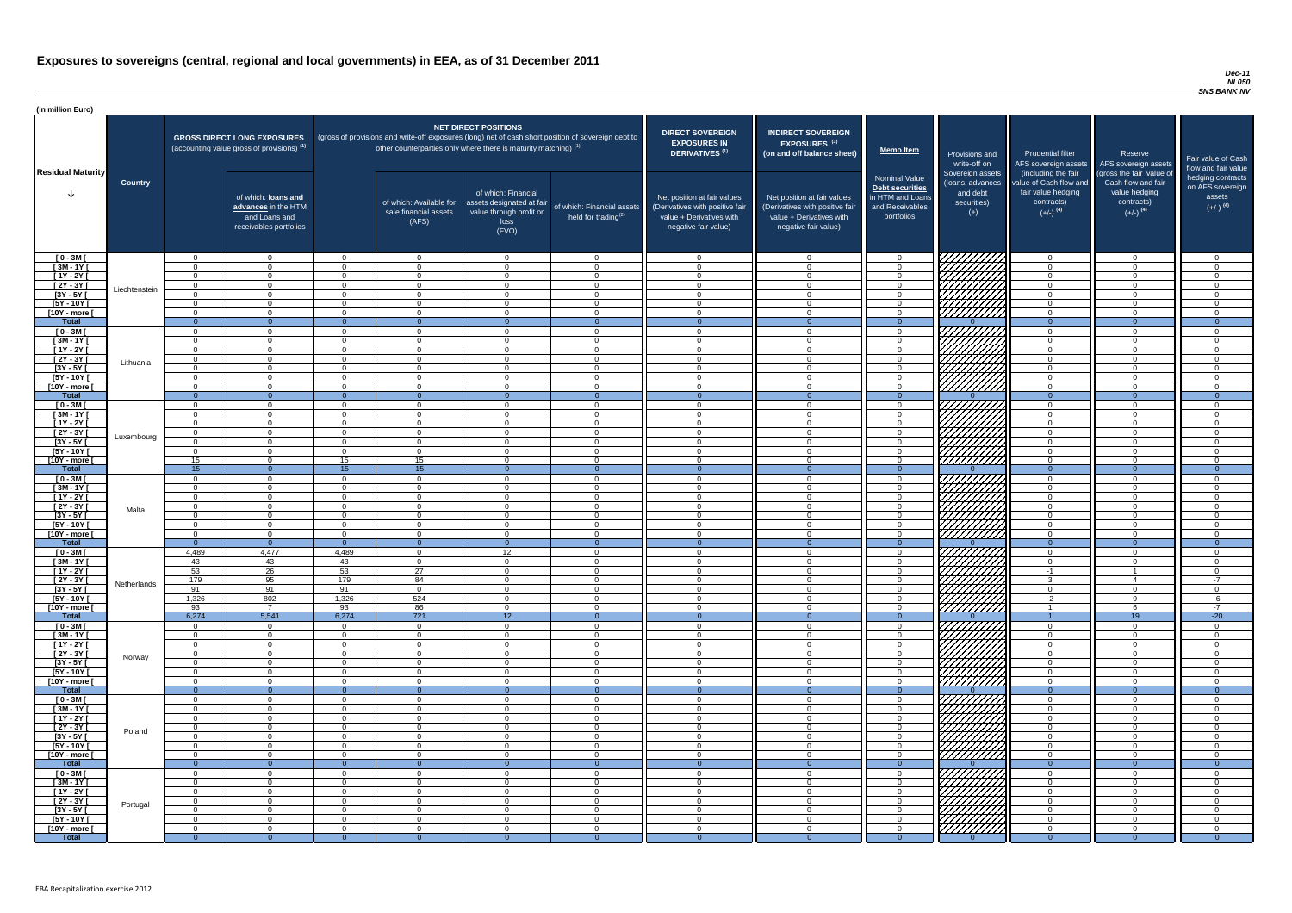#### *Dec-11 NL050 SNS BANK NV*

| <b>DIRECT SOVEREIGN</b><br><b>EXPOSURES IN</b><br><b>DERIVATIVES<sup>(1)</sup></b>                                 | <b>INDIRECT SOVEREIGN</b><br>EXPOSURES <sup>(3)</sup><br>(on and off balance sheet)                                | <b>Memo Item</b>                                                                             | Provisions and<br>write-off on                                           | <b>Prudential filter</b><br>AFS sovereign assets                                                            | Reserve<br>AFS sovereign assets                                                                         | Fair value of Cash                                                                               |
|--------------------------------------------------------------------------------------------------------------------|--------------------------------------------------------------------------------------------------------------------|----------------------------------------------------------------------------------------------|--------------------------------------------------------------------------|-------------------------------------------------------------------------------------------------------------|---------------------------------------------------------------------------------------------------------|--------------------------------------------------------------------------------------------------|
| Net position at fair values<br>(Derivatives with positive fair<br>value + Derivatives with<br>negative fair value) | Net position at fair values<br>(Derivatives with positive fair<br>value + Derivatives with<br>negative fair value) | <b>Nominal Value</b><br>Debt securities<br>in HTM and Loans<br>and Receivables<br>portfolios | Sovereign assets<br>(loans, advances<br>and debt<br>securities)<br>$(+)$ | (including the fair<br>value of Cash flow and<br>fair value hedging<br>contracts)<br>$(+/-)$ <sup>(4)</sup> | (gross the fair value of<br>Cash flow and fair<br>value hedging<br>contracts)<br>$(+/-)$ <sup>(4)</sup> | flow and fair value<br>hedging contracts<br>on AFS sovereign<br>assets<br>$(+/-)$ <sup>(4)</sup> |
| $\mathbf 0$                                                                                                        | $\mathbf 0$                                                                                                        | $\mathbf 0$                                                                                  |                                                                          | $\overline{0}$                                                                                              | $\mathbf 0$                                                                                             | $\mathbf 0$                                                                                      |
| $\mathbf 0$                                                                                                        | $\mathbf 0$                                                                                                        | $\mathbf 0$                                                                                  |                                                                          | $\mathbf 0$                                                                                                 | $\mathbf 0$                                                                                             | $\mathbf 0$                                                                                      |
| $\mathbf 0$                                                                                                        | $\mathbf 0$                                                                                                        | $\mathbf 0$                                                                                  |                                                                          | $\mathbf 0$                                                                                                 | $\mathbf 0$                                                                                             | $\mathbf 0$                                                                                      |
| $\mathbf 0$                                                                                                        | $\mathbf 0$                                                                                                        | $\mathbf 0$                                                                                  |                                                                          | $\mathbf 0$                                                                                                 | $\mathbf 0$                                                                                             | $\mathbf 0$                                                                                      |
| $\mathbf 0$                                                                                                        | $\mathbf 0$                                                                                                        | $\mathbf 0$                                                                                  |                                                                          | $\mathbf 0$                                                                                                 | $\mathbf 0$                                                                                             | $\mathbf 0$                                                                                      |
| $\pmb{0}$                                                                                                          | 0                                                                                                                  | $\pmb{0}$                                                                                    |                                                                          | $\pmb{0}$                                                                                                   | $\mathsf 0$                                                                                             | $\mathbf 0$                                                                                      |
| $\pmb{0}$<br>$\overline{0}$                                                                                        | $\mathbf 0$<br>$\overline{0}$                                                                                      | $\pmb{0}$<br>$\overline{0}$                                                                  | $\Omega$                                                                 | $\pmb{0}$<br>$\overline{0}$                                                                                 | $\mathbf 0$<br>$\overline{0}$                                                                           | $\mathbf 0$<br>$\overline{0}$                                                                    |
| $\mathbf 0$                                                                                                        | $\mathbf 0$                                                                                                        | 0                                                                                            |                                                                          | $\pmb{0}$                                                                                                   | $\mathbf 0$                                                                                             | $\mathbf 0$                                                                                      |
| $\mathbf 0$                                                                                                        | $\mathbf 0$                                                                                                        | $\mathbf 0$                                                                                  |                                                                          | $\mathbf 0$                                                                                                 | $\mathbf 0$                                                                                             | $\mathbf 0$                                                                                      |
| $\mathbf 0$                                                                                                        | $\mathbf 0$                                                                                                        | $\mathbf 0$                                                                                  |                                                                          | $\mathbf 0$                                                                                                 | $\mathbf 0$                                                                                             | $\mathbf 0$                                                                                      |
| $\pmb{0}$                                                                                                          | $\pmb{0}$                                                                                                          | $\pmb{0}$                                                                                    |                                                                          | $\pmb{0}$                                                                                                   | $\mathbf 0$                                                                                             | $\mathbf 0$                                                                                      |
| $\mathbf 0$                                                                                                        | $\pmb{0}$                                                                                                          | $\mathbf 0$                                                                                  |                                                                          | $\pmb{0}$                                                                                                   | $\mathbf 0$                                                                                             | $\mathbf 0$                                                                                      |
| $\mathbf 0$                                                                                                        | $\mathbf 0$                                                                                                        | $\mathbf 0$                                                                                  |                                                                          | $\mathbf 0$                                                                                                 | $\mathbf 0$                                                                                             | $\mathbf 0$                                                                                      |
| $\mathbf 0$                                                                                                        | $\mathbf 0$                                                                                                        | $\mathbf 0$                                                                                  |                                                                          | $\mathbf 0$                                                                                                 | $\mathbf 0$                                                                                             | $\mathbf 0$                                                                                      |
| $\mathbf{0}$                                                                                                       | $\overline{0}$                                                                                                     | $\overline{0}$                                                                               | $\Omega$                                                                 | $\overline{0}$                                                                                              | $\overline{0}$                                                                                          | $\overline{0}$                                                                                   |
| $\mathbf 0$                                                                                                        | $\mathbf 0$                                                                                                        | $\mathbf 0$                                                                                  |                                                                          | $\mathbf 0$                                                                                                 | $\mathbf 0$                                                                                             | $\mathbf 0$                                                                                      |
| $\pmb{0}$<br>$\pmb{0}$                                                                                             | $\mathbf 0$<br>$\pmb{0}$                                                                                           | $\pmb{0}$<br>$\boldsymbol{0}$                                                                |                                                                          | $\mathbf 0$<br>$\mathbf 0$                                                                                  | $\mathbf 0$<br>$\mathbf 0$                                                                              | $\mathbf 0$<br>$\mathbf 0$                                                                       |
| $\mathbf 0$                                                                                                        | $\mathbf 0$                                                                                                        | $\pmb{0}$                                                                                    |                                                                          | $\mathbf 0$                                                                                                 | $\mathbf 0$                                                                                             | $\mathbf 0$                                                                                      |
| $\Omega$                                                                                                           | $\Omega$                                                                                                           | $\Omega$                                                                                     |                                                                          | $\Omega$                                                                                                    | $\overline{0}$                                                                                          | $\overline{0}$                                                                                   |
| $\mathbf 0$                                                                                                        | 0                                                                                                                  | 0                                                                                            |                                                                          | 0                                                                                                           | 0                                                                                                       | 0                                                                                                |
| $\mathbf 0$                                                                                                        | 0                                                                                                                  | 0                                                                                            | <u>LLLLL</u>                                                             | 0                                                                                                           | 0                                                                                                       | 0                                                                                                |
| $\mathbf{0}$                                                                                                       | $\overline{0}$                                                                                                     | $\boldsymbol{0}$                                                                             | $\overline{0}$                                                           | $\overline{O}$                                                                                              | $\mathbf{0}$                                                                                            | 0                                                                                                |
| $\mathbf 0$                                                                                                        | $\mathbf 0$                                                                                                        | $\pmb{0}$                                                                                    |                                                                          | $\mathbf 0$                                                                                                 | $\mathbf 0$                                                                                             | 0                                                                                                |
| $\mathbf 0$                                                                                                        | 0                                                                                                                  | 0                                                                                            |                                                                          | 0                                                                                                           | 0                                                                                                       | 0                                                                                                |
| $\mathbf 0$                                                                                                        | 0                                                                                                                  | 0                                                                                            |                                                                          | 0                                                                                                           | 0                                                                                                       | 0                                                                                                |
| 0                                                                                                                  | 0                                                                                                                  | $\pmb{0}$                                                                                    |                                                                          | 0                                                                                                           | 0                                                                                                       | 0                                                                                                |
| 0<br>0                                                                                                             | 0<br>0                                                                                                             | $\mathbf 0$<br>0                                                                             |                                                                          | 0<br>0                                                                                                      | 0<br>0                                                                                                  | $\Omega$<br>0                                                                                    |
| $\mathbf 0$                                                                                                        | 0                                                                                                                  | $\pmb{0}$                                                                                    |                                                                          | $\mathbf 0$                                                                                                 | $\mathbf 0$                                                                                             | 0                                                                                                |
| $\mathbf{0}$                                                                                                       | $\overline{0}$                                                                                                     | $\mathbf 0$                                                                                  | $\overline{0}$                                                           | $\overline{0}$                                                                                              | $\overline{0}$                                                                                          | $\overline{0}$                                                                                   |
| $\mathbf 0$                                                                                                        | 0                                                                                                                  | 0                                                                                            |                                                                          | 0                                                                                                           | 0                                                                                                       | $\mathbf 0$                                                                                      |
| $\mathbf 0$                                                                                                        | $\mathbf 0$                                                                                                        | $\mathbf 0$                                                                                  |                                                                          | $\mathbf 0$                                                                                                 | 0                                                                                                       | $\mathbf 0$                                                                                      |
| 0                                                                                                                  | 0                                                                                                                  | $\mathbf 0$                                                                                  |                                                                          | $-1$                                                                                                        | 1                                                                                                       | $\mathbf 0$                                                                                      |
| 0                                                                                                                  | 0                                                                                                                  | $\pmb{0}$                                                                                    |                                                                          | $\mathfrak{B}$                                                                                              | 4                                                                                                       | $-7$                                                                                             |
| $\mathbf 0$                                                                                                        | $\mathbf 0$                                                                                                        | $\pmb{0}$                                                                                    |                                                                          | $\pmb{0}$                                                                                                   | $\mathbf 0$                                                                                             | $\mathbf 0$                                                                                      |
| $\mathbf 0$                                                                                                        | $\mathbf 0$                                                                                                        | $\mathbf 0$                                                                                  |                                                                          | $-2$                                                                                                        | 9                                                                                                       | $-6$                                                                                             |
| $\mathbf 0$<br>$\mathbf{0}$                                                                                        | $\mathbf 0$<br>$\overline{0}$                                                                                      | $\pmb{0}$<br>$\mathbf 0$                                                                     | $\overline{0}$                                                           | 1                                                                                                           | 6<br>19                                                                                                 | $-7$<br>$-20$                                                                                    |
| $\mathbf 0$                                                                                                        | $\mathbf 0$                                                                                                        | $\mathbf 0$                                                                                  |                                                                          | 0                                                                                                           | 0                                                                                                       | $\mathbf 0$                                                                                      |
| $\mathbf 0$                                                                                                        | $\mathbf 0$                                                                                                        | $\pmb{0}$                                                                                    |                                                                          | 0                                                                                                           | $\mathbf 0$                                                                                             | $\mathbf 0$                                                                                      |
| $\mathbf 0$                                                                                                        | $\mathbf 0$                                                                                                        | $\mathbf 0$                                                                                  |                                                                          | $\mathbf 0$                                                                                                 | 0                                                                                                       | $\mathbf 0$                                                                                      |
| $\mathbf 0$                                                                                                        | $\mathbf 0$                                                                                                        | $\pmb{0}$                                                                                    |                                                                          | $\mathbf 0$                                                                                                 | 0                                                                                                       | $\mathsf 0$                                                                                      |
| $\mathbf 0$                                                                                                        | $\mathbf 0$                                                                                                        | $\pmb{0}$                                                                                    |                                                                          | $\mathbf 0$                                                                                                 | $\mathbf 0$                                                                                             | $\mathsf 0$                                                                                      |
| $\mathbf 0$                                                                                                        | $\mathbf 0$                                                                                                        | $\pmb{0}$                                                                                    |                                                                          | $\mathbf 0$                                                                                                 | 0                                                                                                       | $\mathbf 0$                                                                                      |
| $\mathbf 0$<br>$\mathbf{0}$                                                                                        | $\mathbf 0$<br>$\overline{0}$                                                                                      | $\pmb{0}$<br>$\mathbf 0$                                                                     | $\overline{0}$                                                           | 0<br>$\overline{0}$                                                                                         | $\mathbf 0$<br>$\overline{0}$                                                                           | 0<br>$\overline{0}$                                                                              |
| 0                                                                                                                  | $\mathbf 0$                                                                                                        | $\pmb{0}$                                                                                    |                                                                          | $\mathbf 0$                                                                                                 | 0                                                                                                       | 0                                                                                                |
| $\mathbf 0$                                                                                                        | $\mathbf 0$                                                                                                        | $\boldsymbol{0}$                                                                             |                                                                          | $\mathbf 0$                                                                                                 | 0                                                                                                       | 0                                                                                                |
| $\mathbf 0$                                                                                                        | 0                                                                                                                  | 0                                                                                            |                                                                          | 0                                                                                                           | 0                                                                                                       | 0                                                                                                |
| 0                                                                                                                  | 0                                                                                                                  | $\boldsymbol{0}$                                                                             |                                                                          | 0                                                                                                           | 0                                                                                                       | 0                                                                                                |
| 0                                                                                                                  | 0                                                                                                                  | $\mathbf 0$                                                                                  |                                                                          | 0                                                                                                           | 0                                                                                                       | $\mathbf 0$                                                                                      |
| 0                                                                                                                  | 0                                                                                                                  | 0                                                                                            |                                                                          | 0                                                                                                           | 0                                                                                                       | $\overline{0}$                                                                                   |
| $\mathbf 0$                                                                                                        | 0                                                                                                                  | $\boldsymbol{0}$                                                                             |                                                                          | $\mathbf 0$                                                                                                 | $\mathbf 0$                                                                                             | 0                                                                                                |
| $\mathbf{0}$                                                                                                       | $\mathbf{0}$                                                                                                       | $\overline{0}$                                                                               | $\mathbf{0}$                                                             | $\overline{0}$                                                                                              | $\overline{0}$                                                                                          | $\overline{0}$                                                                                   |
| $\pmb{0}$<br>$\pmb{0}$                                                                                             | 0<br>$\overline{0}$                                                                                                | 0<br>$\,0\,$                                                                                 | <u>VIIIIIII</u> A                                                        | 0<br>$\mathbf 0$                                                                                            | 0<br>$\pmb{0}$                                                                                          | 0<br>$\mathbf 0$                                                                                 |
| $\overline{0}$                                                                                                     | $\overline{0}$                                                                                                     | $\mathbf 0$                                                                                  |                                                                          | $\overline{0}$                                                                                              | $\overline{0}$                                                                                          | $\overline{0}$                                                                                   |
| $\overline{0}$                                                                                                     | $\overline{0}$                                                                                                     | $\overline{0}$                                                                               |                                                                          | $\overline{0}$                                                                                              | $\overline{0}$                                                                                          | $\mathbf 0$                                                                                      |
| $\mathbf 0$                                                                                                        | $\mathbf 0$                                                                                                        | $\mathbf 0$                                                                                  |                                                                          | $\overline{0}$                                                                                              | $\overline{0}$                                                                                          | $\mathbf 0$                                                                                      |
| $\mathbf 0$                                                                                                        | $\mathbf 0$                                                                                                        | $\mathbf 0$                                                                                  |                                                                          | $\overline{0}$                                                                                              | $\overline{0}$                                                                                          | $\mathbf 0$                                                                                      |
| $\mathbf 0$                                                                                                        | $\mathbf 0$                                                                                                        | $\mathbf 0$                                                                                  |                                                                          | $\mathbf 0$                                                                                                 | $\overline{0}$                                                                                          | $\mathbf 0$                                                                                      |
| $\overline{0}$                                                                                                     | $\overline{0}$                                                                                                     | $\overline{0}$                                                                               | $\Omega$                                                                 | $\overline{0}$                                                                                              | $\overline{0}$                                                                                          | $\overline{0}$                                                                                   |

| (in million Euro)              |                |                      |                                                                                             |                        |                                                                                                                                                                          |                                                                                              |                                                               |                                                                                                                    |                                                                                                                    |                                                                                              |                                                                          |                                                                                                             |                                                                                                         |                                            |
|--------------------------------|----------------|----------------------|---------------------------------------------------------------------------------------------|------------------------|--------------------------------------------------------------------------------------------------------------------------------------------------------------------------|----------------------------------------------------------------------------------------------|---------------------------------------------------------------|--------------------------------------------------------------------------------------------------------------------|--------------------------------------------------------------------------------------------------------------------|----------------------------------------------------------------------------------------------|--------------------------------------------------------------------------|-------------------------------------------------------------------------------------------------------------|---------------------------------------------------------------------------------------------------------|--------------------------------------------|
| <b>Residual Maturity</b>       |                |                      | <b>GROSS DIRECT LONG EXPOSURES</b><br>(accounting value gross of provisions) <sup>(1)</sup> |                        | (gross of provisions and write-off exposures (long) net of cash short position of sovereign debt to<br>other counterparties only where there is maturity matching) $(1)$ | <b>NET DIRECT POSITIONS</b>                                                                  |                                                               | <b>DIRECT SOVEREIGN</b><br><b>EXPOSURES IN</b><br>DERIVATIVES <sup>(1)</sup>                                       | <b>INDIRECT SOVEREIGN</b><br>EXPOSURES <sup>(3)</sup><br>(on and off balance sheet)                                | <b>Memo Item</b>                                                                             | Provisions and<br>write-off on                                           | <b>Prudential filter</b><br>AFS sovereign assets                                                            | Reserve<br>AFS sovereign assets                                                                         | Fair value<br>flow and fa                  |
|                                | <b>Country</b> |                      | of which: loans and<br>advances in the HTM<br>and Loans and<br>receivables portfolios       |                        | of which: Available for<br>sale financial assets<br>(AFS)                                                                                                                | of which: Financial<br>assets designated at fair<br>value through profit or<br>loss<br>(FVO) | of which: Financial assets<br>held for trading <sup>(2)</sup> | Net position at fair values<br>(Derivatives with positive fair<br>value + Derivatives with<br>negative fair value) | Net position at fair values<br>(Derivatives with positive fair<br>value + Derivatives with<br>negative fair value) | <b>Nominal Value</b><br>Debt securities<br>in HTM and Loans<br>and Receivables<br>portfolios | Sovereign assets<br>(loans, advances<br>and debt<br>securities)<br>$(+)$ | (including the fair<br>value of Cash flow and<br>fair value hedging<br>contracts)<br>$(+/-)$ <sup>(4)</sup> | (gross the fair value of<br>Cash flow and fair<br>value hedging<br>contracts)<br>$(+/-)$ <sup>(4)</sup> | hedging co<br>on AFS sc<br>asse<br>$(+/-)$ |
| $[0 - 3M]$                     |                | $\Omega$             | $\Omega$                                                                                    | റ                      | $\overline{0}$                                                                                                                                                           | - 0                                                                                          | $\overline{0}$                                                | - റ                                                                                                                | $\overline{0}$                                                                                                     | - 0                                                                                          | THAT S                                                                   |                                                                                                             | $\overline{0}$                                                                                          |                                            |
| $[3M - 1Y]$                    |                | $\cap$<br>$\cap$     | $\Omega$<br>$\Omega$                                                                        | റ<br>$\Omega$          | $\Omega$<br>$\Omega$                                                                                                                                                     | $\cap$<br>$\cap$                                                                             | $\Omega$<br>$\Omega$                                          | റ<br>$\cap$                                                                                                        | $\Omega$<br>$\Omega$                                                                                               | - 0<br>$\cap$                                                                                |                                                                          | $\Omega$                                                                                                    | $\Omega$<br>$\Omega$                                                                                    | $\cap$                                     |
| $[1Y - 2Y]$<br>$[2Y - 3Y]$     |                | $\Omega$             | $\Omega$                                                                                    | $\sqrt{ }$             | $\overline{0}$                                                                                                                                                           | $\Omega$                                                                                     | $\Omega$                                                      | $\cap$                                                                                                             | $\overline{0}$                                                                                                     | $\Omega$                                                                                     |                                                                          | $\Omega$                                                                                                    | $\Omega$                                                                                                | $\Omega$                                   |
| $\overline{[3Y - 5Y]}$         | Liechtenstein  | $\cap$               | $\Omega$                                                                                    | $\Omega$               | $\Omega$                                                                                                                                                                 | $\cap$                                                                                       | $\Omega$                                                      | $\cap$                                                                                                             | $\Omega$                                                                                                           | $\Omega$                                                                                     |                                                                          | $\cap$                                                                                                      | $\cap$                                                                                                  |                                            |
| $[5Y - 10Y]$                   |                | $\Omega$<br>$\Omega$ | $\Omega$<br>$\Omega$                                                                        | $\cap$<br>$\cap$       | $\Omega$<br>$\overline{0}$                                                                                                                                               | $\cap$<br>$\Omega$                                                                           | $\overline{0}$<br>$\overline{0}$                              | $\cap$<br>$\Omega$                                                                                                 | $\Omega$<br>$\overline{0}$                                                                                         | $\Omega$<br>$\overline{0}$                                                                   |                                                                          | $\cap$<br>$\Omega$                                                                                          | $\Omega$<br>$\Omega$                                                                                    | $\Omega$                                   |
| [10Y - more [<br><b>Total</b>  |                | $\overline{0}$       | $\Omega$                                                                                    | $\overline{0}$         | $\Omega$                                                                                                                                                                 | $\Omega$                                                                                     | $\Omega$                                                      | $\Omega$                                                                                                           | $\Omega$                                                                                                           | $\Omega$                                                                                     |                                                                          | $\Omega$                                                                                                    | $\Omega$                                                                                                |                                            |
| $[0 - 3M]$                     |                | $\Omega$             | $\Omega$                                                                                    | $\cap$                 | $\overline{0}$                                                                                                                                                           | $\Omega$                                                                                     | $\Omega$                                                      | $\cap$                                                                                                             | $\Omega$                                                                                                           | $\Omega$                                                                                     | <i>VHHHFA</i> \\                                                         | $\Omega$                                                                                                    | $\Omega$                                                                                                |                                            |
| $[3M - 1Y]$<br>$[1Y - 2Y]$     |                | $\Omega$             | $\Omega$<br>$\Omega$                                                                        | റ                      | $\Omega$<br>$\Omega$                                                                                                                                                     | $\cap$<br>$\cap$                                                                             | $\Omega$<br>$\Omega$                                          | $\cap$                                                                                                             | $\Omega$<br>$\Omega$                                                                                               | $\cap$<br>$\Omega$                                                                           |                                                                          | $\cap$                                                                                                      | $\Omega$<br>$\Omega$                                                                                    | റ                                          |
| $[2Y - 3Y]$                    |                | $\Omega$             | $\Omega$                                                                                    |                        | $\Omega$                                                                                                                                                                 | $\cap$                                                                                       | $\Omega$                                                      |                                                                                                                    | $\Omega$                                                                                                           | $\Omega$                                                                                     | HAHAS SAHAS SER                                                          |                                                                                                             | $\Omega$                                                                                                |                                            |
| $[3Y - 5Y]$                    | Lithuania      | $\cap$               | $\Omega$                                                                                    | റ                      | $\Omega$                                                                                                                                                                 | $\cap$                                                                                       | $\Omega$                                                      | $\cap$                                                                                                             | $\overline{0}$                                                                                                     | $\Omega$                                                                                     |                                                                          |                                                                                                             | $\Omega$                                                                                                |                                            |
| $[5Y - 10Y]$                   |                | $\cap$<br>$\cap$     | $\Omega$<br>$\Omega$                                                                        | _റ<br>$\Omega$         | $\Omega$<br>$\Omega$                                                                                                                                                     | $\cap$<br>$\cap$                                                                             | $\Omega$<br>$\Omega$                                          | $\cap$<br>$\cap$                                                                                                   | $\Omega$<br>$\Omega$                                                                                               | $\bigcap$<br>$\cap$                                                                          |                                                                          | $\cap$                                                                                                      | $\Omega$<br>$\Omega$                                                                                    | $\Omega$<br>$\Omega$                       |
| [10Y - more [<br><b>Total</b>  |                | $\Omega$             | $\Omega$                                                                                    |                        | $\Omega$                                                                                                                                                                 | - വ                                                                                          | $\Omega$                                                      | $\Omega$                                                                                                           | $\Omega$                                                                                                           | $\Omega$                                                                                     |                                                                          |                                                                                                             | $\Omega$                                                                                                | $\Omega$                                   |
| $[0 - 3M]$                     |                | $\cap$               | $\Omega$                                                                                    | റ                      | $\Omega$                                                                                                                                                                 | $\cap$                                                                                       | $\Omega$                                                      | $\cap$                                                                                                             | $\Omega$                                                                                                           | $\cap$                                                                                       | HAAN SAAHAS                                                              | $\cap$                                                                                                      | $\cap$                                                                                                  | $\Omega$                                   |
| $[3M - 1Y]$<br>$[1Y - 2Y]$     |                | $\cap$<br>$\Omega$   | $\Omega$<br>$\Omega$                                                                        | $\sqrt{ }$<br>$\Omega$ | $\Omega$<br>$\Omega$                                                                                                                                                     | $\Omega$<br>$\cap$                                                                           | $\Omega$<br>$\Omega$                                          | $\Omega$<br>$\cap$                                                                                                 | $\Omega$<br>$\Omega$                                                                                               | $\cap$<br>$\Omega$                                                                           |                                                                          | $\Omega$<br>$\Omega$                                                                                        | $\Omega$<br>$\Omega$                                                                                    | $\Omega$<br>$\Omega$                       |
| $[2Y - 3Y]$                    |                | $\Omega$             | $\Omega$                                                                                    | $\Omega$               | $\Omega$                                                                                                                                                                 | $\cap$                                                                                       | $\Omega$                                                      | $\cap$                                                                                                             | $\Omega$                                                                                                           | $\Omega$                                                                                     |                                                                          | $\Omega$                                                                                                    | $\Omega$                                                                                                | $\cap$                                     |
| [3Y - 5Y                       | Luxembourg     |                      |                                                                                             |                        |                                                                                                                                                                          |                                                                                              |                                                               |                                                                                                                    |                                                                                                                    |                                                                                              |                                                                          |                                                                                                             |                                                                                                         |                                            |
| $[5Y - 10Y]$<br>$[10Y - more]$ |                | 15                   | $\Omega$<br>$\Omega$                                                                        | 15                     | $\Omega$<br>15                                                                                                                                                           | $\cap$<br>റ                                                                                  | $\Omega$<br>$\Omega$                                          |                                                                                                                    | $\Omega$<br>$\Omega$                                                                                               | $\cap$                                                                                       | HAAAN (                                                                  |                                                                                                             |                                                                                                         |                                            |
| <b>Total</b>                   |                | 15                   | $\Omega$                                                                                    | 15                     | 15                                                                                                                                                                       | $\Omega$                                                                                     | $\Omega$                                                      |                                                                                                                    | $\Omega$                                                                                                           | $\Omega$                                                                                     |                                                                          |                                                                                                             | $\Omega$                                                                                                |                                            |
| $[0 - 3M]$                     |                | $\cap$               | $\Omega$                                                                                    | $\cap$                 | $\Omega$                                                                                                                                                                 | - വ                                                                                          | $\Omega$                                                      |                                                                                                                    | $\Omega$                                                                                                           | $\Omega$                                                                                     | THATHAN<br>HATHAN<br>HATHAN                                              |                                                                                                             | $\Omega$                                                                                                |                                            |
| $[3M - 1Y]$<br>$[1Y - 2Y]$     |                | $\cap$<br>$\Omega$   | $\Omega$<br>$\Omega$                                                                        | $\cap$<br>$\Omega$     | $\Omega$<br>$\Omega$                                                                                                                                                     | - വ<br>$\cap$                                                                                | $\Omega$<br>$\Omega$                                          | $\Omega$                                                                                                           | $\Omega$<br>$\overline{0}$                                                                                         | $\Omega$<br>$\Omega$                                                                         |                                                                          |                                                                                                             | $\Omega$<br>$\Omega$                                                                                    |                                            |
| $[2Y - 3Y]$                    | Malta          | $\cap$               | റ -                                                                                         | $\cap$                 | $\Omega$                                                                                                                                                                 | റ                                                                                            | $\Omega$                                                      | റ                                                                                                                  | $\Omega$                                                                                                           | $\cap$                                                                                       |                                                                          | $\cap$                                                                                                      | <u>റ</u>                                                                                                |                                            |
| $[3Y - 5Y]$                    |                |                      | $\Omega$                                                                                    | $\cap$                 | $\Omega$                                                                                                                                                                 | $\Omega$                                                                                     | $\Omega$                                                      | $\Omega$                                                                                                           | $\Omega$                                                                                                           | $\cap$                                                                                       |                                                                          | $\cap$                                                                                                      | $\cap$                                                                                                  |                                            |
| $[5Y - 10Y]$<br>[10Y - more [  |                | $\cap$<br>$\cap$     | $\overline{0}$<br>$\Omega$                                                                  | $\Omega$<br>$\cap$     | $\mathbf{0}$<br>$\Omega$                                                                                                                                                 | $\Omega$<br>$\cap$                                                                           | $\overline{0}$<br>$\Omega$                                    | $\cap$<br>$\cap$                                                                                                   | $\overline{0}$<br>$\Omega$                                                                                         | $\Omega$<br>$\Omega$                                                                         |                                                                          | $\Omega$<br>$\Omega$                                                                                        | $\Omega$<br>. റ                                                                                         |                                            |
| <b>Total</b>                   |                | $\overline{0}$       | $\Omega$                                                                                    | $\overline{0}$         | $\overline{0}$                                                                                                                                                           | $\Omega$                                                                                     | $\Omega$                                                      | $\Omega$                                                                                                           | $\Omega$                                                                                                           | $\Omega$                                                                                     |                                                                          | $\Omega$                                                                                                    | $\Omega$                                                                                                |                                            |
| $[0 - 3M]$                     |                | 4,489                | 4,477                                                                                       | 4,489                  | $\overline{0}$                                                                                                                                                           | 12                                                                                           | $\overline{0}$                                                |                                                                                                                    | $\Omega$                                                                                                           | $\Omega$                                                                                     |                                                                          | $\Omega$                                                                                                    | $\Omega$                                                                                                |                                            |
| $[3M - 1Y]$<br>$[1Y - 2Y]$     |                | 43<br>53             | 43<br>26                                                                                    | 43<br>53               | $\overline{0}$<br>27                                                                                                                                                     | $\cap$<br>$\cap$                                                                             | $\overline{0}$<br>$\Omega$                                    |                                                                                                                    | $\Omega$<br>$\Omega$                                                                                               | $\Omega$<br>$\Omega$                                                                         | $\not\!\!\!Z$                                                            | $\Omega$<br>$-1$                                                                                            | $\Omega$<br>-1                                                                                          | $\Omega$                                   |
| $[2Y - 3Y]$                    | Netherlands    | 179                  | 95                                                                                          | 179                    | 84                                                                                                                                                                       | - 0                                                                                          | $\Omega$                                                      |                                                                                                                    | $\Omega$                                                                                                           | $\cap$                                                                                       | HAHHA KU                                                                 | ્વ                                                                                                          |                                                                                                         | $-7$                                       |
| $\overline{3Y - 5Y}$           |                | 91                   | 91                                                                                          | 91                     | $\overline{0}$                                                                                                                                                           |                                                                                              | $\Omega$                                                      |                                                                                                                    | - 0                                                                                                                |                                                                                              |                                                                          |                                                                                                             | - 0                                                                                                     |                                            |
| [5Y - 10Y [<br>[10Y - more [   |                | 1,326<br>93          | 802<br>7                                                                                    | 1,326<br>93            | 524<br>86                                                                                                                                                                | - വ<br>റ                                                                                     | $\Omega$<br>$\Omega$                                          | റ                                                                                                                  | $\Omega$<br>$\Omega$                                                                                               | $\Omega$                                                                                     | HHTA I                                                                   | $-2$                                                                                                        |                                                                                                         | -6<br>$-7$                                 |
| <b>Total</b>                   |                | 6,274                | 5,541                                                                                       | 6,274                  | 721                                                                                                                                                                      | 12 <sup>°</sup>                                                                              | $\Omega$                                                      |                                                                                                                    | -0                                                                                                                 | - ೧                                                                                          |                                                                          |                                                                                                             | 19                                                                                                      | $-20$                                      |
| $[0 - 3M]$                     |                | $\cap$               | $\overline{0}$                                                                              | റ                      | $\overline{0}$                                                                                                                                                           | $\cap$                                                                                       | $\Omega$                                                      | $\cap$                                                                                                             | $\Omega$                                                                                                           | $\Omega$                                                                                     |                                                                          | $\cap$                                                                                                      | $\Omega$                                                                                                |                                            |
| $[3M - 1Y]$<br>$[1Y - 2Y]$     |                | $\Omega$<br>$\Omega$ | $\overline{0}$<br>$\Omega$                                                                  | - റ<br>$\cap$          | $\overline{0}$<br>$\Omega$                                                                                                                                               | $\cap$<br>$\cap$                                                                             | $\Omega$<br>$\Omega$                                          | $\cap$<br>$\cap$                                                                                                   | $\Omega$<br>$\Omega$                                                                                               | - 0<br>- 0                                                                                   | <b>TIFATAN</b><br>HATARAN                                                | $\Omega$<br>$\cap$                                                                                          | . റ<br>$\Omega$                                                                                         | $\cap$<br>$\Omega$                         |
| $[2Y - 3Y]$                    | Norway         | $\cap$               | $\Omega$                                                                                    | $\cap$                 | $\Omega$                                                                                                                                                                 | $\cap$                                                                                       | $\Omega$                                                      | $\cap$                                                                                                             | $\Omega$                                                                                                           | $\Omega$                                                                                     |                                                                          | $\Omega$                                                                                                    | $\Omega$                                                                                                |                                            |
| $[3Y - 5Y]$<br>$[5Y - 10Y]$    |                | $\Omega$             | $\Omega$<br>$\Omega$                                                                        | $\cap$<br>$\cap$       | $\overline{0}$<br>$\Omega$                                                                                                                                               | $\Omega$<br>റ                                                                                | $\Omega$<br>$\Omega$                                          | $\Omega$                                                                                                           | $\Omega$<br>$\Omega$                                                                                               | - 0<br>$\cap$                                                                                |                                                                          | $\Omega$<br>$\cap$                                                                                          | $\Omega$<br>$\Omega$                                                                                    | $\Omega$                                   |
| [10Y - more                    |                |                      | $\Omega$                                                                                    | $\Omega$               | $\Omega$                                                                                                                                                                 | $\cap$                                                                                       | $\Omega$                                                      |                                                                                                                    | $\Omega$                                                                                                           | $\cap$                                                                                       |                                                                          |                                                                                                             |                                                                                                         |                                            |
| <b>Total</b>                   |                |                      | $\Omega$                                                                                    |                        | $\Omega$                                                                                                                                                                 |                                                                                              | $\Omega$                                                      |                                                                                                                    | <u>_ N</u>                                                                                                         | $\Omega$                                                                                     |                                                                          |                                                                                                             |                                                                                                         |                                            |
| $[0 - 3M]$                     |                | $\cap$               | $\Omega$                                                                                    | $\cap$<br>$\cap$       | $\Omega$                                                                                                                                                                 | - 0<br>- 0                                                                                   | $\Omega$                                                      |                                                                                                                    | $\Omega$                                                                                                           | $\cap$<br>$\cap$                                                                             | THING SAN TANG                                                           |                                                                                                             | $\Omega$                                                                                                |                                            |
| $[3M - 1Y]$<br>$[1Y - 2Y]$     |                | റ                    | $\Omega$<br>$\Omega$                                                                        | $\cap$                 | $\Omega$<br>$\Omega$                                                                                                                                                     | - 0                                                                                          | $\Omega$<br>$\overline{0}$                                    |                                                                                                                    | $\Omega$<br>$\Omega$                                                                                               | $\Omega$                                                                                     |                                                                          | $\cap$                                                                                                      | $\Omega$<br>$\Omega$                                                                                    |                                            |
| $[2Y - 3Y]$                    | Poland         | $\cap$               | $\Omega$                                                                                    | $\cap$                 | $\Omega$                                                                                                                                                                 | റ                                                                                            | $\Omega$                                                      | റ                                                                                                                  | $\Omega$                                                                                                           | $\Omega$                                                                                     |                                                                          | $\cap$                                                                                                      | $\Omega$                                                                                                |                                            |
| $[3Y - 5Y]$                    |                |                      | $\Omega$                                                                                    | $\cap$                 | $\Omega$                                                                                                                                                                 | $\cap$                                                                                       | $\Omega$                                                      | $\cap$                                                                                                             | $\Omega$                                                                                                           | $\cap$                                                                                       |                                                                          | $\cap$                                                                                                      | $\cap$                                                                                                  |                                            |
| $[5Y - 10Y]$<br>[10Y - more ]  |                | $\cap$               | $\Omega$<br>$\Omega$                                                                        | $\Omega$<br>$\Omega$   | $\Omega$<br>$\Omega$                                                                                                                                                     | $\Omega$<br>$\Omega$                                                                         | $\overline{0}$<br>$\Omega$                                    | $\Omega$                                                                                                           | $\Omega$<br>$\Omega$                                                                                               | $\Omega$<br>$\Omega$                                                                         |                                                                          | $\Omega$<br>$\cap$                                                                                          | $\Omega$<br>$\cap$                                                                                      |                                            |
| <b>Total</b>                   |                |                      | $\Omega$                                                                                    | $\Omega$               | $\Omega$                                                                                                                                                                 | - 0                                                                                          | $\Omega$                                                      | $\Omega$                                                                                                           | $\Omega$                                                                                                           | $\Omega$                                                                                     |                                                                          | $\Omega$                                                                                                    | $\Omega$                                                                                                |                                            |
| $[0 - 3M]$                     |                | $\Omega$             | $\Omega$                                                                                    |                        | $\Omega$                                                                                                                                                                 | $\Omega$                                                                                     | $\Omega$                                                      |                                                                                                                    | $\Omega$                                                                                                           | $\cap$                                                                                       | <i>77777777</i> 71                                                       | $\Omega$                                                                                                    | $\Omega$                                                                                                |                                            |
| $[3M - 1Y]$<br>$[1Y - 2Y]$     |                | $\cap$               | 0<br>$\Omega$                                                                               | $\cap$                 | $\Omega$<br>$\Omega$                                                                                                                                                     | - 0<br>$\cap$                                                                                | $\overline{0}$<br>$\overline{0}$                              |                                                                                                                    | - 0<br>$\Omega$                                                                                                    | $\Omega$<br>$\cap$                                                                           |                                                                          | $\Omega$                                                                                                    | $\Omega$<br>$\Omega$                                                                                    | $\overline{0}$<br>$\Omega$                 |
| $[2Y - 3Y]$                    |                | $\Omega$             | $\Omega$                                                                                    | $\cap$                 | $\Omega$                                                                                                                                                                 | - റ                                                                                          | $\overline{0}$                                                | റ                                                                                                                  | $\overline{0}$                                                                                                     | - 0                                                                                          |                                                                          | $\Omega$                                                                                                    | $\Omega$                                                                                                | $\Omega$                                   |
| $[3Y - 5Y]$                    | Portugal       | റ                    | $\Omega$                                                                                    |                        | $\Omega$                                                                                                                                                                 | - ೧                                                                                          | $\overline{0}$                                                |                                                                                                                    | $\overline{0}$                                                                                                     | $\Omega$                                                                                     |                                                                          |                                                                                                             | $\Omega$                                                                                                | $\overline{0}$                             |
| $[5Y - 10Y]$                   |                | റ<br><u>n</u>        | $\Omega$                                                                                    | - 0                    | $\Omega$<br>- 0                                                                                                                                                          | $\Omega$<br>$\cap$                                                                           | - 0<br>- റ                                                    | - 0<br>റ                                                                                                           | $\Omega$                                                                                                           | $\Omega$<br>- 0                                                                              | William                                                                  | $\cap$                                                                                                      | $\Omega$<br>$\Omega$                                                                                    | $\overline{0}$<br>$\overline{0}$           |
| [10Y - more [<br><b>Total</b>  |                | $\Omega$             | $\Omega$                                                                                    |                        |                                                                                                                                                                          |                                                                                              |                                                               |                                                                                                                    | - 0                                                                                                                |                                                                                              |                                                                          |                                                                                                             |                                                                                                         | $\overline{\ }$ 0                          |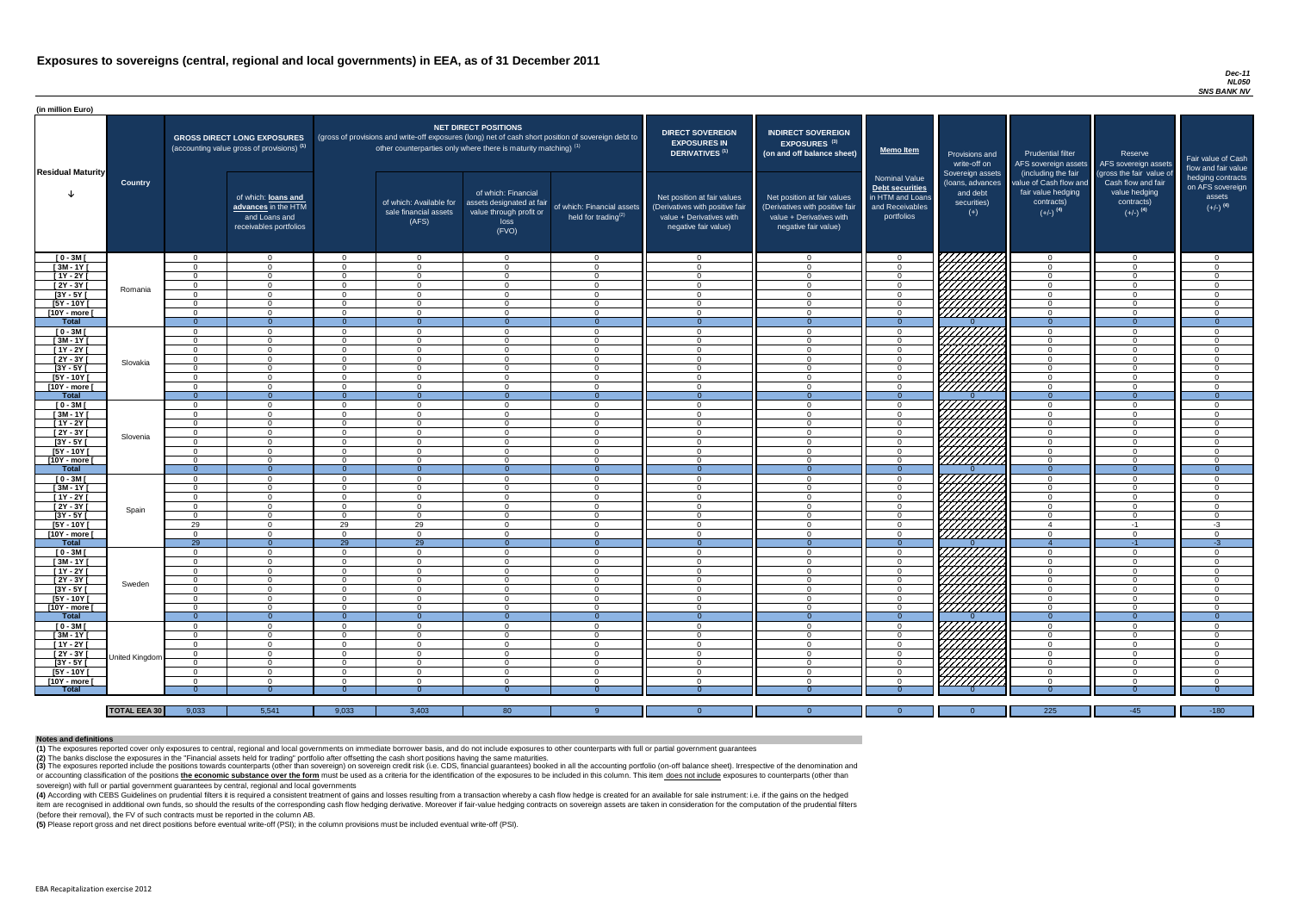#### *Dec-11 NL050 SNS BANK NV*

(4) According with CEBS Guidelines on prudential filters it is required a consistent treatment of gains and losses resulting from a transaction whereby a cash flow hedge is created for an available for sale instrument: i.e item are recognised in additional own funds, so should the results of the corresponding cash flow hedging derivative. Moreover if fair-value hedging contracts on sovereign assets are taken in consideration for the computat (before their removal), the FV of such contracts must be reported in the column AB.

| (in million Euro)          |                     |                            |                                                                                             |                      |                                                                                                                                                                                   |                                                                                              |                                                      |                                                                                                                    |                                                                                                                    |                                                                                              |                                                                          |                                                                                      |                                                                             |                                                                           |
|----------------------------|---------------------|----------------------------|---------------------------------------------------------------------------------------------|----------------------|-----------------------------------------------------------------------------------------------------------------------------------------------------------------------------------|----------------------------------------------------------------------------------------------|------------------------------------------------------|--------------------------------------------------------------------------------------------------------------------|--------------------------------------------------------------------------------------------------------------------|----------------------------------------------------------------------------------------------|--------------------------------------------------------------------------|--------------------------------------------------------------------------------------|-----------------------------------------------------------------------------|---------------------------------------------------------------------------|
| <b>Residual Maturity</b>   |                     |                            | <b>GROSS DIRECT LONG EXPOSURES</b><br>(accounting value gross of provisions) <sup>(1)</sup> |                      | (gross of provisions and write-off exposures (long) net of cash short position of sovereign debt to<br>other counterparties only where there is maturity matching) <sup>(1)</sup> | NET DIRECT POSITIONS                                                                         |                                                      | <b>DIRECT SOVEREIGN</b><br><b>EXPOSURES IN</b><br><b>DERIVATIVES (1)</b>                                           | <b>INDIRECT SOVEREIGN</b><br>EXPOSURES <sup>(3)</sup><br>(on and off balance sheet)                                | <b>Memo Item</b>                                                                             | Provisions and<br>write-off on                                           | Prudential filter<br>AFS sovereign assets<br>(including the fair                     | Reserve<br>AFS sovereign assets<br>(gross the fair value of                 | Fair value of Cash<br>flow and fair value                                 |
|                            | <b>Country</b>      |                            | of which: loans and<br>advances in the HTM<br>and Loans and<br>receivables portfolios       |                      | of which: Available for<br>sale financial assets<br>(AFS)                                                                                                                         | of which: Financial<br>assets designated at fair<br>value through profit or<br>loss<br>(FVO) | of which: Financial assets<br>held for trading $(2)$ | Net position at fair values<br>(Derivatives with positive fair<br>value + Derivatives with<br>negative fair value) | Net position at fair values<br>(Derivatives with positive fair<br>value + Derivatives with<br>negative fair value) | <b>Nominal Value</b><br>Debt securities<br>in HTM and Loans<br>and Receivables<br>portfolios | Sovereign assets<br>(loans, advances<br>and debt<br>securities)<br>$(+)$ | value of Cash flow and<br>fair value hedging<br>contracts)<br>$(+/-)$ <sup>(4)</sup> | Cash flow and fair<br>value hedging<br>contracts)<br>$(+/-)$ <sup>(4)</sup> | hedging contracts<br>on AFS sovereign<br>assets<br>$(+/-)$ <sup>(4)</sup> |
| $[0 - 3M]$                 |                     | $\Omega$                   | $\Omega$                                                                                    | $\Omega$             | - റ                                                                                                                                                                               | - റ                                                                                          | $\overline{0}$                                       | $\overline{0}$                                                                                                     | $\Omega$                                                                                                           | $\Omega$                                                                                     | <i>ЧНННА</i>                                                             | $\overline{0}$                                                                       | $\overline{0}$                                                              | $\overline{0}$                                                            |
| $[3M-1Y]$                  |                     | $\Omega$                   | $\Omega$                                                                                    | $\cap$               | _റ                                                                                                                                                                                | $\Omega$                                                                                     | $\Omega$                                             | $\Omega$                                                                                                           | $\Omega$                                                                                                           | $\Omega$                                                                                     |                                                                          | $\overline{0}$                                                                       | $\Omega$                                                                    | $\overline{0}$                                                            |
| $[1Y - 2Y]$                |                     | $\Omega$                   | $\Omega$<br>$\Omega$                                                                        | $\Omega$<br>$\Omega$ | $\cap$<br>$\cap$                                                                                                                                                                  | $\Omega$<br>$\Omega$                                                                         | $\overline{0}$                                       | $\Omega$                                                                                                           | $\Omega$<br>$\Omega$                                                                                               | $\cap$                                                                                       |                                                                          | $\Omega$                                                                             | $\Omega$<br>$\Omega$                                                        | $\overline{0}$                                                            |
| [2Y - 3Y [<br>[3Y - 5Y [   | Romania             | $\Omega$<br>$\Omega$       | $\cap$                                                                                      | $\cap$               | $\cap$                                                                                                                                                                            | റ                                                                                            | $\overline{0}$<br>$\Omega$                           | $\Omega$<br>$\Omega$                                                                                               | $\Omega$                                                                                                           |                                                                                              |                                                                          | $\Omega$<br>$\Omega$                                                                 | $\Omega$                                                                    | $\overline{0}$<br>$\overline{0}$                                          |
| [5Y - 10Y [                |                     | $\Omega$                   | $\cap$                                                                                      | $\cap$               | $\cap$                                                                                                                                                                            | $\cap$                                                                                       | $\cap$                                               | $\cap$                                                                                                             | $\Omega$                                                                                                           |                                                                                              |                                                                          | $\Omega$                                                                             | $\Omega$                                                                    | $\Omega$                                                                  |
| [10Y - more [              |                     | $\Omega$                   | $\cap$                                                                                      | $\cap$               | $\cap$                                                                                                                                                                            | $\cap$                                                                                       | $\Omega$                                             | $\cap$                                                                                                             | $\cap$                                                                                                             |                                                                                              | <u>UHHHA</u>                                                             | $\Omega$                                                                             | $\Omega$                                                                    | $\Omega$                                                                  |
| <b>Total</b>               |                     | $\Omega$                   | $\Omega$                                                                                    | $\Omega$             | - റ                                                                                                                                                                               | $\Omega$                                                                                     | $\Omega$                                             | $\Omega$                                                                                                           | $\Omega$                                                                                                           |                                                                                              |                                                                          | $\Omega$                                                                             | $\Omega$                                                                    | $\overline{0}$                                                            |
| $[0 - 3M]$                 |                     | $\Omega$                   | $\Omega$                                                                                    | $\Omega$             | $\Omega$                                                                                                                                                                          |                                                                                              | $\cap$                                               | $\Omega$                                                                                                           | $\Omega$                                                                                                           |                                                                                              | KATANA<br>KATANA                                                         | $\Omega$                                                                             | $\Omega$                                                                    | $\Omega$                                                                  |
| $[3M-1Y]$<br>$[1Y - 2Y]$   |                     | $\Omega$<br>$\Omega$       | $\Omega$<br>$\Omega$                                                                        | $\cap$<br>$\cap$     | $\Omega$<br>$\Omega$                                                                                                                                                              | $\cap$<br>$\cap$                                                                             | $\Omega$<br>$\Omega$                                 | $\Omega$<br>$\Omega$                                                                                               | $\Omega$<br>$\Omega$                                                                                               | $\Omega$                                                                                     |                                                                          | $\Omega$<br>$\Omega$                                                                 | $\Omega$<br>$\Omega$                                                        | $\overline{0}$<br>$\overline{0}$                                          |
| $[2Y - 3Y]$                |                     | $\Omega$                   | $\Omega$                                                                                    | $\cap$               | $\cap$                                                                                                                                                                            | $\cap$                                                                                       | $\Omega$                                             | $\Omega$                                                                                                           | $\Omega$                                                                                                           | $\Omega$                                                                                     |                                                                          | $\Omega$                                                                             | $\overline{0}$                                                              | $\overline{0}$                                                            |
| $[3Y - 5Y]$                | Slovakia            | $\Omega$                   | $\Omega$                                                                                    | $\Omega$             | $\Omega$                                                                                                                                                                          | $\cap$                                                                                       | $\Omega$                                             | $\Omega$                                                                                                           | $\Omega$                                                                                                           | $\Omega$                                                                                     |                                                                          | $\Omega$                                                                             | $\Omega$                                                                    | $\overline{0}$                                                            |
| [5Y - 10Y [                |                     | $\Omega$                   | $\cap$                                                                                      | $\cap$               | $\Omega$                                                                                                                                                                          | $\cap$                                                                                       | $\Omega$                                             | $\overline{0}$                                                                                                     | $\Omega$                                                                                                           | $\Omega$                                                                                     |                                                                          | $\Omega$                                                                             | $\Omega$                                                                    | $\overline{0}$                                                            |
| [10Y - more [              |                     | $\Omega$                   | $\Omega$                                                                                    | $\Omega$             | $\Omega$                                                                                                                                                                          | $\cap$                                                                                       | $\Omega$                                             | $\Omega$                                                                                                           | $\Omega$                                                                                                           | $\Omega$                                                                                     |                                                                          | $\overline{0}$                                                                       | $\Omega$                                                                    | $\overline{0}$                                                            |
| <b>Total</b>               |                     | - 0                        | $\Omega$                                                                                    | $\Omega$             | $\Omega$                                                                                                                                                                          | $\Omega$                                                                                     | $\Omega$                                             | $\Omega$                                                                                                           | $\Omega$                                                                                                           |                                                                                              |                                                                          | $\Omega$                                                                             | $\Omega$                                                                    | $\overline{0}$                                                            |
| $[0 - 3M]$                 |                     | $\Omega$                   | $\Omega$                                                                                    | $\cap$               | $\cap$<br>$\Omega$                                                                                                                                                                | $\cap$                                                                                       | $\Omega$                                             | $\Omega$                                                                                                           | $\Omega$                                                                                                           | $\cap$                                                                                       |                                                                          | $\Omega$                                                                             | $\Omega$                                                                    | $\overline{0}$                                                            |
| $[3M - 1Y]$<br>$[1Y - 2Y]$ |                     | $\Omega$<br>$\Omega$       | $\Omega$                                                                                    | $\cap$               | $\Omega$                                                                                                                                                                          |                                                                                              | $\Omega$<br>$\Omega$                                 | $\Omega$<br>$\Omega$                                                                                               | $\Omega$<br>$\Omega$                                                                                               |                                                                                              |                                                                          | $\Omega$<br>$\Omega$                                                                 | $\Omega$<br>$\Omega$                                                        | $\overline{0}$<br>$\Omega$                                                |
| [2Y - 3Y [                 |                     | $\Omega$                   |                                                                                             | ∩                    |                                                                                                                                                                                   |                                                                                              |                                                      | - 0                                                                                                                | $\Omega$                                                                                                           |                                                                                              |                                                                          | $\Omega$                                                                             | $\Omega$                                                                    | $\Omega$                                                                  |
| $[3Y - 5Y]$                | Slovenia            | - 0                        |                                                                                             |                      | - ( )                                                                                                                                                                             |                                                                                              | - 0                                                  | - 0                                                                                                                | 0                                                                                                                  |                                                                                              |                                                                          | - 0                                                                                  | -0                                                                          | - 0                                                                       |
| $[5Y - 10Y]$               |                     | $\Omega$                   | $\Omega$                                                                                    | $\Omega$             | - റ                                                                                                                                                                               | - റ                                                                                          | $\Omega$                                             | $\Omega$                                                                                                           | $\Omega$                                                                                                           | $\Omega$                                                                                     |                                                                          | $\overline{0}$                                                                       | $\overline{0}$                                                              | $\overline{0}$                                                            |
| [10Y - more [              |                     | $\Omega$                   | $\Omega$                                                                                    | . വ                  | - വ                                                                                                                                                                               | $\Omega$                                                                                     | $\Omega$                                             | $\Omega$                                                                                                           | - റ                                                                                                                | $\Omega$                                                                                     | $\left \frac{\mathscr{L}}{\mathscr{L}}\right $                           | $\overline{0}$                                                                       | $\Omega$                                                                    | $\overline{0}$                                                            |
| <b>Total</b>               |                     | $\Omega$                   | $\Omega$                                                                                    |                      |                                                                                                                                                                                   | $\Omega$                                                                                     | $\overline{0}$                                       | $\Omega$                                                                                                           | $\Omega$                                                                                                           |                                                                                              |                                                                          | $\Omega$                                                                             | $\Omega$                                                                    | $\Omega$                                                                  |
| $[0 - 3M]$                 |                     | $\Omega$                   | $\Omega$                                                                                    | . വ                  | - 0                                                                                                                                                                               | - റ                                                                                          | $\overline{0}$                                       | $\overline{0}$                                                                                                     | $\Omega$                                                                                                           | $\Omega$                                                                                     | <i>VIIIIII</i><br>VIIIIII                                                | $\overline{0}$                                                                       | $\overline{0}$                                                              | $\overline{0}$                                                            |
| $[3M - 1Y]$<br>$[1Y - 2Y]$ |                     | $\Omega$<br>$\overline{0}$ | $\overline{0}$<br>$\overline{0}$                                                            | $\Omega$<br>$\Omega$ | $\Omega$<br>$\Omega$                                                                                                                                                              | $\Omega$<br>$\Omega$                                                                         | $\overline{0}$<br>$\overline{0}$                     | $\overline{0}$<br>$\overline{0}$                                                                                   | $\Omega$<br>$\overline{0}$                                                                                         | $\Omega$<br>$\overline{0}$                                                                   |                                                                          | $\overline{0}$<br>$\overline{0}$                                                     | $\overline{0}$<br>$\overline{0}$                                            | $\overline{0}$<br>$\overline{0}$                                          |
| $[2Y - 3Y]$                |                     | $\Omega$                   | $\Omega$                                                                                    | $\Omega$             | - 0                                                                                                                                                                               | $\Omega$                                                                                     | $\overline{0}$                                       | $\Omega$                                                                                                           | $\Omega$                                                                                                           | $\Omega$                                                                                     |                                                                          | $\overline{0}$                                                                       | $\overline{0}$                                                              | $\overline{0}$                                                            |
| $[3Y - 5Y]$                | Spain               | $\Omega$                   | $\Omega$                                                                                    | $\Omega$             | $\Omega$                                                                                                                                                                          | $\Omega$                                                                                     | $\overline{0}$                                       | $\Omega$                                                                                                           | $\Omega$                                                                                                           | $\Omega$                                                                                     | <i>VIIII I</i> I                                                         | $\overline{0}$                                                                       | $\overline{0}$                                                              | $\overline{0}$                                                            |
| [5Y - 10Y [                |                     | 29                         | $\Omega$                                                                                    | 29                   | 29                                                                                                                                                                                | $\Omega$                                                                                     | $\Omega$                                             | $\Omega$                                                                                                           | $\Omega$                                                                                                           | $\Omega$                                                                                     |                                                                          | $\overline{4}$                                                                       | $-1$                                                                        | $-3$                                                                      |
| [10Y - more [              |                     | $\Omega$                   | $\Omega$                                                                                    | $\Omega$             | $\Omega$                                                                                                                                                                          | $\cap$                                                                                       | $\Omega$                                             | - റ                                                                                                                | $\Omega$                                                                                                           | $\Omega$                                                                                     | <u> HHHHH</u>                                                            | $\Omega$                                                                             | $\overline{0}$                                                              | $\overline{0}$                                                            |
| <b>Total</b>               |                     | $\overline{29}$            | $\overline{0}$                                                                              | $\overline{29}$      | $\overline{29}$                                                                                                                                                                   | $\Omega$                                                                                     | $\overline{0}$                                       | $\overline{0}$                                                                                                     | $\Omega$                                                                                                           |                                                                                              | 7777777777                                                               |                                                                                      | $-1$                                                                        | $-3$                                                                      |
| $[0 - 3M]$                 |                     | $\Omega$                   | $\Omega$<br>$\Omega$                                                                        | $\Omega$<br>$\Omega$ | $\Omega$<br>$\cap$                                                                                                                                                                | $\cap$<br>$\Omega$                                                                           | $\Omega$<br>$\Omega$                                 | $\Omega$                                                                                                           | $\Omega$                                                                                                           | $\Omega$<br>$\Omega$                                                                         | WANA WA                                                                  | $\Omega$<br>$\Omega$                                                                 | $\overline{0}$<br>$\Omega$                                                  | $\overline{0}$                                                            |
| $[3M - 1Y]$<br>[1Y - 2Y [  |                     | $\Omega$<br>$\Omega$       | $\Omega$                                                                                    | $\Omega$             | $\cap$                                                                                                                                                                            | $\cap$                                                                                       | $\Omega$                                             | $\Omega$<br>$\Omega$                                                                                               | $\Omega$<br>$\Omega$                                                                                               | $\Omega$                                                                                     |                                                                          | $\Omega$                                                                             | $\Omega$                                                                    | $\overline{0}$<br>$\overline{0}$                                          |
| [2Y - 3Y [                 |                     | $\Omega$                   | $\Omega$                                                                                    | $\Omega$             | $\Omega$                                                                                                                                                                          | $\cap$                                                                                       | $\Omega$                                             | $\overline{0}$                                                                                                     | $\Omega$                                                                                                           | $\Omega$                                                                                     |                                                                          | $\Omega$                                                                             | $\Omega$                                                                    | $\overline{0}$                                                            |
| [3Y - 5Y [                 | Sweden              | $\Omega$                   | $\Omega$                                                                                    | $\Omega$             | $\Omega$                                                                                                                                                                          | $\cap$                                                                                       | $\Omega$                                             | $\Omega$                                                                                                           | $\Omega$                                                                                                           | $\Omega$                                                                                     |                                                                          | $\Omega$                                                                             | $\Omega$                                                                    | $\overline{0}$                                                            |
| [5Y - 10Y [                |                     | $\Omega$                   | $\Omega$                                                                                    | $\Omega$             | $\Omega$                                                                                                                                                                          | $\Omega$                                                                                     | $\Omega$                                             | $\overline{0}$                                                                                                     | $\Omega$                                                                                                           | $\Omega$                                                                                     |                                                                          | $\overline{0}$                                                                       | $\Omega$                                                                    | $\overline{0}$                                                            |
| [10Y - more [              |                     | $\Omega$                   | $\Omega$                                                                                    | $\Omega$             | $\Omega$                                                                                                                                                                          | $\Omega$                                                                                     | $\overline{0}$                                       | $\overline{0}$                                                                                                     | $\Omega$                                                                                                           | $\Omega$                                                                                     | <u> 7777777</u>                                                          | $\overline{0}$                                                                       | $\overline{0}$                                                              | $\overline{0}$                                                            |
| <b>Total</b>               |                     | $\Omega$                   | $\overline{0}$                                                                              | $\Omega$             | $\Omega$                                                                                                                                                                          | $\overline{0}$                                                                               | $\overline{0}$                                       | $\overline{0}$                                                                                                     | $\Omega$                                                                                                           | - 0                                                                                          |                                                                          | $\overline{0}$                                                                       | $\Omega$                                                                    | $\overline{0}$                                                            |
| $[0 - 3M]$<br>$[3M - 1Y]$  |                     | $\Omega$<br>- 0            | $\Omega$<br>$\Omega$                                                                        | $\Omega$<br>$\Omega$ | $\cap$<br>$\Omega$                                                                                                                                                                | $\cap$<br>$\Omega$                                                                           | $\Omega$<br>$\overline{0}$                           | $\overline{0}$<br>$\overline{0}$                                                                                   | $\Omega$<br>$\overline{0}$                                                                                         | $\Omega$<br>$\Omega$                                                                         | HIIIIII)                                                                 | $\Omega$<br>$\overline{0}$                                                           | $\overline{0}$<br>$\overline{0}$                                            | $\overline{0}$<br>$\overline{0}$                                          |
| $[1Y - 2Y]$                |                     | $\Omega$                   | $\Omega$                                                                                    | $\Omega$             | $\cap$                                                                                                                                                                            |                                                                                              | $\Omega$                                             | - 0                                                                                                                | $\Omega$                                                                                                           |                                                                                              |                                                                          | $\Omega$                                                                             | $\Omega$                                                                    | $\Omega$                                                                  |
| [2Y - 3Y]                  |                     | $\Omega$                   | $\Omega$                                                                                    | $\Omega$             |                                                                                                                                                                                   |                                                                                              |                                                      | - 0                                                                                                                | $\Omega$                                                                                                           |                                                                                              | MANA.                                                                    | $\Omega$                                                                             | $\Omega$                                                                    | $\overline{0}$                                                            |
| $[3Y - 5Y]$                | United Kingdom      | <u>ິດ</u>                  | $\Omega$                                                                                    | $\Omega$             |                                                                                                                                                                                   |                                                                                              | $\Omega$                                             | - 0                                                                                                                | $\Omega$                                                                                                           |                                                                                              |                                                                          | $\Omega$                                                                             | $\Omega$                                                                    | $\overline{0}$                                                            |
| [5Y - 10Y [                |                     | $\Omega$                   | $\Omega$                                                                                    | $\Omega$             | $\cap$                                                                                                                                                                            |                                                                                              | $\Omega$                                             | $\Omega$                                                                                                           | $\Omega$                                                                                                           | $\Omega$                                                                                     |                                                                          | $\Omega$                                                                             | $\Omega$                                                                    | $\overline{0}$                                                            |
| [10Y - more [              |                     | $\Omega$                   | $\cap$                                                                                      | $\cap$               | $\cap$                                                                                                                                                                            | റ                                                                                            | $\cap$                                               | $\cap$                                                                                                             | $\Omega$                                                                                                           | $\cap$                                                                                       |                                                                          | $\Omega$                                                                             | $\cap$                                                                      | $\Omega$                                                                  |
| <b>Total</b>               |                     |                            |                                                                                             |                      |                                                                                                                                                                                   |                                                                                              | $\Omega$                                             |                                                                                                                    |                                                                                                                    |                                                                                              |                                                                          |                                                                                      |                                                                             | $\Omega$                                                                  |
|                            | <b>TOTAL EEA 30</b> | 9,033                      | 5,541                                                                                       | 9,033                |                                                                                                                                                                                   |                                                                                              |                                                      | $\Omega$                                                                                                           | $\Omega$                                                                                                           |                                                                                              | $\Omega$                                                                 | 225                                                                                  | $-45$                                                                       | $-180$                                                                    |
|                            |                     |                            |                                                                                             |                      | 3,403                                                                                                                                                                             | 80                                                                                           |                                                      |                                                                                                                    |                                                                                                                    |                                                                                              |                                                                          |                                                                                      |                                                                             |                                                                           |

(3) The exposures reported include the positions towards counterparts (other than sovereign) on sovereign credit risk (i.e. CDS, financial guarantees) booked in all the accounting portfolio (on-off balance sheet). Irrespec or accounting classification of the positions the economic substance over the form must be used as a criteria for the identification of the exposures to be included in this column. This item does not include exposures to c sovereign) with full or partial government guarantees by central, regional and local governments

**(5)** Please report gross and net direct positions before eventual write-off (PSI); in the column provisions must be included eventual write-off (PSI).

#### **Notes and definitions**

**(1)** The exposures reported cover only exposures to central, regional and local governments on immediate borrower basis, and do not include exposures to other counterparts with full or partial government guarantees **(2)** The banks disclose the exposures in the "Financial assets held for trading" portfolio after offsetting the cash short positions having the same maturities.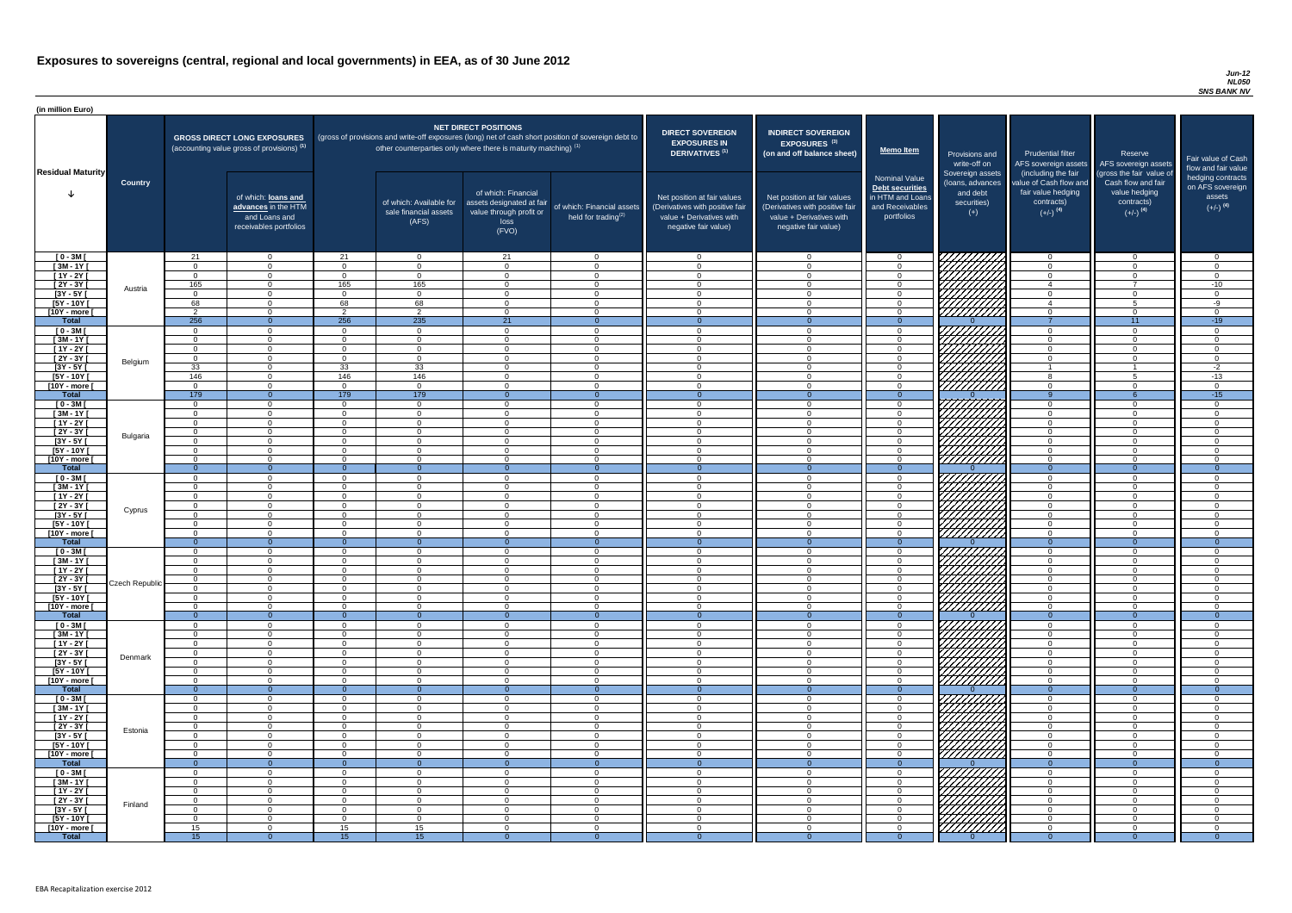#### *Jun-12 NL050 SNS BANK NV*

| (in million Euro)             |                |                  |                                                                                             |                      |                                                                                                                                                                                   |                                                                                              |                                                      |                                                                                                                    |                                                                                                                    |                                                                                                     |                                                                          |                                                                                      |                                                                                  |                                                                           |
|-------------------------------|----------------|------------------|---------------------------------------------------------------------------------------------|----------------------|-----------------------------------------------------------------------------------------------------------------------------------------------------------------------------------|----------------------------------------------------------------------------------------------|------------------------------------------------------|--------------------------------------------------------------------------------------------------------------------|--------------------------------------------------------------------------------------------------------------------|-----------------------------------------------------------------------------------------------------|--------------------------------------------------------------------------|--------------------------------------------------------------------------------------|----------------------------------------------------------------------------------|---------------------------------------------------------------------------|
| <b>Residual Maturity</b>      |                |                  | <b>GROSS DIRECT LONG EXPOSURES</b><br>(accounting value gross of provisions) <sup>(1)</sup> |                      | (gross of provisions and write-off exposures (long) net of cash short position of sovereign debt to<br>other counterparties only where there is maturity matching) <sup>(1)</sup> | NET DIRECT POSITIONS                                                                         |                                                      | <b>DIRECT SOVEREIGN</b><br><b>EXPOSURES IN</b><br><b>DERIVATIVES (1)</b>                                           | <b>INDIRECT SOVEREIGN</b><br><b>EXPOSURES<sup>(3)</sup></b><br>(on and off balance sheet)                          | <b>Memo Item</b>                                                                                    | Provisions and<br>write-off on                                           | <b>Prudential filter</b><br>(including the fair                                      | Reserve<br>AFS sovereign assets AFS sovereign assets<br>(gross the fair value of | Fair value of Cash<br>flow and fair value                                 |
|                               | <b>Country</b> |                  | of which: loans and<br>advances in the HTM<br>and Loans and<br>receivables portfolios       |                      | of which: Available for<br>sale financial assets<br>(AFS)                                                                                                                         | of which: Financial<br>assets designated at fair<br>value through profit or<br>loss<br>(FVO) | of which: Financial assets<br>held for trading $(2)$ | Net position at fair values<br>(Derivatives with positive fair<br>value + Derivatives with<br>negative fair value) | Net position at fair values<br>(Derivatives with positive fair<br>value + Derivatives with<br>negative fair value) | <b>Nominal Value</b><br><b>Debt securities</b><br>in HTM and Loans<br>and Receivables<br>portfolios | Sovereign assets<br>(loans, advances<br>and debt<br>securities)<br>$(+)$ | value of Cash flow and<br>fair value hedging<br>contracts)<br>$(+/-)$ <sup>(4)</sup> | Cash flow and fair<br>value hedging<br>contracts)<br>$(+/-)$ <sup>(4)</sup>      | hedging contracts<br>on AFS sovereign<br>assets<br>$(+/-)$ <sup>(4)</sup> |
| $[0 - 3M]$                    |                | 21               | $\overline{0}$                                                                              | 21                   | $\Omega$                                                                                                                                                                          | 21                                                                                           | $\overline{0}$                                       | $\cap$                                                                                                             | $\cap$                                                                                                             | - റ                                                                                                 | 777777777                                                                | _റ                                                                                   | $\overline{0}$                                                                   | . വ                                                                       |
| $[3M - 1Y]$<br>$[1Y - 2Y]$    |                | $\cap$<br>$\cap$ | $\Omega$<br>$\Omega$                                                                        | $\Omega$<br>$\Omega$ | $\Omega$<br>$\Omega$                                                                                                                                                              | $\Omega$<br>$\Omega$                                                                         | $\overline{0}$<br>$\overline{0}$                     | $\Omega$<br>$\cap$                                                                                                 | $\Omega$<br>$\Omega$                                                                                               | $\Omega$<br>$\Omega$                                                                                |                                                                          | $\Omega$<br>$\Omega$                                                                 | $\overline{0}$<br>$\Omega$                                                       | $\Omega$<br>$\Omega$                                                      |
| $[2Y - 3Y]$                   |                | 165              | $\Omega$                                                                                    | 165                  | 165                                                                                                                                                                               | $\Omega$                                                                                     | $\Omega$                                             | $\cap$                                                                                                             | $\Omega$                                                                                                           | $\Omega$                                                                                            | HANA<br>HANA                                                             | $\overline{4}$                                                                       | $\overline{ }$                                                                   | $-10$                                                                     |
| $[3Y - 5Y]$                   | Austria        |                  | $\Omega$                                                                                    |                      | $\overline{0}$                                                                                                                                                                    | $\Omega$                                                                                     | $\Omega$                                             | $\cap$                                                                                                             |                                                                                                                    | $\cap$                                                                                              |                                                                          | $\Omega$                                                                             | $\Omega$                                                                         | $\Omega$                                                                  |
| $[5Y - 10Y]$                  |                | 68<br>ົດ         | $\Omega$                                                                                    | 68<br>$\Omega$       | 68                                                                                                                                                                                | $\Omega$                                                                                     | $\Omega$                                             | $\cap$                                                                                                             |                                                                                                                    | $\Omega$                                                                                            |                                                                          | $\overline{4}$                                                                       | $5^{\circ}$                                                                      | $-9$                                                                      |
| [10Y - more [<br><b>Total</b> |                | 256              | $\Omega$<br>$\Omega$                                                                        | 256                  | $\mathcal{P}$<br>235                                                                                                                                                              | $\Omega$<br>21                                                                               | $\Omega$<br>$\Omega$                                 | $\cap$<br>- 0                                                                                                      | $\Omega$<br>$\Omega$                                                                                               | $\Omega$<br>$\Omega$                                                                                |                                                                          | $\Omega$                                                                             | $\Omega$<br>11                                                                   | $\Omega$<br>$-19$                                                         |
| $[0 - 3M]$                    |                | $\cap$           | $\Omega$                                                                                    |                      | $\Omega$                                                                                                                                                                          | $\Omega$                                                                                     | $\Omega$                                             | $\cap$                                                                                                             | $\Omega$                                                                                                           | $\Omega$                                                                                            |                                                                          | $\cap$                                                                               | $\Omega$                                                                         | $\Omega$                                                                  |
| $[3M - 1Y]$                   |                | $\cap$           | $\overline{0}$                                                                              |                      | $\Omega$                                                                                                                                                                          | $\Omega$                                                                                     | $\overline{0}$                                       | $\cap$                                                                                                             | $\Omega$                                                                                                           | $\Omega$                                                                                            |                                                                          | $\Omega$                                                                             | $\Omega$                                                                         | $\Omega$                                                                  |
| $[1Y - 2Y]$                   |                | $\cap$           | $\overline{0}$                                                                              | $\Omega$<br>$\Omega$ | $\Omega$                                                                                                                                                                          | $\Omega$                                                                                     | $\overline{0}$                                       | $\Omega$                                                                                                           | $\Omega$                                                                                                           | $\Omega$                                                                                            |                                                                          | $\Omega$                                                                             | $\Omega$                                                                         | $\Omega$                                                                  |
| $[2Y - 3Y]$<br>$[3Y - 5Y]$    | Belgium        | $\cap$<br>33     | $\overline{0}$<br>$\overline{0}$                                                            | 33                   | $\Omega$<br>33                                                                                                                                                                    | $\Omega$<br>$\Omega$                                                                         | $\overline{0}$<br>$\overline{0}$                     | $\cap$<br>$\cap$                                                                                                   | $\Omega$<br>$\Omega$                                                                                               | $\Omega$<br>$\Omega$                                                                                | HAHAHA<br>HAHAHA                                                         | $\Omega$                                                                             | $\Omega$                                                                         | $\Omega$<br>$-2$                                                          |
| $[5Y - 10Y]$                  |                | 146              | $\overline{0}$                                                                              | 146                  | 146                                                                                                                                                                               | $\Omega$                                                                                     | $\overline{0}$                                       | $\Omega$                                                                                                           | $\Omega$                                                                                                           | $\overline{0}$                                                                                      |                                                                          | 8                                                                                    | 5                                                                                | $-13$                                                                     |
| [10Y - more [                 |                | $\Omega$         | $\overline{0}$                                                                              | $\cap$               | $\overline{0}$                                                                                                                                                                    | $\Omega$                                                                                     | $\overline{0}$                                       | $\Omega$                                                                                                           | $\Omega$                                                                                                           | $\overline{0}$                                                                                      |                                                                          | $\overline{0}$                                                                       | $\Omega$                                                                         | $\overline{0}$                                                            |
| <b>Total</b>                  |                | 179<br>$\Omega$  | $\overline{0}$                                                                              | 179<br>$\Omega$      | 179                                                                                                                                                                               | $\Omega$<br>$\Omega$                                                                         | $\Omega$                                             | $\Omega$<br>$\Omega$                                                                                               | $\Omega$                                                                                                           | $\Omega$                                                                                            |                                                                          | $\alpha$<br>$\Omega$                                                                 |                                                                                  | $-15$<br>$\Omega$                                                         |
| $[0 - 3M]$<br>$\sqrt{3M-1Y}$  |                | $\Omega$         | $\overline{0}$<br>$\overline{0}$                                                            |                      | $\overline{0}$<br>$\Omega$                                                                                                                                                        | $\Omega$                                                                                     | $\overline{0}$<br>$\overline{0}$                     | $\Omega$                                                                                                           | $\cap$                                                                                                             | $\overline{0}$<br>$\Omega$                                                                          | ZZZZZZZZZZ<br>CZZZZZZZZZZZZ                                              | $\Omega$                                                                             | $\overline{0}$<br>$\Omega$                                                       | $\Omega$                                                                  |
| $[1Y - 2Y]$                   |                | $\Omega$         | $\Omega$                                                                                    |                      | $\Omega$                                                                                                                                                                          | $\Omega$                                                                                     | $\overline{0}$                                       | - 0                                                                                                                |                                                                                                                    | $\Omega$                                                                                            |                                                                          | $\Omega$                                                                             | $\Omega$                                                                         | $\Omega$                                                                  |
| $[2Y - 3Y]$                   | Bulgaria       | $\Omega$         | $\Omega$                                                                                    | $\Omega$             | $\Omega$                                                                                                                                                                          | $\Omega$                                                                                     | $\overline{0}$                                       | - 0                                                                                                                | $\Omega$                                                                                                           | $\Omega$                                                                                            | $\frac{1}{2}$                                                            | - 0                                                                                  | $\overline{0}$                                                                   | $\Omega$                                                                  |
| $[3Y - 5Y]$<br>$[5Y - 10Y]$   |                |                  | O<br>$\Omega$                                                                               | $\cap$               | - 0<br>- റ                                                                                                                                                                        | $\Omega$<br>$\Omega$                                                                         | 0<br>$\overline{0}$                                  | $\cap$                                                                                                             |                                                                                                                    | $\Omega$                                                                                            | <i>\HHHIII</i>                                                           | -0<br>_റ                                                                             | 0<br>$\Omega$                                                                    | $\Omega$                                                                  |
| [10Y - more [                 |                | $\cap$           | $\Omega$                                                                                    | $\cap$               | $\Omega$                                                                                                                                                                          | $\Omega$                                                                                     | $\Omega$                                             | $\cap$                                                                                                             | $\cap$                                                                                                             | $\Omega$                                                                                            | <u>//////////</u>                                                        | $\overline{0}$                                                                       | $\Omega$                                                                         | $\Omega$                                                                  |
| <b>Total</b>                  |                |                  | $\Omega$                                                                                    |                      |                                                                                                                                                                                   |                                                                                              | $\overline{0}$                                       |                                                                                                                    |                                                                                                                    | -0                                                                                                  |                                                                          | $\Omega$                                                                             |                                                                                  |                                                                           |
| $[0 - 3M]$                    |                | $\cap$           | $\Omega$                                                                                    | $\Omega$             | $\Omega$                                                                                                                                                                          | $\Omega$                                                                                     | $\overline{0}$                                       | $\Omega$                                                                                                           | $\Omega$                                                                                                           | $\cap$                                                                                              |                                                                          | $\cap$                                                                               | $\overline{0}$                                                                   | $\Omega$                                                                  |
| $[3M - 1Y]$<br>$[1Y - 2Y]$    |                | $\cap$<br>$\cap$ | $\overline{0}$<br>$\Omega$                                                                  | $\Omega$<br>$\Omega$ | $\Omega$<br>$\Omega$                                                                                                                                                              | $\Omega$<br>$\Omega$                                                                         | $\overline{0}$<br>$\overline{0}$                     | $\Omega$<br>$\Omega$                                                                                               | $\Omega$<br>$\Omega$                                                                                               | $\Omega$<br>$\Omega$                                                                                |                                                                          | $\Omega$<br>$\Omega$                                                                 | $\overline{0}$<br>$\overline{0}$                                                 | $\Omega$<br>$\Omega$                                                      |
| $[2Y - 3Y]$                   |                | റ                | $\overline{0}$                                                                              | $\Omega$             | $\overline{0}$                                                                                                                                                                    | $\Omega$                                                                                     | $\overline{0}$                                       | $\Omega$                                                                                                           | $\Omega$                                                                                                           | $\Omega$                                                                                            |                                                                          | $\Omega$                                                                             | $\overline{0}$                                                                   | $\Omega$                                                                  |
| $[3Y - 5Y]$                   | Cyprus         |                  | $\Omega$                                                                                    | $\Omega$             | $\Omega$                                                                                                                                                                          | $\Omega$                                                                                     | $\Omega$                                             | $\cap$                                                                                                             | $\cap$                                                                                                             | $\Omega$                                                                                            |                                                                          | $\Omega$                                                                             | $\Omega$                                                                         | $\Omega$                                                                  |
| $[5Y - 10Y]$                  |                |                  | $\Omega$                                                                                    | ∩                    | $\Omega$                                                                                                                                                                          | $\Omega$                                                                                     | $\Omega$                                             | $\cap$                                                                                                             | ∩                                                                                                                  | $\Omega$                                                                                            | <u>//////////</u>                                                        | $\cap$                                                                               | $\Omega$                                                                         | ∩                                                                         |
| [10Y - more [<br><b>Total</b> |                | $\Omega$         | $\Omega$<br>$\Omega$                                                                        | $\Omega$             | $\Omega$<br>$\Omega$                                                                                                                                                              | $\Omega$<br>$\Omega$                                                                         | $\Omega$<br>$\Omega$                                 | $\Omega$                                                                                                           |                                                                                                                    | $\cap$<br>$\Omega$                                                                                  |                                                                          | $\Omega$<br>$\Omega$                                                                 | $\Omega$<br>$\Omega$                                                             | $\Omega$                                                                  |
| $[0 - 3M]$                    |                |                  | $\Omega$                                                                                    | $\cap$               | $\Omega$                                                                                                                                                                          | $\Omega$                                                                                     | $\Omega$                                             | റ                                                                                                                  | $\Omega$                                                                                                           | $\Omega$                                                                                            |                                                                          | $\Omega$                                                                             | $\Omega$                                                                         |                                                                           |
| $[3M - 1Y]$                   |                |                  | $\Omega$                                                                                    | $\Omega$             | $\Omega$                                                                                                                                                                          | $\Omega$                                                                                     | $\overline{0}$                                       | $\Omega$                                                                                                           | $\Omega$                                                                                                           | $\Omega$                                                                                            |                                                                          | $\Omega$                                                                             | $\Omega$                                                                         | $\Omega$                                                                  |
| $[1Y - 2Y]$<br>$[2Y - 3Y]$    |                | $\cap$           | $\Omega$<br>$\overline{0}$                                                                  | $\Omega$<br>$\Omega$ | $\Omega$<br>$\Omega$                                                                                                                                                              | $\Omega$<br>$\Omega$                                                                         | $\overline{0}$<br>$\overline{0}$                     | $\Omega$<br>$\Omega$                                                                                               | $\Omega$<br>$\Omega$                                                                                               | $\Omega$<br>$\Omega$                                                                                | 777777777                                                                | $\Omega$<br>$\Omega$                                                                 | $\Omega$<br>$\Omega$                                                             | $\Omega$<br>$\Omega$                                                      |
| $[3Y - 5Y]$                   | Czech Republic |                  | $\Omega$                                                                                    | $\Omega$             | $\Omega$                                                                                                                                                                          | $\Omega$                                                                                     | $\overline{0}$                                       | $\cap$                                                                                                             | $\Omega$                                                                                                           | $\Omega$                                                                                            |                                                                          | $\Omega$                                                                             | $\Omega$                                                                         | $\Omega$                                                                  |
| $[5Y - 10Y]$                  |                | $\cap$           | $\overline{0}$                                                                              | $\Omega$             | $\Omega$                                                                                                                                                                          | $\Omega$                                                                                     | $\overline{0}$                                       | $\cap$                                                                                                             | $\Omega$                                                                                                           | $\Omega$                                                                                            | 777777777                                                                | $\Omega$                                                                             | $\Omega$                                                                         | $\Omega$                                                                  |
| [10Y - more ]                 |                | $\cap$           | $\overline{0}$                                                                              | $\Omega$             | $\Omega$                                                                                                                                                                          | $\Omega$                                                                                     | $\Omega$                                             | $\Omega$                                                                                                           | $\Omega$                                                                                                           | $\overline{0}$                                                                                      | ,,,,,,,,,,                                                               | $\Omega$                                                                             | $\Omega$                                                                         | $\Omega$                                                                  |
| <b>Total</b><br>$[0 - 3M]$    |                | $\Omega$         | $\overline{0}$<br>$\overline{0}$                                                            | $\Omega$<br>$\cap$   | $\Omega$<br>$\Omega$                                                                                                                                                              | $\Omega$                                                                                     | $\overline{0}$<br>$\overline{0}$                     | $\Omega$<br>- 0                                                                                                    |                                                                                                                    | $\Omega$<br>$\Omega$                                                                                | ,,,,,,,,,,,                                                              | $\overline{0}$<br>$\overline{0}$                                                     | $\Omega$<br>$\overline{0}$                                                       | $\Omega$                                                                  |
| $[3M - 1Y]$                   |                |                  | $\overline{0}$                                                                              |                      | $\Omega$                                                                                                                                                                          | $\Omega$                                                                                     | $\overline{0}$                                       | - 0                                                                                                                |                                                                                                                    | $\Omega$                                                                                            |                                                                          | $\Omega$                                                                             | $\Omega$                                                                         |                                                                           |
| $[1Y - 2Y]$                   |                |                  | $\overline{0}$                                                                              |                      | - 0                                                                                                                                                                               | $\Omega$                                                                                     | $\mathbf{0}$                                         | $\Omega$                                                                                                           |                                                                                                                    | $\Omega$                                                                                            | 777777777                                                                | $\overline{0}$                                                                       | $\overline{0}$                                                                   |                                                                           |
| $[2Y - 3Y]$<br>$[3Y - 5Y]$    | Denmark        |                  | $\Omega$<br>$\Omega$                                                                        |                      | - ೧<br>$\Omega$                                                                                                                                                                   | $\Omega$<br>$\Omega$                                                                         | $\Omega$<br>$\overline{0}$                           | - വ<br>- വ                                                                                                         |                                                                                                                    | $\Omega$<br>$\Omega$                                                                                | //////////                                                               | $\Omega$<br>$\Omega$                                                                 | $\Omega$<br>$\overline{0}$                                                       |                                                                           |
| $[5Y - 10Y]$                  |                | $\Omega$         | $\overline{0}$                                                                              | $\Omega$             | $\Omega$                                                                                                                                                                          | $\Omega$                                                                                     | $\overline{0}$                                       | - 0                                                                                                                | $\Omega$                                                                                                           | $\Omega$                                                                                            | 7777777777                                                               | $\overline{0}$                                                                       | $\overline{0}$                                                                   | $\Omega$                                                                  |
| [10Y - more [                 |                | $\cap$           | $\overline{0}$                                                                              | $\cap$               | - റ                                                                                                                                                                               | $\Omega$                                                                                     | $\overline{0}$                                       | റ                                                                                                                  | $\Omega$                                                                                                           | $\Omega$                                                                                            | ////////////                                                             | $\overline{0}$                                                                       | $\Omega$                                                                         | $\cap$                                                                    |
| <b>Total</b>                  |                | റ                | $\Omega$                                                                                    |                      | - വ                                                                                                                                                                               |                                                                                              | $\Omega$                                             | - റ                                                                                                                |                                                                                                                    | $\Omega$                                                                                            |                                                                          | $\overline{0}$                                                                       | $\Omega$                                                                         |                                                                           |
| $[0 - 3M]$<br>$[3M - 1Y]$     |                | $\cap$<br>$\cap$ | $\overline{0}$<br>$\overline{0}$                                                            | $\cap$<br>$\Omega$   | $\Omega$<br>$\Omega$                                                                                                                                                              | $\Omega$<br>$\Omega$                                                                         | $\overline{0}$<br>$\overline{0}$                     | - 0<br>$\Omega$                                                                                                    | $\Omega$<br>$\Omega$                                                                                               | $\overline{0}$<br>$\overline{0}$                                                                    |                                                                          | $\overline{0}$<br>$\overline{0}$                                                     | $\overline{0}$<br>$\overline{0}$                                                 | $\Omega$<br>$\Omega$                                                      |
| $[1Y - 2Y]$                   |                | $\cap$           | $\Omega$                                                                                    | $\Omega$             | $\Omega$                                                                                                                                                                          | $\Omega$                                                                                     | $\overline{0}$                                       | $\Omega$                                                                                                           | $\Omega$                                                                                                           | $\Omega$                                                                                            | VIIIIIII                                                                 | $\Omega$                                                                             | $\overline{0}$                                                                   | $\Omega$                                                                  |
| $[2Y - 3Y]$                   | Estonia        | റ                | $\overline{0}$                                                                              | $\Omega$             | $\overline{0}$                                                                                                                                                                    | $\overline{0}$                                                                               | $\overline{0}$                                       | $\Omega$                                                                                                           | $\Omega$                                                                                                           | $\overline{0}$                                                                                      |                                                                          | $\overline{0}$                                                                       | $\overline{0}$                                                                   | $\Omega$                                                                  |
| $[3Y - 5Y]$                   |                |                  | $\Omega$                                                                                    | $\Omega$<br>$\cap$   | $\Omega$                                                                                                                                                                          | $\Omega$                                                                                     | $\Omega$                                             | $\Omega$<br>$\cap$                                                                                                 | $\Omega$<br>∩                                                                                                      | $\Omega$                                                                                            |                                                                          | $\Omega$                                                                             | $\Omega$                                                                         | $\Omega$                                                                  |
| $[5Y - 10Y]$<br>[10Y - more ] |                |                  | $\Omega$<br>$\Omega$                                                                        | $\Omega$             | $\Omega$<br>$\Omega$                                                                                                                                                              | $\Omega$<br>$\Omega$                                                                         | $\Omega$<br>$\Omega$                                 | $\Omega$                                                                                                           | $\cap$                                                                                                             | $\Omega$<br>$\Omega$                                                                                |                                                                          | $\Omega$<br>$\Omega$                                                                 | $\Omega$<br>$\Omega$                                                             | $\Omega$<br>$\Omega$                                                      |
| <b>Total</b>                  |                |                  | $\Omega$                                                                                    |                      |                                                                                                                                                                                   |                                                                                              | $\Omega$                                             |                                                                                                                    |                                                                                                                    |                                                                                                     | /////////                                                                |                                                                                      | $\overline{0}$                                                                   | $\theta$                                                                  |
| $[0 - 3M]$                    |                |                  | $\Omega$                                                                                    |                      | $\cap$                                                                                                                                                                            | $\Omega$                                                                                     | $\Omega$                                             |                                                                                                                    |                                                                                                                    |                                                                                                     | 777777777                                                                |                                                                                      | $\Omega$                                                                         |                                                                           |
| $[3M - 1Y]$                   |                | $\Omega$         | $\overline{0}$                                                                              | $\Omega$<br>$\Omega$ | $\overline{0}$                                                                                                                                                                    | $\Omega$                                                                                     | $\overline{0}$                                       | $\Omega$<br>$\Omega$                                                                                               | $\Omega$<br>$\Omega$                                                                                               | $\Omega$<br>$\Omega$                                                                                | William                                                                  | $\Omega$<br>$\Omega$                                                                 | $\overline{0}$                                                                   |                                                                           |
| $[1Y - 2Y]$<br>$[2Y - 3Y]$    |                | റ                | $\overline{0}$<br>$\overline{0}$                                                            | $\Omega$             | $\Omega$<br>$\Omega$                                                                                                                                                              | $\overline{0}$<br>$\Omega$                                                                   | $\overline{0}$<br>$\overline{0}$                     | $\Omega$                                                                                                           | $\Omega$                                                                                                           | $\Omega$                                                                                            |                                                                          | $\Omega$                                                                             | $\overline{0}$<br>$\overline{0}$                                                 | $\overline{0}$<br>$\Omega$                                                |
| $[3Y - 5Y]$                   | Finland        | റ                | $\overline{0}$                                                                              | $\Omega$             | $\overline{0}$                                                                                                                                                                    | $\overline{0}$                                                                               | $\overline{0}$                                       | $\Omega$                                                                                                           | $\Omega$                                                                                                           | $\overline{0}$                                                                                      |                                                                          | $\Omega$                                                                             | $\overline{0}$                                                                   | $\overline{0}$                                                            |
| [5Y - 10Y [                   |                | . വ              | $\overline{0}$                                                                              | $\Omega$             | $\overline{0}$                                                                                                                                                                    | $\overline{0}$                                                                               | $\overline{0}$                                       | $\Omega$                                                                                                           | $\Omega$                                                                                                           | $\overline{0}$                                                                                      |                                                                          | $\Omega$                                                                             | $\overline{0}$                                                                   | $\Omega$                                                                  |
| [10Y - more [<br><b>Total</b> |                | 15<br>15         | $\overline{0}$<br>$\overline{0}$                                                            | 15<br>15             | 15<br>15                                                                                                                                                                          | $\overline{0}$<br>$\mathbf{0}$                                                               | $\overline{0}$<br>$\overline{0}$                     | $\Omega$<br>- 0                                                                                                    | $\Omega$                                                                                                           | $\overline{0}$<br>$\Omega$                                                                          |                                                                          | $\Omega$<br>$\overline{0}$                                                           | $\Omega$<br>$\Omega$                                                             | $\Omega$<br>$\overline{0}$                                                |
|                               |                |                  |                                                                                             |                      |                                                                                                                                                                                   |                                                                                              |                                                      |                                                                                                                    |                                                                                                                    |                                                                                                     |                                                                          |                                                                                      |                                                                                  |                                                                           |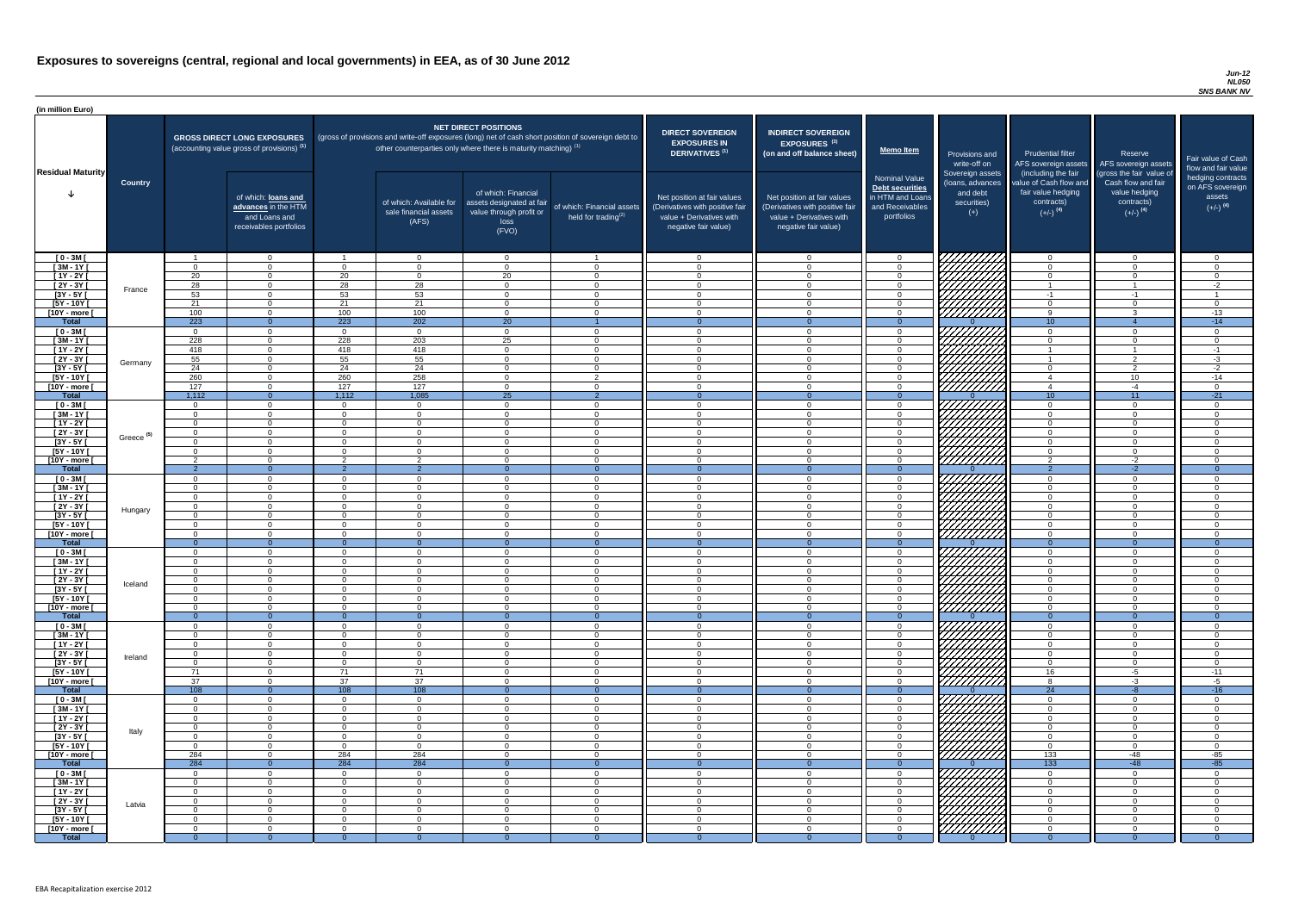#### *Jun-12 NL050 SNS BANK NV*

| (in million Euro)             |                       |                      |                                                                                             |                      |                                                                                                     |                                                                                                           |                                                      |                                                                                                                    |                                                                                                                    |                                                                                                     |                                                                                                                                                                                                                                      |                                                                                                             |                                                                                                         |                                                                           |
|-------------------------------|-----------------------|----------------------|---------------------------------------------------------------------------------------------|----------------------|-----------------------------------------------------------------------------------------------------|-----------------------------------------------------------------------------------------------------------|------------------------------------------------------|--------------------------------------------------------------------------------------------------------------------|--------------------------------------------------------------------------------------------------------------------|-----------------------------------------------------------------------------------------------------|--------------------------------------------------------------------------------------------------------------------------------------------------------------------------------------------------------------------------------------|-------------------------------------------------------------------------------------------------------------|---------------------------------------------------------------------------------------------------------|---------------------------------------------------------------------------|
| <b>Residual Maturity</b>      |                       |                      | <b>GROSS DIRECT LONG EXPOSURES</b><br>(accounting value gross of provisions) <sup>(1)</sup> |                      | (gross of provisions and write-off exposures (long) net of cash short position of sovereign debt to | <b>NET DIRECT POSITIONS</b><br>other counterparties only where there is maturity matching) <sup>(1)</sup> |                                                      | <b>DIRECT SOVEREIGN</b><br><b>EXPOSURES IN</b><br><b>DERIVATIVES (1)</b>                                           | <b>INDIRECT SOVEREIGN</b><br><b>EXPOSURES<sup>(3)</sup></b><br>(on and off balance sheet)                          | <b>Memo Item</b>                                                                                    | Provisions and<br>write-off on                                                                                                                                                                                                       | <b>Prudential filter</b>                                                                                    | Reserve<br>AFS sovereign assets AFS sovereign assets                                                    | Fair value of Cash<br>flow and fair value                                 |
|                               | <b>Country</b>        |                      | of which: loans and<br>advances in the HTM<br>and Loans and<br>receivables portfolios       |                      | of which: Available for<br>sale financial assets<br>(AFS)                                           | of which: Financial<br>assets designated at fair<br>value through profit or<br>loss<br>(FVO)              | of which: Financial assets<br>held for trading $(2)$ | Net position at fair values<br>(Derivatives with positive fair<br>value + Derivatives with<br>negative fair value) | Net position at fair values<br>(Derivatives with positive fair<br>value + Derivatives with<br>negative fair value) | <b>Nominal Value</b><br><b>Debt securities</b><br>in HTM and Loans<br>and Receivables<br>portfolios | Sovereign assets<br>(loans, advances<br>and debt<br>securities)<br>$(+)$                                                                                                                                                             | (including the fair<br>value of Cash flow and<br>fair value hedging<br>contracts)<br>$(+/-)$ <sup>(4)</sup> | (gross the fair value of<br>Cash flow and fair<br>value hedging<br>contracts)<br>$(+/-)$ <sup>(4)</sup> | hedging contracts<br>on AFS sovereign<br>assets<br>$(+/-)$ <sup>(4)</sup> |
| $[0 - 3M]$                    |                       |                      | $\overline{0}$                                                                              |                      | $\overline{0}$                                                                                      | $\Omega$                                                                                                  |                                                      | - റ                                                                                                                | $\Omega$                                                                                                           | $\Omega$                                                                                            |                                                                                                                                                                                                                                      | $\cap$                                                                                                      | $\overline{0}$                                                                                          | $\Omega$                                                                  |
| $[3M - 1Y]$<br>$[1Y - 2Y]$    |                       | $\Omega$<br>20       | $\Omega$<br>$\Omega$                                                                        | $\Omega$<br>20       | $\Omega$<br>$\Omega$                                                                                | $\Omega$<br>20                                                                                            | $\Omega$<br>$\Omega$                                 | $\Omega$<br>$\cap$                                                                                                 | $\Omega$<br>$\Omega$                                                                                               | $\Omega$                                                                                            |                                                                                                                                                                                                                                      | $\cap$<br>$\Omega$                                                                                          | $\Omega$<br>$\Omega$                                                                                    | $\Omega$<br>$\Omega$                                                      |
| [2Y - 3Y [                    |                       | 28                   | $\Omega$                                                                                    | 28                   | 28                                                                                                  | $\Omega$                                                                                                  | $\overline{0}$                                       | $\cap$                                                                                                             | $\Omega$                                                                                                           | $\cap$                                                                                              |                                                                                                                                                                                                                                      |                                                                                                             |                                                                                                         | $-2$                                                                      |
| $[3Y - 5Y]$                   | France                | 53                   | $\Omega$                                                                                    | 53                   | $\overline{53}$                                                                                     | $\Omega$                                                                                                  | $\overline{0}$                                       | $\cap$                                                                                                             | $\Omega$                                                                                                           | $\cap$                                                                                              |                                                                                                                                                                                                                                      | $-1$                                                                                                        | -1                                                                                                      | $\overline{1}$                                                            |
| $[5Y - 10Y]$                  |                       | 21                   | $\overline{0}$                                                                              | 21                   | 21                                                                                                  | $\Omega$                                                                                                  | $\overline{0}$                                       | $\cap$                                                                                                             | $\Omega$                                                                                                           | $\cap$                                                                                              |                                                                                                                                                                                                                                      | $\cap$                                                                                                      | $\Omega$                                                                                                | $\Omega$                                                                  |
| [10Y - more [                 |                       | 100<br>223           | $\overline{0}$<br>$\overline{0}$                                                            | 100                  | 100<br>$\overline{202}$                                                                             | $\Omega$                                                                                                  | $\overline{0}$<br>$\overline{1}$                     | $\cap$<br>- 0                                                                                                      | $\Omega$<br>$\Omega$                                                                                               | $\Omega$                                                                                            |                                                                                                                                                                                                                                      | $\alpha$                                                                                                    | $\mathbf{3}$                                                                                            | $-13$                                                                     |
| <b>Total</b><br>$[0 - 3M]$    |                       | $\Omega$             | $\overline{0}$                                                                              | 223<br>$\Omega$      | $\overline{0}$                                                                                      | $\overline{20}$<br>$\Omega$                                                                               | $\overline{0}$                                       | $\cap$                                                                                                             | $\Omega$                                                                                                           | $\Omega$<br>$\Omega$                                                                                |                                                                                                                                                                                                                                      | 10<br>$\Omega$                                                                                              | $\Omega$                                                                                                | $-14$<br>$\Omega$                                                         |
| $[3M - 1Y]$                   |                       | 228                  | $\overline{0}$                                                                              | 228                  | 203                                                                                                 | 25                                                                                                        | $\overline{0}$                                       | $\cap$                                                                                                             | $\Omega$                                                                                                           | $\Omega$                                                                                            |                                                                                                                                                                                                                                      | $\cap$                                                                                                      | $\Omega$                                                                                                | $\Omega$                                                                  |
| $[1Y - 2Y]$                   |                       | 418                  | $\overline{0}$                                                                              | 418                  | 418                                                                                                 | $\Omega$                                                                                                  | $\overline{0}$                                       | $\Omega$                                                                                                           | $\Omega$                                                                                                           | $\Omega$                                                                                            |                                                                                                                                                                                                                                      |                                                                                                             |                                                                                                         | $-1$                                                                      |
| $[2Y - 3Y]$                   | Germany               | 55                   | $\overline{0}$                                                                              | 55                   | 55                                                                                                  | $\Omega$                                                                                                  | $\overline{0}$                                       | $\Omega$                                                                                                           | $\Omega$                                                                                                           | $\Omega$                                                                                            | an dheer ah dheer ah dheer ah dheer ah dheer ah dheer ah dheer ah dheer ah dheer ah dheer ah dheer ah dheer ah<br>Marko dheer ah dheer ah dheer ah dheer ah dheer ah dheer ah dheer ah dheer ah dheer ah dheer ah dheer ah dheer<br> |                                                                                                             | $\overline{2}$                                                                                          | $-3$                                                                      |
| $[3Y - 5Y]$<br>$[5Y - 10Y]$   |                       | 24<br>260            | $\overline{0}$<br>$\Omega$                                                                  | 24<br>260            | $\overline{24}$<br>258                                                                              | $\Omega$<br>$\Omega$                                                                                      | $\Omega$<br>$\mathcal{P}$                            | $\Omega$                                                                                                           |                                                                                                                    | $\Omega$                                                                                            |                                                                                                                                                                                                                                      | $\Omega$<br>$\overline{4}$                                                                                  | $\overline{2}$                                                                                          | $-2$<br>$-14$                                                             |
| [10Y - more [                 |                       | 127                  | $\Omega$                                                                                    | 127                  | 127                                                                                                 | $\cap$                                                                                                    | $\Omega$                                             | $\cap$                                                                                                             | $\Omega$                                                                                                           | $\cap$                                                                                              | 777777777                                                                                                                                                                                                                            | $\overline{4}$                                                                                              | 10 <sup>°</sup><br>$-4$                                                                                 | - 0                                                                       |
| <b>Total</b>                  |                       | 1,112                | $\Omega$                                                                                    | 1,112                | 1,085                                                                                               | 25                                                                                                        | $\overline{2}$                                       | - റ                                                                                                                |                                                                                                                    | $\Omega$                                                                                            |                                                                                                                                                                                                                                      | 10                                                                                                          | 11                                                                                                      | $-21$                                                                     |
| $[0 - 3M]$                    |                       | $\cap$               | $\Omega$                                                                                    | $\cap$               | $\Omega$                                                                                            | $\cap$                                                                                                    | $\Omega$                                             | $\cap$                                                                                                             | $\cap$                                                                                                             | റ                                                                                                   | 777777777                                                                                                                                                                                                                            | $\Omega$                                                                                                    | $\overline{0}$                                                                                          | $\Omega$                                                                  |
| $[3M - 1Y]$                   |                       | $\cap$               | $\overline{0}$                                                                              | $\Omega$             | $\Omega$                                                                                            | $\Omega$<br>$\cap$                                                                                        | $\overline{0}$                                       | $\cap$                                                                                                             | $\Omega$                                                                                                           | $\cap$                                                                                              | ШШ                                                                                                                                                                                                                                   | $\Omega$                                                                                                    | $\overline{0}$                                                                                          | $\Omega$                                                                  |
| $[1Y - 2Y]$<br>$[2Y - 3Y]$    |                       | $\Omega$<br>$\Omega$ | $\Omega$<br>$\Omega$                                                                        | $\cap$<br>$\Omega$   | $\Omega$<br>$\Omega$                                                                                | $\Omega$                                                                                                  | $\overline{0}$<br>$\Omega$                           | - 0<br>$\cap$                                                                                                      | $\Omega$<br>$\Omega$                                                                                               | $\Omega$<br>$\Omega$                                                                                | <i>VIIIIIA</i>                                                                                                                                                                                                                       | $\overline{0}$<br>$\Omega$                                                                                  | $\overline{0}$<br>$\Omega$                                                                              | $\overline{0}$<br>$\Omega$                                                |
| $[3Y - 5Y]$                   | Greece <sup>(5)</sup> |                      |                                                                                             |                      |                                                                                                     |                                                                                                           |                                                      |                                                                                                                    |                                                                                                                    |                                                                                                     |                                                                                                                                                                                                                                      |                                                                                                             |                                                                                                         |                                                                           |
| $[5Y - 10Y]$                  |                       | $\Omega$             | $\Omega$                                                                                    | $\Omega$             | $\Omega$                                                                                            | $\Omega$                                                                                                  | $\Omega$                                             | $\Omega$                                                                                                           | $\Omega$                                                                                                           | $\Omega$                                                                                            | UMM                                                                                                                                                                                                                                  | $\Omega$                                                                                                    | $\overline{0}$                                                                                          | $\Omega$                                                                  |
| [10Y - more [                 |                       | ົ                    | $\Omega$                                                                                    | $\mathcal{D}$        | $\mathcal{P}$                                                                                       | $\Omega$                                                                                                  | $\Omega$                                             | $\cap$                                                                                                             | $\Omega$                                                                                                           | $\Omega$                                                                                            | 777777777                                                                                                                                                                                                                            | $\overline{2}$<br>$\Omega$                                                                                  | $-2$                                                                                                    | $\cap$                                                                    |
| <b>Total</b><br>$[0 - 3M]$    |                       | $\Omega$             | $\Omega$<br>$\overline{0}$                                                                  | $\Omega$             | -2<br>$\Omega$                                                                                      | $\Omega$                                                                                                  | $\Omega$<br>$\Omega$                                 | $\Omega$                                                                                                           | $\Omega$                                                                                                           | $\Omega$                                                                                            |                                                                                                                                                                                                                                      | $\Omega$                                                                                                    | $-2$<br>$\overline{0}$                                                                                  | $\Omega$                                                                  |
| $[3M-1\overline{Y}]$          |                       | $\Omega$             | $\overline{0}$                                                                              | $\Omega$             | $\Omega$                                                                                            | $\Omega$                                                                                                  | $\overline{0}$                                       | $\Omega$                                                                                                           | $\Omega$                                                                                                           | $\Omega$                                                                                            | 77777777                                                                                                                                                                                                                             | $\Omega$                                                                                                    | $\overline{0}$                                                                                          | $\Omega$                                                                  |
| $[1Y - 2Y]$                   |                       | $\overline{0}$       | $\overline{0}$                                                                              | $\Omega$             | $\Omega$                                                                                            | $\Omega$                                                                                                  | $\overline{0}$                                       | - 0                                                                                                                | $\Omega$                                                                                                           | $\Omega$                                                                                            |                                                                                                                                                                                                                                      | $\Omega$                                                                                                    | $\overline{0}$                                                                                          | $\Omega$                                                                  |
| $[2Y - 3Y]$                   | Hungary               | $\Omega$             | $\Omega$                                                                                    | $\Omega$             | $\Omega$                                                                                            | $\Omega$                                                                                                  | $\overline{0}$                                       | $\cap$                                                                                                             | $\Omega$                                                                                                           | $\Omega$                                                                                            |                                                                                                                                                                                                                                      | $\Omega$                                                                                                    | $\overline{0}$                                                                                          | $\Omega$                                                                  |
| $[3Y - 5Y]$<br>$[5Y - 10Y]$   |                       | $\Omega$<br>. റ      | $\Omega$<br>$\Omega$                                                                        | $\Omega$<br>$\Omega$ | $\Omega$<br>$\Omega$                                                                                | $\Omega$<br>$\Omega$                                                                                      | $\Omega$<br>$\overline{0}$                           | $\cap$<br>$\Omega$                                                                                                 | $\Omega$<br>$\Omega$                                                                                               | $\cap$<br>$\Omega$                                                                                  |                                                                                                                                                                                                                                      | $\Omega$<br>$\Omega$                                                                                        | $\Omega$<br>$\overline{0}$                                                                              | $\Omega$<br>$\Omega$                                                      |
| [10Y - more [                 |                       | $\Omega$             | $\Omega$                                                                                    | $\Omega$             | $\Omega$                                                                                            | $\Omega$                                                                                                  | $\overline{0}$                                       | $\cap$                                                                                                             | $\Omega$                                                                                                           | $\cap$                                                                                              |                                                                                                                                                                                                                                      | $\cap$                                                                                                      | $\Omega$                                                                                                | $\Omega$                                                                  |
| <b>Total</b>                  |                       | $\overline{0}$       | $\overline{0}$                                                                              | $\Omega$             | $\Omega$                                                                                            | $\Omega$                                                                                                  | $\Omega$                                             | - റ                                                                                                                | $\Omega$                                                                                                           | $\Omega$                                                                                            |                                                                                                                                                                                                                                      | $\Omega$                                                                                                    | $\Omega$                                                                                                | $\overline{0}$                                                            |
| $[0 - 3M]$                    |                       | $\Omega$             | $\overline{0}$                                                                              | $\Omega$             | $\overline{0}$                                                                                      | $\Omega$                                                                                                  | $\overline{0}$                                       | $\Omega$                                                                                                           | $\Omega$                                                                                                           | $\Omega$                                                                                            |                                                                                                                                                                                                                                      | $\Omega$                                                                                                    | $\Omega$                                                                                                | $\Omega$                                                                  |
| $[3M - 1Y]$<br>$[1Y - 2Y]$    |                       | $\Omega$<br>$\Omega$ | $\Omega$<br>$\Omega$                                                                        | $\Omega$<br>$\Omega$ | $\Omega$<br>$\Omega$                                                                                | $\Omega$<br>$\Omega$                                                                                      | $\overline{0}$<br>$\Omega$                           | $\Omega$<br>$\Omega$                                                                                               | $\Omega$<br>$\Omega$                                                                                               | $\Omega$<br>$\Omega$                                                                                |                                                                                                                                                                                                                                      | $\Omega$<br>$\Omega$                                                                                        | $\overline{0}$<br>$\Omega$                                                                              | $\Omega$<br>$\Omega$                                                      |
| [2Y - 3Y [                    |                       | $\Omega$             | $\overline{0}$                                                                              | $\Omega$             | $\Omega$                                                                                            | $\Omega$                                                                                                  | $\overline{0}$                                       | $\cap$                                                                                                             | ∩                                                                                                                  | $\Omega$                                                                                            |                                                                                                                                                                                                                                      | $\Omega$                                                                                                    | $\Omega$                                                                                                | $\Omega$                                                                  |
| $[3Y - 5Y]$                   | Iceland               |                      | $\Omega$                                                                                    | $\Omega$             | $\Omega$                                                                                            | $\Omega$                                                                                                  | $\Omega$                                             |                                                                                                                    |                                                                                                                    |                                                                                                     |                                                                                                                                                                                                                                      | $\cap$                                                                                                      | $\Omega$                                                                                                |                                                                           |
| $[5Y - 10Y]$                  |                       | $\Omega$             | $\Omega$                                                                                    | $\Omega$             | $\Omega$                                                                                            | $\Omega$                                                                                                  | $\Omega$                                             |                                                                                                                    |                                                                                                                    | $\Omega$                                                                                            |                                                                                                                                                                                                                                      | $\cap$                                                                                                      | $\Omega$                                                                                                |                                                                           |
| [10Y - more [<br><b>Total</b> |                       | - 0<br>- റ           | $\Omega$<br>$\Omega$                                                                        | $\Omega$<br>$\Omega$ | $\Omega$<br>$\Omega$                                                                                | $\Omega$<br>$\Omega$                                                                                      | $\Omega$<br>$\Omega$                                 |                                                                                                                    | ∩<br>$\Omega$                                                                                                      | $\Omega$<br>$\Omega$                                                                                | //////////                                                                                                                                                                                                                           | $\Omega$<br>$\Omega$                                                                                        | $\Omega$<br>$\Omega$                                                                                    | $\Omega$                                                                  |
| $[0 - 3M]$                    |                       | $\cap$               | $\Omega$                                                                                    | $\Omega$             | $\Omega$                                                                                            | $\Omega$                                                                                                  | $\overline{0}$                                       | $\cap$                                                                                                             | $\Omega$                                                                                                           | $\cap$                                                                                              |                                                                                                                                                                                                                                      | $\Omega$                                                                                                    | $\Omega$                                                                                                | $\cap$                                                                    |
| $1$ Y I - ME                  |                       | $\Omega$             | $\overline{0}$                                                                              | $\Omega$             | $\Omega$                                                                                            | $\Omega$                                                                                                  | $\overline{0}$                                       | $\cap$                                                                                                             | $\Omega$                                                                                                           | $\Omega$                                                                                            |                                                                                                                                                                                                                                      | $\overline{0}$                                                                                              | $\overline{0}$                                                                                          | $\Omega$                                                                  |
| $[1Y - 2Y]$                   |                       | $\Omega$             | $\overline{0}$<br>$\overline{0}$                                                            | $\Omega$<br>$\Omega$ | $\Omega$<br>$\Omega$                                                                                | $\Omega$<br>$\Omega$                                                                                      | $\overline{0}$<br>$\overline{0}$                     | $\cap$<br>$\Omega$                                                                                                 | $\Omega$<br>$\Omega$                                                                                               | $\Omega$<br>$\Omega$                                                                                | 7777777<br>777777777                                                                                                                                                                                                                 | $\overline{0}$<br>$\overline{0}$                                                                            | $\overline{0}$<br>$\overline{0}$                                                                        | $\Omega$<br>$\Omega$                                                      |
| $[2Y - 3Y]$<br>$[3Y - 5Y]$    | Ireland               | $\Omega$<br>$\Omega$ | $\overline{0}$                                                                              | $\Omega$             | $\Omega$                                                                                            | $\Omega$                                                                                                  | $\overline{0}$                                       | $\Omega$                                                                                                           | $\Omega$                                                                                                           | $\Omega$                                                                                            | 777777777                                                                                                                                                                                                                            | $\overline{0}$                                                                                              | $\overline{0}$                                                                                          | $\Omega$                                                                  |
| $[5Y - 10Y]$                  |                       | 71                   | $\overline{0}$                                                                              | 71                   | 71                                                                                                  | $\Omega$                                                                                                  | $\overline{0}$                                       | $\Omega$                                                                                                           | $\Omega$                                                                                                           | $\Omega$                                                                                            | 777777777                                                                                                                                                                                                                            | 16                                                                                                          | $-5$                                                                                                    | $-11$                                                                     |
| [10Y - more [                 |                       | 37                   | $\Omega$                                                                                    | 37                   | 37                                                                                                  | $\Omega$                                                                                                  | $\Omega$                                             | $\cap$                                                                                                             | $\Omega$                                                                                                           | $\Omega$                                                                                            | <u>77777777</u>                                                                                                                                                                                                                      | 8                                                                                                           | $-3$                                                                                                    | $-5$                                                                      |
| <b>Total</b>                  |                       | 108                  | $\Omega$                                                                                    | 108                  | 108                                                                                                 |                                                                                                           |                                                      | $\Omega$                                                                                                           |                                                                                                                    | $\Omega$                                                                                            |                                                                                                                                                                                                                                      | 24                                                                                                          | $-8$                                                                                                    | $-16$                                                                     |
| $[0 - 3M]$<br>$[3M - 1Y]$     |                       | $\Omega$<br>$\Omega$ | $\overline{0}$<br>$\Omega$                                                                  | $\Omega$<br>$\Omega$ | $\Omega$<br>$\Omega$                                                                                | $\Omega$<br>$\Omega$                                                                                      | $\Omega$<br>$\Omega$                                 | $\Omega$                                                                                                           | $\Omega$<br>$\Omega$                                                                                               | $\Omega$                                                                                            | <u>UMMI</u>                                                                                                                                                                                                                          | $\Omega$<br>$\Omega$                                                                                        | $\Omega$<br>$\Omega$                                                                                    | $\Omega$<br>$\Omega$                                                      |
| $[1Y - 2Y]$                   |                       | $\overline{0}$       | $\Omega$                                                                                    | $\Omega$             | $\Omega$                                                                                            | $\Omega$                                                                                                  | $\Omega$                                             | $\Omega$                                                                                                           | $\Omega$                                                                                                           | $\Omega$                                                                                            |                                                                                                                                                                                                                                      | $\Omega$                                                                                                    | $\overline{0}$                                                                                          | $\Omega$                                                                  |
| $[2Y - 3Y]$                   | Italy                 | $\Omega$             | $\Omega$                                                                                    | $\Omega$             | $\Omega$                                                                                            | $\Omega$                                                                                                  | $\overline{0}$                                       | - 0                                                                                                                | $\Omega$                                                                                                           | $\Omega$                                                                                            |                                                                                                                                                                                                                                      | $\Omega$                                                                                                    | $\overline{0}$                                                                                          | $\Omega$                                                                  |
| $[3Y - 5Y]$<br>$[5Y - 10Y]$   |                       | $\Omega$<br>. റ      | $\Omega$<br>$\Omega$                                                                        | $\Omega$<br>$\Omega$ | $\Omega$<br>$\Omega$                                                                                | $\Omega$<br>$\Omega$                                                                                      | $\Omega$<br>$\overline{0}$                           | $\Omega$<br>$\Omega$                                                                                               | $\Omega$<br>$\Omega$                                                                                               | $\Omega$<br>$\Omega$                                                                                |                                                                                                                                                                                                                                      | $\Omega$<br>$\overline{0}$                                                                                  | $\Omega$<br>$\overline{0}$                                                                              | $\Omega$<br>$\overline{0}$                                                |
| [10Y - more [                 |                       | 284                  | $\Omega$                                                                                    | 284                  | 284                                                                                                 | $\cap$                                                                                                    | $\Omega$                                             | $\cap$                                                                                                             | $\Omega$                                                                                                           | $\cap$                                                                                              | <u>HHHH</u>                                                                                                                                                                                                                          | 133                                                                                                         | -48                                                                                                     | $-85$                                                                     |
| <b>Total</b>                  |                       | 284                  | $\Omega$                                                                                    | 284                  | 284                                                                                                 |                                                                                                           | $\Omega$                                             |                                                                                                                    |                                                                                                                    |                                                                                                     |                                                                                                                                                                                                                                      | 133                                                                                                         | $-48$                                                                                                   | $-85$                                                                     |
| $[0 - 3M]$                    |                       | . റ                  | $\Omega$                                                                                    | $\Omega$             | $\Omega$                                                                                            | $\Omega$                                                                                                  | $\Omega$                                             | $\cap$                                                                                                             | $\Omega$                                                                                                           | $\cap$                                                                                              | <i>VIIIIIIII</i>                                                                                                                                                                                                                     | $\cap$                                                                                                      | $\Omega$                                                                                                |                                                                           |
| $[3M - 1Y]$                   |                       | $\Omega$             | $\overline{0}$                                                                              | $\Omega$             | $\overline{0}$                                                                                      | $\Omega$                                                                                                  | $\overline{0}$                                       | $\Omega$                                                                                                           | $\Omega$                                                                                                           | $\Omega$<br>$\Omega$                                                                                |                                                                                                                                                                                                                                      | $\Omega$<br>$\Omega$                                                                                        | $\overline{0}$                                                                                          | $\Omega$                                                                  |
| $[1Y - 2Y]$<br>$[2Y - 3Y]$    |                       | $\Omega$<br>$\Omega$ | $\Omega$<br>$\overline{0}$                                                                  | $\Omega$<br>$\Omega$ | $\Omega$<br>$\Omega$                                                                                | $\Omega$<br>$\Omega$                                                                                      | $\overline{0}$<br>$\overline{0}$                     | $\cap$<br>$\Omega$                                                                                                 | $\Omega$<br>$\Omega$                                                                                               | $\Omega$                                                                                            |                                                                                                                                                                                                                                      | $\Omega$                                                                                                    | $\overline{0}$<br>$\Omega$                                                                              | $\Omega$<br>$\Omega$                                                      |
| $[3Y - 5Y]$                   | Latvia                | $\Omega$             | $\Omega$                                                                                    | $\Omega$             | $\Omega$                                                                                            | $\Omega$                                                                                                  | $\overline{0}$                                       | $\cap$                                                                                                             | $\Omega$                                                                                                           | $\Omega$                                                                                            |                                                                                                                                                                                                                                      | $\cap$                                                                                                      | $\Omega$                                                                                                | $\Omega$                                                                  |
| $[5Y - 10Y]$                  |                       | $\Omega$             | $\Omega$                                                                                    | $\Omega$             | $\Omega$                                                                                            | $\Omega$                                                                                                  | $\overline{0}$                                       | $\Omega$                                                                                                           | $\Omega$                                                                                                           | $\Omega$                                                                                            | HATHAR<br>HATHAR                                                                                                                                                                                                                     | $\Omega$                                                                                                    | $\Omega$                                                                                                | $\Omega$                                                                  |
| [10Y - more [                 |                       | $\Omega$             | $\Omega$                                                                                    | $\Omega$             | $\Omega$                                                                                            | $\Omega$                                                                                                  | $\Omega$                                             |                                                                                                                    | $\Omega$                                                                                                           | $\Omega$                                                                                            |                                                                                                                                                                                                                                      | $\Omega$                                                                                                    | $\Omega$                                                                                                | $\Omega$                                                                  |
| <b>Total</b>                  |                       | - 0                  | $\Omega$                                                                                    | $\Omega$             | - 0                                                                                                 | $\Omega$                                                                                                  | $\Omega$                                             |                                                                                                                    |                                                                                                                    | $\Omega$                                                                                            |                                                                                                                                                                                                                                      |                                                                                                             | $\Omega$                                                                                                | $\Omega$                                                                  |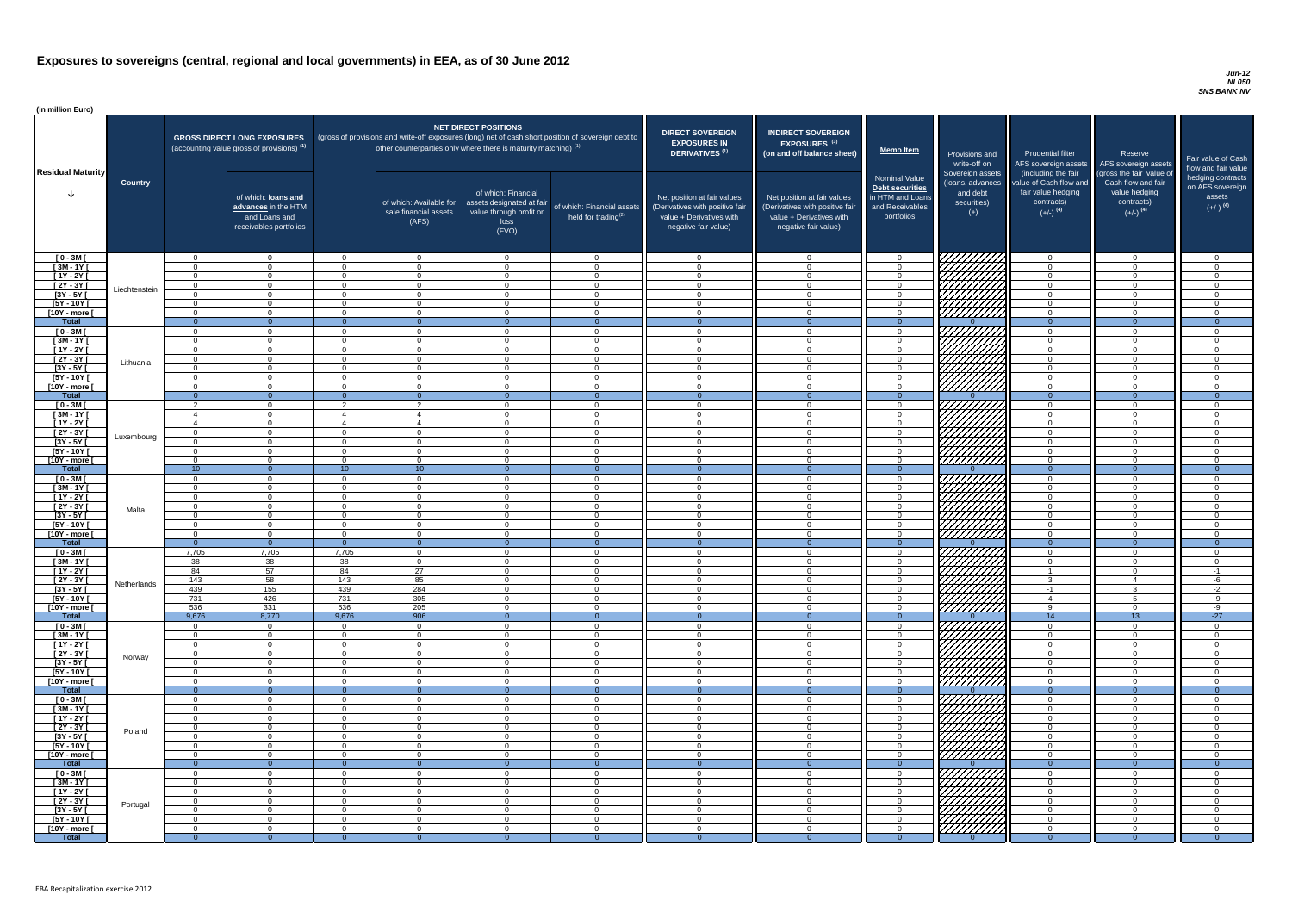#### *Jun-12 NL050 SNS BANK NV*

| <b>DIRECT SOVEREIGN</b><br><b>EXPOSURES IN</b><br><b>DERIVATIVES<sup>(1)</sup></b><br>Net position at fair values<br>(Derivatives with positive fair<br>value + Derivatives with<br>negative fair value) | <b>INDIRECT SOVEREIGN</b><br><b>EXPOSURES<sup>(3)</sup></b><br>(on and off balance sheet)<br>Net position at fair values<br>(Derivatives with positive fair<br>value + Derivatives with<br>negative fair value) | <b>Memo Item</b><br><b>Nominal Value</b><br>Debt securities<br>in HTM and Loans<br>and Receivables<br>portfolios | Provisions and<br>write-off on<br>Sovereign assets<br>(loans, advances<br>and debt<br>securities)<br>$(+)$ | <b>Prudential filter</b><br>AFS sovereign assets<br>(including the fair<br>value of Cash flow and<br>fair value hedging<br>contracts)<br>$(+/-)$ <sup>(4)</sup> | Reserve<br>AFS sovereign assets<br>(gross the fair value of<br>Cash flow and fair<br>value hedging<br>contracts)<br>$(+/-)$ <sup>(4)</sup> | Fair value of Cash<br>flow and fair value<br>hedging contracts<br>on AFS sovereign<br>assets<br>$(+/-)$ <sup>(4)</sup> |
|----------------------------------------------------------------------------------------------------------------------------------------------------------------------------------------------------------|-----------------------------------------------------------------------------------------------------------------------------------------------------------------------------------------------------------------|------------------------------------------------------------------------------------------------------------------|------------------------------------------------------------------------------------------------------------|-----------------------------------------------------------------------------------------------------------------------------------------------------------------|--------------------------------------------------------------------------------------------------------------------------------------------|------------------------------------------------------------------------------------------------------------------------|
|                                                                                                                                                                                                          |                                                                                                                                                                                                                 |                                                                                                                  |                                                                                                            |                                                                                                                                                                 |                                                                                                                                            |                                                                                                                        |
| $\mathbf 0$                                                                                                                                                                                              | $\mathbf 0$                                                                                                                                                                                                     | 0                                                                                                                |                                                                                                            | $\mathbf 0$                                                                                                                                                     | $\mathbf 0$                                                                                                                                | 0                                                                                                                      |
| $\pmb{0}$                                                                                                                                                                                                | $\pmb{0}$                                                                                                                                                                                                       | $\pmb{0}$                                                                                                        |                                                                                                            | $\mathbf 0$                                                                                                                                                     | $\mathbf 0$                                                                                                                                | $\mathbf 0$                                                                                                            |
| $\mathbf 0$                                                                                                                                                                                              | $\mathbf 0$                                                                                                                                                                                                     | 0                                                                                                                |                                                                                                            | $\mathbf 0$                                                                                                                                                     | $\mathbf 0$                                                                                                                                | $\mathbf 0$                                                                                                            |
| $\mathbf 0$                                                                                                                                                                                              | $\mathbf 0$                                                                                                                                                                                                     | $\mathbf 0$                                                                                                      |                                                                                                            | $\mathbf 0$                                                                                                                                                     | $\mathbf 0$                                                                                                                                | $\mathbf 0$                                                                                                            |
| $\mathbf 0$                                                                                                                                                                                              | $\mathbf 0$                                                                                                                                                                                                     | $\boldsymbol{0}$                                                                                                 |                                                                                                            | $\mathbf 0$                                                                                                                                                     | $\mathbf 0$                                                                                                                                | $\mathbf 0$                                                                                                            |
| $\mathbf 0$<br>$\mathbf 0$                                                                                                                                                                               | $\mathbf 0$                                                                                                                                                                                                     | $\mathbf 0$<br>$\boldsymbol{0}$                                                                                  |                                                                                                            | $\mathbf 0$<br>$\mathbf 0$                                                                                                                                      | $\mathbf 0$<br>$\overline{0}$                                                                                                              | $\mathbf 0$<br>$\mathbf 0$                                                                                             |
| $\mathbf{0}$                                                                                                                                                                                             | 0<br>$\overline{0}$                                                                                                                                                                                             | $\overline{0}$                                                                                                   | $\Omega$                                                                                                   | $\overline{0}$                                                                                                                                                  | $\overline{0}$                                                                                                                             | $\overline{0}$                                                                                                         |
| $\pmb{0}$                                                                                                                                                                                                | $\mathbf 0$                                                                                                                                                                                                     | $\mathbf 0$                                                                                                      |                                                                                                            | $\mathbf 0$                                                                                                                                                     | $\mathbf 0$                                                                                                                                | $\mathbf 0$                                                                                                            |
| $\mathbf 0$                                                                                                                                                                                              | $\mathbf 0$                                                                                                                                                                                                     | $\mathbf 0$                                                                                                      |                                                                                                            | $\mathbf 0$                                                                                                                                                     | $\mathbf 0$                                                                                                                                | $\mathbf 0$                                                                                                            |
| $\mathbf 0$                                                                                                                                                                                              | $\mathbf 0$                                                                                                                                                                                                     | $\mathbf 0$                                                                                                      |                                                                                                            | $\mathbf 0$                                                                                                                                                     | $\mathbf 0$                                                                                                                                | $\mathbf 0$                                                                                                            |
| $\mathbf 0$                                                                                                                                                                                              | $\mathbf 0$                                                                                                                                                                                                     | $\mathbf 0$                                                                                                      |                                                                                                            | $\mathbf 0$                                                                                                                                                     | $\overline{0}$                                                                                                                             | $\mathbf 0$                                                                                                            |
| $\mathbf 0$                                                                                                                                                                                              | $\mathbf 0$                                                                                                                                                                                                     | $\mathbf 0$                                                                                                      |                                                                                                            | $\mathbf 0$                                                                                                                                                     | $\overline{0}$                                                                                                                             | $\mathbf 0$                                                                                                            |
| $\mathbf 0$                                                                                                                                                                                              | $\pmb{0}$                                                                                                                                                                                                       | $\mathbf 0$                                                                                                      |                                                                                                            | $\mathsf{O}\xspace$                                                                                                                                             | $\mathbf 0$                                                                                                                                | $\mathbf 0$                                                                                                            |
| $\mathbf 0$                                                                                                                                                                                              | $\pmb{0}$                                                                                                                                                                                                       | $\mathbf 0$                                                                                                      |                                                                                                            | $\mathbf 0$                                                                                                                                                     | $\mathbf 0$                                                                                                                                | $\mathbf 0$                                                                                                            |
| $\mathbf{0}$                                                                                                                                                                                             | $\overline{0}$                                                                                                                                                                                                  | $\overline{0}$                                                                                                   | $\Omega$                                                                                                   | $\overline{0}$                                                                                                                                                  | $\overline{0}$                                                                                                                             | $\overline{0}$                                                                                                         |
| $\mathbf 0$<br>$\mathbf 0$                                                                                                                                                                               | $\mathbf 0$<br>$\mathbf 0$                                                                                                                                                                                      | $\pmb{0}$<br>$\mathbf 0$                                                                                         |                                                                                                            | $\mathbf 0$<br>$\mathbf 0$                                                                                                                                      | $\overline{0}$<br>$\overline{0}$                                                                                                           | $\mathbf 0$<br>$\mathbf 0$                                                                                             |
| $\mathbf 0$                                                                                                                                                                                              | 0                                                                                                                                                                                                               | $\pmb{0}$                                                                                                        |                                                                                                            | $\mathbf 0$                                                                                                                                                     | 0                                                                                                                                          | $\mathbf 0$                                                                                                            |
| $\mathbf 0$                                                                                                                                                                                              | $\mathbf 0$                                                                                                                                                                                                     | $\pmb{0}$                                                                                                        |                                                                                                            | $\pmb{0}$                                                                                                                                                       | $\mathbf 0$                                                                                                                                | $\mathbf 0$                                                                                                            |
| $\Omega$                                                                                                                                                                                                 | $\Omega$                                                                                                                                                                                                        | $\Omega$                                                                                                         |                                                                                                            | $\Omega$                                                                                                                                                        | $\Omega$                                                                                                                                   | $\Omega$                                                                                                               |
| 0                                                                                                                                                                                                        | 0                                                                                                                                                                                                               | 0                                                                                                                |                                                                                                            | 0                                                                                                                                                               | $\mathbf 0$                                                                                                                                | 0                                                                                                                      |
| $\mathbf 0$                                                                                                                                                                                              | $\mathbf 0$                                                                                                                                                                                                     | 0                                                                                                                |                                                                                                            | 0                                                                                                                                                               | 0                                                                                                                                          | 0                                                                                                                      |
| $\mathbf{0}$                                                                                                                                                                                             | $\overline{0}$                                                                                                                                                                                                  | $\overline{0}$                                                                                                   | $\overline{0}$                                                                                             | $\overline{0}$                                                                                                                                                  | $\overline{0}$                                                                                                                             | $\overline{0}$                                                                                                         |
| 0                                                                                                                                                                                                        | $\mathbf 0$                                                                                                                                                                                                     | 0                                                                                                                |                                                                                                            | $\mathbf 0$                                                                                                                                                     | 0                                                                                                                                          | 0                                                                                                                      |
| $\mathbf 0$                                                                                                                                                                                              | $\mathbf 0$                                                                                                                                                                                                     | $\pmb{0}$                                                                                                        |                                                                                                            | $\mathbf 0$                                                                                                                                                     | $\mathbf 0$                                                                                                                                | 0                                                                                                                      |
| $\mathbf 0$                                                                                                                                                                                              | $\mathbf 0$                                                                                                                                                                                                     | $\mathbf 0$                                                                                                      |                                                                                                            | $\overline{0}$                                                                                                                                                  | $\mathbf 0$                                                                                                                                | 0                                                                                                                      |
| $\mathbf 0$<br>0                                                                                                                                                                                         | 0<br>0                                                                                                                                                                                                          | $\pmb{0}$<br>$\pmb{0}$                                                                                           |                                                                                                            | 0<br>0                                                                                                                                                          | 0<br>0                                                                                                                                     | 0<br>0                                                                                                                 |
| 0                                                                                                                                                                                                        | 0                                                                                                                                                                                                               | $\pmb{0}$                                                                                                        |                                                                                                            | 0                                                                                                                                                               | 0                                                                                                                                          | 0                                                                                                                      |
| $\mathbf 0$                                                                                                                                                                                              | 0                                                                                                                                                                                                               | 0                                                                                                                |                                                                                                            | $\mathbf 0$                                                                                                                                                     | $\Omega$                                                                                                                                   | 0                                                                                                                      |
| $\mathbf{0}$                                                                                                                                                                                             | $\overline{0}$                                                                                                                                                                                                  | $\boldsymbol{0}$                                                                                                 | $\overline{0}$                                                                                             | $\overline{0}$                                                                                                                                                  | $\overline{0}$                                                                                                                             | $\overline{0}$                                                                                                         |
| $\mathbf 0$                                                                                                                                                                                              | 0                                                                                                                                                                                                               | $\boldsymbol{0}$                                                                                                 |                                                                                                            | 0                                                                                                                                                               | 0                                                                                                                                          | 0                                                                                                                      |
| $\mathbf 0$                                                                                                                                                                                              | $\mathbf 0$                                                                                                                                                                                                     | $\boldsymbol{0}$                                                                                                 |                                                                                                            | 0                                                                                                                                                               | $\mathbf 0$                                                                                                                                | $\mathbf 0$                                                                                                            |
| $\mathbf 0$                                                                                                                                                                                              | $\mathbf 0$                                                                                                                                                                                                     | $\mathbf 0$                                                                                                      |                                                                                                            | 1                                                                                                                                                               | 0                                                                                                                                          | $-1$                                                                                                                   |
| $\mathbf 0$                                                                                                                                                                                              | $\mathbf 0$                                                                                                                                                                                                     | $\boldsymbol{0}$                                                                                                 |                                                                                                            | 3                                                                                                                                                               | 4                                                                                                                                          | -6                                                                                                                     |
| 0                                                                                                                                                                                                        | 0                                                                                                                                                                                                               | 0                                                                                                                |                                                                                                            | -1                                                                                                                                                              | 3                                                                                                                                          | $-2$                                                                                                                   |
| $\mathbf 0$                                                                                                                                                                                              | 0                                                                                                                                                                                                               | 0                                                                                                                |                                                                                                            | 4                                                                                                                                                               | 5                                                                                                                                          | -9<br>$-9$                                                                                                             |
| $\mathbf 0$<br>$\mathbf{0}$                                                                                                                                                                              | $\mathbf 0$<br>$\overline{0}$                                                                                                                                                                                   | $\pmb{0}$<br>$\overline{0}$                                                                                      | $\overline{0}$                                                                                             | 9<br>14                                                                                                                                                         | $\mathbf 0$<br>$\overline{13}$                                                                                                             | $-27$                                                                                                                  |
| 0                                                                                                                                                                                                        | 0                                                                                                                                                                                                               | 0                                                                                                                |                                                                                                            | $\overline{0}$                                                                                                                                                  | 0                                                                                                                                          | 0                                                                                                                      |
| 0                                                                                                                                                                                                        | $\mathbf 0$                                                                                                                                                                                                     | $\boldsymbol{0}$                                                                                                 |                                                                                                            | $\overline{0}$                                                                                                                                                  | 0                                                                                                                                          | $\mathbf 0$                                                                                                            |
| 0                                                                                                                                                                                                        | 0                                                                                                                                                                                                               | $\boldsymbol{0}$                                                                                                 |                                                                                                            | $\mathbf 0$                                                                                                                                                     | 0                                                                                                                                          | $\mathbf 0$                                                                                                            |
| $\mathbf 0$                                                                                                                                                                                              | 0                                                                                                                                                                                                               | $\,0\,$                                                                                                          |                                                                                                            | $\mathbf 0$                                                                                                                                                     | 0                                                                                                                                          | $\mathbf 0$                                                                                                            |
| $\boldsymbol{0}$                                                                                                                                                                                         | $\mathbf 0$                                                                                                                                                                                                     | $\pmb{0}$                                                                                                        |                                                                                                            | $\mathbf 0$                                                                                                                                                     | $\mathbf 0$                                                                                                                                | $\mathbf 0$                                                                                                            |
| $\mathbf 0$                                                                                                                                                                                              | $\mathbf 0$                                                                                                                                                                                                     | $\pmb{0}$                                                                                                        |                                                                                                            | $\mathbf 0$                                                                                                                                                     | $\mathbf 0$                                                                                                                                | $\mathbf 0$                                                                                                            |
| $\mathbf 0$<br>$\mathbf{0}$                                                                                                                                                                              | $\mathbf 0$<br>$\overline{0}$                                                                                                                                                                                   | $\,0\,$<br>$\overline{0}$                                                                                        | $\mathbf{0}$                                                                                               | 0<br>$\overline{0}$                                                                                                                                             | 0<br>$\overline{0}$                                                                                                                        | 0<br>$\overline{0}$                                                                                                    |
| 0                                                                                                                                                                                                        | $\mathbf 0$                                                                                                                                                                                                     | $\pmb{0}$                                                                                                        |                                                                                                            | $\mathbf 0$                                                                                                                                                     | 0                                                                                                                                          | 0                                                                                                                      |
| $\mathbf 0$                                                                                                                                                                                              | 0                                                                                                                                                                                                               | 0                                                                                                                |                                                                                                            | 0                                                                                                                                                               | 0                                                                                                                                          | 0                                                                                                                      |
| $\mathbf 0$                                                                                                                                                                                              | $\mathbf 0$                                                                                                                                                                                                     | $\pmb{0}$                                                                                                        |                                                                                                            | $\mathbf 0$                                                                                                                                                     | $\mathbf 0$                                                                                                                                | 0                                                                                                                      |
| 0                                                                                                                                                                                                        | 0                                                                                                                                                                                                               | 0                                                                                                                |                                                                                                            | 0                                                                                                                                                               | 0                                                                                                                                          | 0                                                                                                                      |
| 0                                                                                                                                                                                                        | 0                                                                                                                                                                                                               | 0                                                                                                                |                                                                                                            | 0                                                                                                                                                               | 0                                                                                                                                          | 0                                                                                                                      |
| 0                                                                                                                                                                                                        | 0                                                                                                                                                                                                               | 0                                                                                                                |                                                                                                            | 0                                                                                                                                                               | 0                                                                                                                                          | 0                                                                                                                      |
| 0                                                                                                                                                                                                        | 0                                                                                                                                                                                                               | 0                                                                                                                | $\boldsymbol{\mathcal{L}}$                                                                                 | 0                                                                                                                                                               | 0                                                                                                                                          | 0                                                                                                                      |
| $\overline{0}$                                                                                                                                                                                           | $\overline{0}$                                                                                                                                                                                                  | $\mathbf{0}$                                                                                                     | $\overline{0}$                                                                                             | $\overline{0}$                                                                                                                                                  | $\overline{0}$                                                                                                                             | $\overline{0}$                                                                                                         |
| 0                                                                                                                                                                                                        | 0                                                                                                                                                                                                               | 0                                                                                                                |                                                                                                            | 0                                                                                                                                                               | 0                                                                                                                                          | 0                                                                                                                      |
| $\pmb{0}$<br>$\mathbf 0$                                                                                                                                                                                 | $\pmb{0}$<br>$\overline{0}$                                                                                                                                                                                     | 0<br>$\mathbf 0$                                                                                                 | <u>VIIIIIIII</u>                                                                                           | $\pmb{0}$<br>$\overline{0}$                                                                                                                                     | $\pmb{0}$<br>$\mathbf 0$                                                                                                                   | $\pmb{0}$<br>$\overline{0}$                                                                                            |
| $\mathbf 0$                                                                                                                                                                                              | $\mathbf 0$                                                                                                                                                                                                     | $\mathbf 0$                                                                                                      |                                                                                                            | $\overline{0}$                                                                                                                                                  | $\overline{0}$                                                                                                                             | $\overline{0}$                                                                                                         |
| $\mathbf 0$                                                                                                                                                                                              | $\overline{0}$                                                                                                                                                                                                  | $\mathbf 0$                                                                                                      |                                                                                                            | $\overline{0}$                                                                                                                                                  | $\overline{0}$                                                                                                                             | $\overline{0}$                                                                                                         |
| $\mathbf 0$                                                                                                                                                                                              | $\mathbf 0$                                                                                                                                                                                                     | $\mathbf 0$                                                                                                      |                                                                                                            | $\overline{0}$                                                                                                                                                  | $\overline{0}$                                                                                                                             | $\overline{0}$                                                                                                         |
| $\mathbf 0$                                                                                                                                                                                              | $\mathbf 0$                                                                                                                                                                                                     | $\pmb{0}$                                                                                                        |                                                                                                            | $\overline{0}$                                                                                                                                                  | $\mathbf 0$                                                                                                                                | $\overline{0}$                                                                                                         |
| $\overline{0}$                                                                                                                                                                                           | $\overline{0}$                                                                                                                                                                                                  | $\overline{0}$                                                                                                   | $\Omega$                                                                                                   | $\overline{0}$                                                                                                                                                  | $\overline{0}$                                                                                                                             | $\overline{0}$                                                                                                         |

| (in million Euro)             |                |                            |                                                                                             |                          |                                                                                                                                                                          |                                                                                              |                                                               |                                                                                                                    |                                                                                                                    |                                                                                              |                                                                          |                                                                                                             |                                                                                                         |                                            |
|-------------------------------|----------------|----------------------------|---------------------------------------------------------------------------------------------|--------------------------|--------------------------------------------------------------------------------------------------------------------------------------------------------------------------|----------------------------------------------------------------------------------------------|---------------------------------------------------------------|--------------------------------------------------------------------------------------------------------------------|--------------------------------------------------------------------------------------------------------------------|----------------------------------------------------------------------------------------------|--------------------------------------------------------------------------|-------------------------------------------------------------------------------------------------------------|---------------------------------------------------------------------------------------------------------|--------------------------------------------|
| <b>Residual Maturity</b>      |                |                            | <b>GROSS DIRECT LONG EXPOSURES</b><br>(accounting value gross of provisions) <sup>(1)</sup> |                          | (gross of provisions and write-off exposures (long) net of cash short position of sovereign debt to<br>other counterparties only where there is maturity matching) $(1)$ | <b>NET DIRECT POSITIONS</b>                                                                  |                                                               | <b>DIRECT SOVEREIGN</b><br><b>EXPOSURES IN</b><br><b>DERIVATIVES<sup>(1)</sup></b>                                 | <b>INDIRECT SOVEREIGN</b><br>EXPOSURES <sup>(3)</sup><br>(on and off balance sheet)                                | <b>Memo Item</b>                                                                             | Provisions and<br>write-off on                                           | <b>Prudential filter</b><br>AFS sovereign assets                                                            | Reserve<br>AFS sovereign assets                                                                         | Fair value<br>flow and fa                  |
|                               | <b>Country</b> |                            | of which: loans and<br>advances in the HTM<br>and Loans and<br>receivables portfolios       |                          | of which: Available for<br>sale financial assets<br>(AFS)                                                                                                                | of which: Financial<br>assets designated at fair<br>value through profit or<br>loss<br>(FVO) | of which: Financial assets<br>held for trading <sup>(2)</sup> | Net position at fair values<br>(Derivatives with positive fair<br>value + Derivatives with<br>negative fair value) | Net position at fair values<br>(Derivatives with positive fair<br>value + Derivatives with<br>negative fair value) | <b>Nominal Value</b><br>Debt securities<br>in HTM and Loans<br>and Receivables<br>portfolios | Sovereign assets<br>(loans, advances<br>and debt<br>securities)<br>$(+)$ | (including the fair<br>value of Cash flow and<br>fair value hedging<br>contracts)<br>$(+/-)$ <sup>(4)</sup> | (gross the fair value of<br>Cash flow and fair<br>value hedging<br>contracts)<br>$(+/-)$ <sup>(4)</sup> | hedging co<br>on AFS sc<br>asse<br>$(+/-)$ |
| $[0 - 3M]$                    |                | $\cap$                     | $\overline{0}$                                                                              | - വ                      | $\overline{0}$                                                                                                                                                           | - 0                                                                                          | $\overline{0}$                                                | $\Omega$                                                                                                           | $\overline{0}$                                                                                                     | $\overline{0}$                                                                               | THE REAL PROPERTY                                                        | $\cap$                                                                                                      | $\overline{0}$                                                                                          |                                            |
| $[3M - 1Y]$                   |                | $\cap$<br>$\cap$           | $\Omega$                                                                                    | - 0<br>റ                 | $\Omega$<br>$\Omega$                                                                                                                                                     | $\cap$<br>$\cap$                                                                             | $\Omega$                                                      | $\cap$<br>$\cap$                                                                                                   | $\Omega$                                                                                                           | $\overline{0}$<br>$\cap$                                                                     |                                                                          | $\cap$<br>$\Omega$                                                                                          | $\Omega$<br>$\Omega$                                                                                    |                                            |
| $[1Y - 2Y]$<br>$[2Y - 3Y]$    |                | $\cap$                     | $\Omega$<br>$\Omega$                                                                        | $\sqrt{ }$               | $\Omega$                                                                                                                                                                 | $\cap$                                                                                       | $\Omega$<br>$\Omega$                                          | $\cap$                                                                                                             | $\Omega$<br>$\overline{0}$                                                                                         | $\overline{0}$                                                                               |                                                                          | $\Omega$                                                                                                    | $\Omega$                                                                                                | $\cap$<br>$\Omega$                         |
| $[3Y - 5Y]$                   | Liechtenstein  | $\cap$                     | $\Omega$                                                                                    | $\Omega$                 | $\Omega$                                                                                                                                                                 | $\sqrt{ }$                                                                                   | $\Omega$                                                      | $\cap$                                                                                                             | $\Omega$                                                                                                           | $\Omega$                                                                                     |                                                                          | $\cap$                                                                                                      | $\cap$                                                                                                  |                                            |
| $[5Y - 10Y]$                  |                | $\Omega$                   | $\Omega$                                                                                    | $\cap$                   | $\Omega$                                                                                                                                                                 | $\cap$                                                                                       | $\overline{0}$                                                | $\Omega$                                                                                                           | $\Omega$                                                                                                           | $\Omega$                                                                                     |                                                                          | $\cap$                                                                                                      | $\Omega$                                                                                                |                                            |
| [10Y - more [<br><b>Total</b> |                | $\Omega$<br>$\overline{0}$ | $\overline{0}$<br>$\Omega$                                                                  | $\cap$<br>$\Omega$       | $\Omega$<br>$\Omega$                                                                                                                                                     | $\Omega$<br>- 0                                                                              | $\overline{0}$<br>$\Omega$                                    | $\Omega$<br>$\Omega$                                                                                               | $\overline{0}$<br>$\Omega$                                                                                         | $\overline{0}$<br>$\Omega$                                                                   |                                                                          | $\cap$<br>$\Omega$                                                                                          | $\Omega$<br>$\Omega$                                                                                    | $\Omega$                                   |
| $[0 - 3M]$                    |                | $\Omega$                   | $\Omega$                                                                                    | $\cap$                   | $\Omega$                                                                                                                                                                 | $\Omega$                                                                                     | $\overline{0}$                                                | $\Omega$                                                                                                           | $\Omega$                                                                                                           | $\overline{0}$                                                                               |                                                                          | $\Omega$                                                                                                    | $\Omega$                                                                                                |                                            |
| $[3M - 1Y]$                   |                | $\cap$                     | $\Omega$                                                                                    | - വ                      | $\Omega$                                                                                                                                                                 | $\cap$                                                                                       | $\Omega$                                                      | $\cap$                                                                                                             | $\Omega$                                                                                                           | $\Omega$                                                                                     | FAHAAN                                                                   | $\Omega$                                                                                                    | $\Omega$                                                                                                | റ                                          |
| $[1Y - 2Y]$                   |                |                            | $\Omega$                                                                                    | $\Omega$                 | $\Omega$                                                                                                                                                                 | $\cap$                                                                                       | $\Omega$                                                      |                                                                                                                    | $\Omega$                                                                                                           | $\Omega$                                                                                     | HAHARA KU                                                                |                                                                                                             | $\Omega$                                                                                                |                                            |
| $[2Y - 3Y]$<br>$[3Y - 5Y]$    | Lithuania      | $\Omega$<br>$\cap$         | $\Omega$<br>$\Omega$                                                                        | - വ                      | $\Omega$<br>$\Omega$                                                                                                                                                     | - 0<br>$\cap$                                                                                | $\Omega$<br>$\Omega$                                          | $\cap$                                                                                                             | $\overline{0}$<br>$\overline{0}$                                                                                   | $\Omega$<br>- 0                                                                              |                                                                          | $\cap$                                                                                                      | $\Omega$<br>$\Omega$                                                                                    |                                            |
| $[5Y - 10Y]$                  |                | $\cap$                     | $\Omega$                                                                                    |                          | $\cap$                                                                                                                                                                   | $\cap$                                                                                       | $\Omega$                                                      | $\Omega$                                                                                                           | $\Omega$                                                                                                           | $\cap$                                                                                       |                                                                          | $\Omega$                                                                                                    | $\Omega$                                                                                                | $\Omega$                                   |
| [10Y - more [                 |                | $\cap$                     | $\Omega$                                                                                    | $\cap$                   | $\Omega$                                                                                                                                                                 | $\cap$                                                                                       | $\Omega$                                                      | $\Omega$                                                                                                           | $\Omega$                                                                                                           | $\Omega$                                                                                     | HIIII AN<br>HIIII AN                                                     | $\cap$                                                                                                      | $\cap$                                                                                                  | $\Omega$                                   |
| <b>Total</b>                  |                | - റ<br>$\mathcal{D}$       | $\Omega$                                                                                    | - റ<br>$\mathcal{D}$     | $\Omega$<br>ົ                                                                                                                                                            | - റ<br>$\cap$                                                                                | $\Omega$<br>$\Omega$                                          | $\Omega$<br>റ                                                                                                      | $\Omega$                                                                                                           | $\Omega$<br>- 0                                                                              |                                                                          | $\Omega$<br>$\cap$                                                                                          | $\Omega$<br>$\cap$                                                                                      | $\Omega$<br>$\Omega$                       |
| $[0 - 3M]$<br>$[3M - 1Y]$     |                |                            | $\Omega$<br>$\Omega$                                                                        | $\boldsymbol{\Lambda}$   |                                                                                                                                                                          | $\sqrt{ }$                                                                                   | $\Omega$                                                      | $\Omega$                                                                                                           | $\Omega$<br>$\Omega$                                                                                               | $\Omega$                                                                                     |                                                                          | $\Omega$                                                                                                    | $\Omega$                                                                                                | $\Omega$                                   |
| $[1Y - 2Y]$                   |                |                            | $\Omega$                                                                                    | $\boldsymbol{\varDelta}$ |                                                                                                                                                                          | $\cap$                                                                                       | $\Omega$                                                      | $\Omega$                                                                                                           | $\Omega$                                                                                                           | $\overline{0}$                                                                               | HAAAN<br>HAAAN                                                           | $\Omega$                                                                                                    | $\Omega$                                                                                                | $\Omega$                                   |
| $[2Y - 3Y]$                   | Luxembourg     | $\Omega$                   | $\Omega$                                                                                    | റ                        | $\Omega$                                                                                                                                                                 | $\cap$                                                                                       | $\Omega$                                                      | $\Omega$                                                                                                           | $\Omega$                                                                                                           | $\Omega$                                                                                     |                                                                          | $\Omega$                                                                                                    | $\Omega$                                                                                                | $\cap$                                     |
| $[3Y - 5Y]$<br>$[5Y - 10Y]$   |                |                            | $\Omega$                                                                                    |                          | $\Omega$                                                                                                                                                                 | $\cap$                                                                                       | $\Omega$                                                      |                                                                                                                    | $\Omega$                                                                                                           | $\Omega$                                                                                     |                                                                          |                                                                                                             |                                                                                                         |                                            |
| [10Y - more ]                 |                | $\cap$                     | $\Omega$                                                                                    | $\cap$                   | $\Omega$                                                                                                                                                                 | $\cap$                                                                                       | $\Omega$                                                      |                                                                                                                    | $\Omega$                                                                                                           | $\Omega$                                                                                     | HHHH                                                                     |                                                                                                             |                                                                                                         |                                            |
| <b>Total</b>                  |                | 10                         | $\Omega$                                                                                    | 10                       | 10                                                                                                                                                                       | $\Omega$                                                                                     | $\Omega$                                                      | $\Omega$                                                                                                           |                                                                                                                    | $\Omega$                                                                                     |                                                                          |                                                                                                             | $\Omega$                                                                                                |                                            |
| $[0 - 3M]$                    |                | $\cap$<br>$\cap$           | $\Omega$                                                                                    | $\cap$<br>- 0            | $\Omega$<br>$\Omega$                                                                                                                                                     | - 0<br>- 0                                                                                   | $\Omega$<br>$\Omega$                                          |                                                                                                                    | $\Omega$                                                                                                           | $\cap$<br>$\Omega$                                                                           |                                                                          |                                                                                                             | $\Omega$<br>$\Omega$                                                                                    |                                            |
| $[3M - 1Y]$<br>$[1Y - 2Y]$    |                | $\Omega$                   | $\Omega$<br>$\overline{0}$                                                                  | $\Omega$                 | $\Omega$                                                                                                                                                                 | $\Omega$                                                                                     | $\overline{0}$                                                | $\Omega$                                                                                                           | - 0<br>$\Omega$                                                                                                    | $\Omega$                                                                                     |                                                                          | $\cap$                                                                                                      | $\Omega$                                                                                                |                                            |
| $[2Y - 3Y]$                   | Malta          | $\cap$                     | $\Omega$                                                                                    | $\cap$                   | $\Omega$                                                                                                                                                                 | റ                                                                                            | $\Omega$                                                      | $\Omega$                                                                                                           | . റ                                                                                                                | $\Omega$                                                                                     |                                                                          | $\cap$                                                                                                      | $\Omega$                                                                                                |                                            |
| $[3Y - 5Y]$                   |                | $\Omega$                   | $\Omega$                                                                                    | $\Omega$                 | $\Omega$                                                                                                                                                                 | $\Omega$                                                                                     | $\Omega$                                                      | $\cap$                                                                                                             | $\Omega$                                                                                                           | $\Omega$                                                                                     |                                                                          | $\cap$                                                                                                      | $\cap$                                                                                                  |                                            |
| $[5Y - 10Y]$<br>[10Y - more [ |                | $\cap$<br>$\cap$           | $\overline{0}$<br>$\Omega$                                                                  | $\Omega$<br>$\cap$       | $\Omega$<br>$\Omega$                                                                                                                                                     | $\Omega$<br>$\cap$                                                                           | $\overline{0}$<br>$\overline{0}$                              | $\Omega$<br>$\Omega$                                                                                               | $\Omega$<br>$\Omega$                                                                                               | $\overline{0}$<br>- 0                                                                        |                                                                          | $\Omega$<br>$\Omega$                                                                                        | $\Omega$<br>. റ                                                                                         |                                            |
| <b>Total</b>                  |                | $\Omega$                   | $\Omega$                                                                                    | $\overline{0}$           | $\Omega$                                                                                                                                                                 | $\Omega$                                                                                     | $\Omega$                                                      | $\Omega$                                                                                                           | $\Omega$                                                                                                           | $\Omega$                                                                                     |                                                                          | $\Omega$                                                                                                    | $\Omega$                                                                                                |                                            |
| $[0 - 3M]$                    |                | 7,705                      | 7,705                                                                                       | 7,705                    | $\overline{0}$                                                                                                                                                           | $\Omega$                                                                                     | $\overline{0}$                                                |                                                                                                                    | $\overline{0}$                                                                                                     | $\mathbf 0$                                                                                  |                                                                          | $\Omega$                                                                                                    | $\Omega$                                                                                                |                                            |
| $[3M - 1Y]$                   |                | 38<br>84                   | 38<br>57                                                                                    | 38<br>84                 | $\Omega$<br>27                                                                                                                                                           | - 0<br>$\cap$                                                                                | $\overline{0}$<br>$\Omega$                                    |                                                                                                                    | $\Omega$<br>$\Omega$                                                                                               | $\Omega$<br>$\Omega$                                                                         | B                                                                        | $\Omega$                                                                                                    | $\Omega$<br>$\Omega$                                                                                    |                                            |
| $[1Y - 2Y]$<br>$[2Y - 3Y]$    |                | 143                        | 58                                                                                          | 143                      | 85                                                                                                                                                                       | - റ                                                                                          | $\Omega$                                                      |                                                                                                                    | $\Omega$                                                                                                           | $\Omega$                                                                                     |                                                                          | ્વ                                                                                                          |                                                                                                         | -1<br>-6                                   |
| $[3Y - 5Y]$                   | Netherlands    | 439                        | 155                                                                                         | 439                      | 284                                                                                                                                                                      |                                                                                              | $\Omega$                                                      |                                                                                                                    | - 0                                                                                                                |                                                                                              | <i><b>WHATAS</b></i>                                                     | -1                                                                                                          |                                                                                                         | $-2$                                       |
| $[5Y - 10Y]$                  |                | 731                        | 426                                                                                         | 731                      | 305                                                                                                                                                                      | - 0                                                                                          | $\Omega$                                                      |                                                                                                                    | - 0                                                                                                                | $\cap$                                                                                       | $\mathbb{Z}$<br>HHHA                                                     |                                                                                                             |                                                                                                         | -9                                         |
| [10Y - more [<br><b>Total</b> |                | 536<br>9,676               | 331<br>8,770                                                                                | 536<br>9,676             | 205<br>906                                                                                                                                                               | റ<br>- 0                                                                                     | $\Omega$<br>$\Omega$                                          | $\Omega$                                                                                                           | $\Omega$<br>-0                                                                                                     | $\Omega$<br>- റ                                                                              |                                                                          | $\Omega$<br>14                                                                                              | $\Omega$<br>13                                                                                          | -9<br>$-27$                                |
| $[0 - 3M]$                    |                | $\cap$                     | $\overline{0}$                                                                              | - വ                      | $\overline{0}$                                                                                                                                                           | $\cap$                                                                                       | $\Omega$                                                      | $\cap$                                                                                                             | $\Omega$                                                                                                           | $\Omega$                                                                                     |                                                                          | $\cap$                                                                                                      | $\Omega$                                                                                                |                                            |
| $[3M - 1Y]$                   |                | $\Omega$                   | $\overline{0}$                                                                              | - വ                      | $\Omega$                                                                                                                                                                 | റ                                                                                            | $\Omega$                                                      | $\cap$                                                                                                             | $\Omega$                                                                                                           | $\Omega$                                                                                     | UM<br>UM                                                                 | $\Omega$                                                                                                    | . റ                                                                                                     | $\cap$                                     |
| $[1Y - 2Y]$<br>$[2Y - 3Y]$    |                | $\Omega$<br>$\Omega$       | $\Omega$<br>$\Omega$                                                                        | $\cap$<br>$\Omega$       | $\Omega$<br>$\Omega$                                                                                                                                                     | $\Omega$<br>$\Omega$                                                                         | $\Omega$<br>$\Omega$                                          | $\cap$<br>$\cap$                                                                                                   | $\Omega$<br>$\Omega$                                                                                               | $\Omega$<br>$\overline{0}$                                                                   |                                                                          | $\Omega$<br>$\Omega$                                                                                        | $\Omega$<br>$\Omega$                                                                                    | $\Omega$                                   |
| $[3Y - 5Y]$                   | Norway         | $\Omega$                   | $\Omega$                                                                                    | $\Omega$                 | $\Omega$                                                                                                                                                                 | $\cap$                                                                                       | $\Omega$                                                      | $\Omega$                                                                                                           | $\Omega$                                                                                                           | $\overline{0}$                                                                               |                                                                          | $\Omega$                                                                                                    | $\Omega$                                                                                                | $\Omega$                                   |
| $[5Y - 10Y]$                  |                |                            | $\Omega$                                                                                    | $\cap$                   | $\Omega$                                                                                                                                                                 | - 0                                                                                          | $\Omega$                                                      |                                                                                                                    | $\Omega$                                                                                                           | $\Omega$                                                                                     |                                                                          | $\cap$                                                                                                      | $\Omega$                                                                                                |                                            |
| [10Y - more [<br><b>Total</b> |                |                            | $\Omega$<br>$\Omega$                                                                        | $\cap$<br>- 0            | $\Omega$<br>$\Omega$                                                                                                                                                     | $\cap$                                                                                       | $\Omega$<br>$\Omega$                                          |                                                                                                                    | $\Omega$<br>- 0                                                                                                    | $\Omega$<br>-C                                                                               |                                                                          |                                                                                                             |                                                                                                         |                                            |
| $[0 - 3M]$                    |                | $\cap$                     | $\Omega$                                                                                    | - വ                      | $\Omega$                                                                                                                                                                 | - 0                                                                                          | $\Omega$                                                      |                                                                                                                    | $\Omega$                                                                                                           | $\Omega$                                                                                     |                                                                          |                                                                                                             | $\Omega$                                                                                                |                                            |
| $[3M - 1Y]$                   |                | $\cap$                     | $\Omega$                                                                                    | $\cap$                   | $\Omega$                                                                                                                                                                 | $\Omega$                                                                                     | $\Omega$                                                      |                                                                                                                    | $\Omega$                                                                                                           | $\Omega$                                                                                     | THIRA<br>MANA                                                            |                                                                                                             | $\Omega$                                                                                                |                                            |
| $[1Y - 2Y]$                   |                | $\Omega$                   | $\overline{0}$                                                                              | $\Omega$                 | $\Omega$                                                                                                                                                                 | $\Omega$                                                                                     | $\overline{0}$                                                |                                                                                                                    | $\Omega$                                                                                                           | $\Omega$                                                                                     |                                                                          | $\Omega$                                                                                                    | $\Omega$                                                                                                |                                            |
| $[2Y - 3Y]$<br>$[3Y - 5Y]$    | Poland         | $\cap$                     | $\Omega$<br>$\Omega$                                                                        | $\cap$<br>റ              | $\Omega$<br>$\Omega$                                                                                                                                                     | റ<br>$\cap$                                                                                  | $\Omega$<br>$\Omega$                                          | $\cap$<br>$\cap$                                                                                                   | $\Omega$<br>$\Omega$                                                                                               | $\Omega$<br>$\Omega$                                                                         |                                                                          | $\cap$<br>$\cap$                                                                                            | $\Omega$<br>$\cap$                                                                                      |                                            |
| $[5Y - 10Y]$                  |                | $\cap$                     | $\Omega$                                                                                    | $\Omega$                 | $\Omega$                                                                                                                                                                 | $\Omega$                                                                                     | $\overline{0}$                                                | $\cap$                                                                                                             | $\Omega$                                                                                                           | $\Omega$                                                                                     |                                                                          | $\Omega$                                                                                                    | $\cap$                                                                                                  |                                            |
| [10Y - more [                 |                | $\cap$                     | $\Omega$                                                                                    | $\Omega$                 | $\Omega$                                                                                                                                                                 | $\Omega$                                                                                     | $\Omega$                                                      |                                                                                                                    | $\Omega$                                                                                                           | $\Omega$                                                                                     | ' <u>////////</u>                                                        | $\cap$                                                                                                      | $\cap$                                                                                                  |                                            |
| <b>Total</b>                  |                | $\Omega$                   | - വ                                                                                         | $\Omega$                 | $\Omega$                                                                                                                                                                 | $\Omega$                                                                                     | $\Omega$                                                      | $\Omega$                                                                                                           | $\Omega$                                                                                                           | $\Omega$                                                                                     |                                                                          | $\Omega$                                                                                                    | $\Omega$                                                                                                |                                            |
| $[0 - 3M]$<br>$[3M - 1Y]$     |                | $\Omega$                   | $\Omega$<br>$\overline{0}$                                                                  |                          | $\Omega$<br>$\mathbf{0}$                                                                                                                                                 | $\Omega$<br>- 0                                                                              | $\Omega$<br>$\overline{0}$                                    |                                                                                                                    | $\Omega$<br>$\overline{0}$                                                                                         | $\Omega$<br>$\Omega$                                                                         | 777777777                                                                | $\Omega$<br>$\Omega$                                                                                        | $\Omega$<br>$\Omega$                                                                                    | $\overline{0}$                             |
| $[1Y - 2Y]$                   |                |                            | $\overline{0}$                                                                              | $\Omega$                 | $\Omega$                                                                                                                                                                 | $\Omega$                                                                                     | $\overline{0}$                                                | $\Omega$                                                                                                           | $\Omega$                                                                                                           | $\Omega$                                                                                     |                                                                          | $\Omega$                                                                                                    | $\Omega$                                                                                                | $\Omega$                                   |
| $[2Y - 3Y]$                   | Portugal       | $\Omega$                   | $\overline{0}$                                                                              | $\cap$                   | $\Omega$                                                                                                                                                                 | - 0                                                                                          | $\overline{0}$                                                | $\Omega$                                                                                                           | $\overline{0}$                                                                                                     | - 0                                                                                          |                                                                          | $\Omega$                                                                                                    | $\Omega$                                                                                                | $\Omega$                                   |
| $[3Y - 5Y]$                   |                |                            | $\overline{0}$                                                                              |                          | $\Omega$                                                                                                                                                                 | - ೧                                                                                          | $\overline{0}$                                                |                                                                                                                    | $\overline{0}$                                                                                                     | $\Omega$                                                                                     |                                                                          | $\cap$                                                                                                      | $\Omega$                                                                                                | $\overline{0}$                             |
| $[5Y - 10Y]$<br>[10Y - more [ |                | $\Omega$<br>റ              | $\overline{0}$<br>$\overline{0}$                                                            | - വ                      | $\Omega$<br>$\Omega$                                                                                                                                                     | $\Omega$<br>റ                                                                                | $\overline{0}$<br>$\Omega$                                    | - 0<br>$\Omega$                                                                                                    | $\Omega$<br>- 0                                                                                                    | $\Omega$<br>- 0                                                                              | WITH STATES                                                              | $\Omega$                                                                                                    | $\Omega$<br>$\Omega$                                                                                    | $\overline{0}$<br>$\overline{0}$           |
| <b>Total</b>                  |                | $\Omega$                   | $\Omega$                                                                                    |                          |                                                                                                                                                                          |                                                                                              |                                                               |                                                                                                                    |                                                                                                                    |                                                                                              |                                                                          |                                                                                                             |                                                                                                         | $\overline{\phantom{0}}$                   |